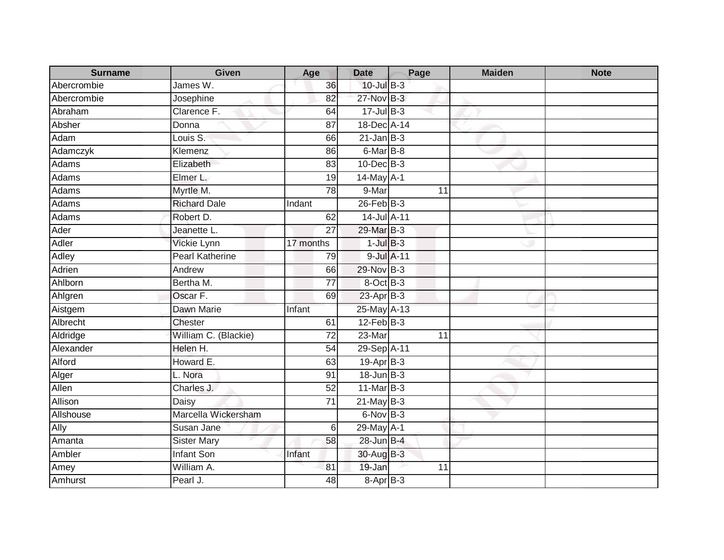| <b>Surname</b> | <b>Given</b>                   | Age             | <b>Date</b>     | Page            | <b>Maiden</b> | <b>Note</b> |
|----------------|--------------------------------|-----------------|-----------------|-----------------|---------------|-------------|
| Abercrombie    | James $\overline{\mathsf{W}.}$ | 36              | $10$ -Jul $B-3$ |                 |               |             |
| Abercrombie    | Josephine                      | 82              | 27-Nov B-3      |                 |               |             |
| Abraham        | Clarence F.                    | 64              | $17 -$ Jul B-3  |                 |               |             |
| Absher         | Donna                          | 87              | 18-Dec A-14     |                 |               |             |
| Adam           | Louis S.                       | 66              | $21$ -Jan B-3   |                 |               |             |
| Adamczyk       | Klemenz                        | 86              | 6-Mar B-8       |                 |               |             |
| Adams          | Elizabeth                      | 83              | $10$ -Dec $B-3$ |                 |               |             |
| Adams          | Elmer L.                       | 19              | 14-May A-1      |                 |               |             |
| Adams          | Myrtle M.                      | $\overline{78}$ | 9-Mar           | $\overline{11}$ |               |             |
| Adams          | <b>Richard Dale</b>            | Indant          | $26$ -Feb $B-3$ |                 |               |             |
| Adams          | Robert D.                      | 62              | 14-Jul A-11     |                 |               |             |
| Ader           | Jeanette L.                    | $\overline{27}$ | 29-Mar B-3      |                 |               |             |
| Adler          | Vickie Lynn                    | 17 months       | $1$ -Jul $B-3$  |                 |               |             |
| Adley          | <b>Pearl Katherine</b>         | 79              | 9-Jul A-11      |                 |               |             |
| Adrien         | Andrew                         | 66              | 29-Nov B-3      |                 |               |             |
| Ahlborn        | Bertha M.                      | 77              | 8-Oct B-3       |                 |               |             |
| Ahlgren        | Oscar F.                       | 69              | $23$ -Apr $B-3$ |                 |               |             |
| Aistgem        | Dawn Marie                     | Infant          | 25-May A-13     |                 |               |             |
| Albrecht       | <b>Chester</b>                 | 61              | $12$ -Feb $B-3$ |                 |               |             |
| Aldridge       | William C. (Blackie)           | 72              | 23-Mar          | 11              |               |             |
| Alexander      | Helen H.                       | 54              | 29-Sep A-11     |                 |               |             |
| Alford         | Howard E.                      | 63              | 19-Apr B-3      |                 |               |             |
| Alger          | L. Nora                        | 91              | $18$ -Jun $B-3$ |                 |               |             |
| Allen          | Charles J.                     | 52              | 11-Mar B-3      |                 |               |             |
| Allison        | Daisy                          | 71              | $21$ -May B-3   |                 |               |             |
| Allshouse      | Marcella Wickersham            |                 | 6-Nov B-3       |                 |               |             |
| Ally           | Susan Jane                     | 6               | 29-May A-1      |                 |               |             |
| Amanta         | <b>Sister Mary</b>             | 58              | 28-Jun B-4      |                 |               |             |
| Ambler         | <b>Infant Son</b>              | Infant          | 30-Aug B-3      |                 |               |             |
| Amey           | William A.                     | 81              | 19-Jan          | 11              |               |             |
| Amhurst        | Pearl J.                       | 48              | $8-AprB-3$      |                 |               |             |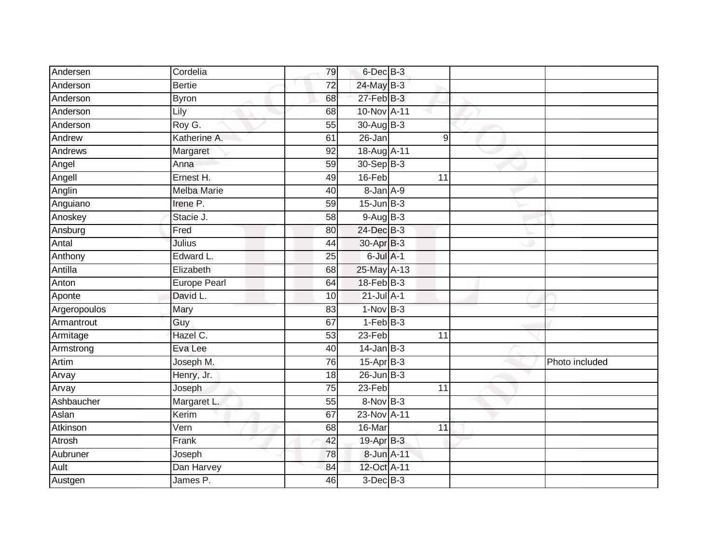| Andersen     | Cordelia            | 79 | 6-Dec B-3       |    |                |
|--------------|---------------------|----|-----------------|----|----------------|
| Anderson     | <b>Bertie</b>       | 72 | 24-May B-3      |    |                |
| Anderson     | <b>Byron</b>        | 68 | $27$ -Feb $B-3$ |    |                |
| Anderson     | Lily                | 68 | 10-Nov A-11     |    |                |
| Anderson     | Roy G.              | 55 | 30-Aug B-3      |    |                |
| Andrew       | Katherine A.        | 61 | $26 - Jan$      | 9  |                |
| Andrews      | Margaret            | 92 | 18-Aug A-11     |    |                |
| Angel        | Anna                | 59 | $30 - Sep$ B-3  |    |                |
| Angell       | Ernest H.           | 49 | 16-Feb          | 11 |                |
| Anglin       | <b>Melba Marie</b>  | 40 | 8-Jan A-9       |    |                |
| Anguiano     | Irene P.            | 59 | $15$ -Jun $B-3$ |    |                |
| Anoskey      | Stacie J.           | 58 | 9-Aug B-3       |    |                |
| Ansburg      | Fred                | 80 | 24-Dec B-3      |    |                |
| Antal        | Julius              | 44 | 30-Apr B-3      |    |                |
| Anthony      | Edward L.           | 25 | 6-Jul A-1       |    |                |
| Antilla      | Elizabeth           | 68 | 25-May A-13     |    |                |
| Anton        | <b>Europe Pearl</b> | 64 | $18-FebB-3$     |    |                |
| Aponte       | David L.            | 10 | $21$ -Jul $A-1$ |    |                |
| Argeropoulos | Mary                | 83 | $1-Nov$ B-3     |    |                |
| Armantrout   | Guy                 | 67 | $1-FebB-3$      |    |                |
| Armitage     | Hazel C.            | 53 | $23-Feb$        | 11 |                |
| Armstrong    | Eva Lee             | 40 | $14$ -Jan B-3   |    |                |
| Artim        | Joseph M.           | 76 | 15-Apr B-3      |    | Photo included |
| Arvay        | Henry, Jr.          | 18 | $26$ -Jun $B-3$ |    |                |
| Arvay        | Joseph              | 75 | 23-Feb          | 11 |                |
| Ashbaucher   | Margaret L.         | 55 | $8-Nov$ B-3     |    |                |
| Aslan        | Kerim               | 67 | 23-Nov A-11     |    |                |
| Atkinson     | Vern                | 68 | 16-Mar          | 11 |                |
| Atrosh       | Frank               | 42 | $19-Apr$ B-3    |    |                |
| Aubruner     | Joseph              | 78 | 8-Jun A-11      |    |                |
| Ault         | Dan Harvey          | 84 | 12-Oct A-11     |    |                |
| Austgen      | James P.            | 46 | $3$ -Dec $B-3$  |    |                |
|              |                     |    |                 |    |                |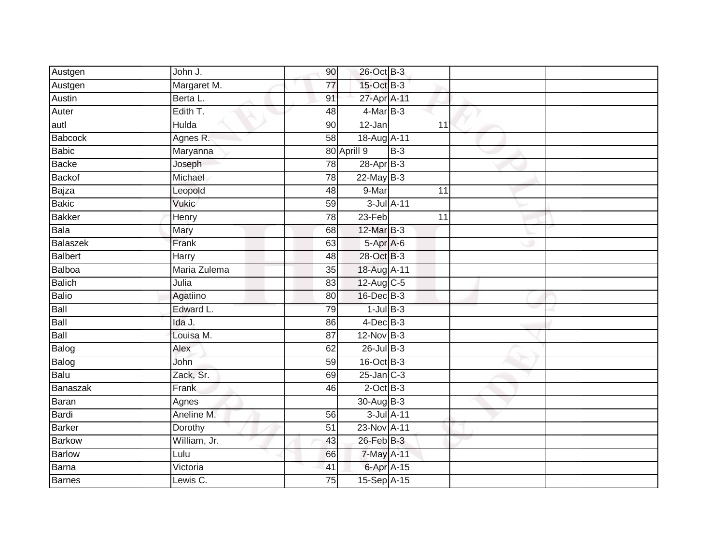| Austgen       | John J.      | 90              | 26-Oct B-3      |            |                 |  |
|---------------|--------------|-----------------|-----------------|------------|-----------------|--|
| Austgen       | Margaret M.  | 77              | 15-Oct B-3      |            |                 |  |
| Austin        | Berta L.     | 91              | 27-Apr A-11     |            |                 |  |
| Auter         | Edith T.     | 48              | 4-Mar B-3       |            |                 |  |
| autl          | <b>Hulda</b> | 90              | $12$ -Jan       |            | $\overline{11}$ |  |
| Babcock       | Agnes R.     | 58              | 18-Aug A-11     |            |                 |  |
| Babic         | Maryanna     |                 | 80 Aprill 9     | $B-3$      |                 |  |
| <b>Backe</b>  | Joseph       | 78              | 28-Apr B-3      |            |                 |  |
| Backof        | Michael      | 78              | $22$ -May B-3   |            |                 |  |
| Bajza         | Leopold      | 48              | 9-Mar           |            | 11              |  |
| <b>Bakic</b>  | <b>Vukic</b> | 59              |                 | 3-Jul A-11 |                 |  |
| <b>Bakker</b> | Henry        | 78              | 23-Feb          |            | 11              |  |
| Bala          | Mary         | 68              | 12-Mar B-3      |            |                 |  |
| Balaszek      | Frank        | 63              | 5-Apr A-6       |            |                 |  |
| Balbert       | Harry        | 48              | 28-Oct B-3      |            |                 |  |
| Balboa        | Maria Zulema | 35              | 18-Aug A-11     |            |                 |  |
| Balich        | Julia        | 83              | 12-Aug C-5      |            |                 |  |
| Balio         | Agatiino     | 80              | 16-Dec B-3      |            |                 |  |
| Ball          | Edward L.    | 79              | $1$ -Jul $B-3$  |            |                 |  |
| Ball          | Ida J.       | 86              | $4$ -Dec $B-3$  |            |                 |  |
| Ball          | Louisa M.    | 87              | $12$ -Nov $B-3$ |            |                 |  |
| Balog         | Alex         | 62              | $26$ -Jul B-3   |            |                 |  |
| Balog         | John         | 59              | 16-Oct B-3      |            |                 |  |
| Balu          | Zack, Sr.    | 69              | $25$ -Jan $C-3$ |            |                 |  |
| Banaszak      | Frank        | 46              | $2$ -Oct $B-3$  |            |                 |  |
| Baran         | Agnes        |                 | 30-Aug B-3      |            |                 |  |
| Bardi         | Aneline M.   | 56              |                 | 3-Jul A-11 |                 |  |
| Barker        | Dorothy      | $\overline{51}$ | 23-Nov A-11     |            |                 |  |
| Barkow        | William, Jr. | 43              | $26$ -Feb $B-3$ |            |                 |  |
| <b>Barlow</b> | Lulu         | 66              | 7-May A-11      |            |                 |  |
| Barna         | Victoria     | 41              | 6-Apr A-15      |            |                 |  |
| Barnes        | Lewis C.     | $\overline{75}$ | 15-Sep A-15     |            |                 |  |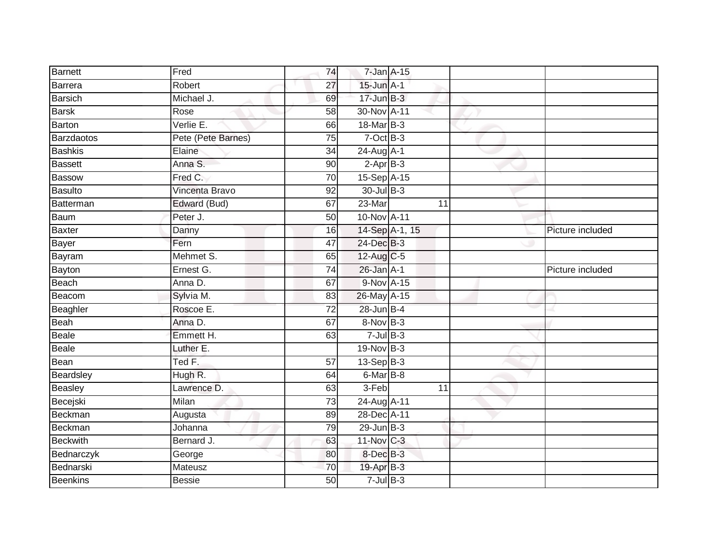| Barnett         | Fred               | 74              | 7-Jan A-15        |                |    |                  |
|-----------------|--------------------|-----------------|-------------------|----------------|----|------------------|
| Barrera         | Robert             | 27              | $15$ -Jun $A-1$   |                |    |                  |
| <b>Barsich</b>  | Michael J.         | 69              | $17 - Jun$ $B-3$  |                |    |                  |
| <b>Barsk</b>    | Rose               | 58              | 30-Nov A-11       |                |    |                  |
| Barton          | Verlie E.          | 66              | 18-Mar B-3        |                |    |                  |
| Barzdaotos      | Pete (Pete Barnes) | 75              | $7-Oct$ B-3       |                |    |                  |
| <b>Bashkis</b>  | Elaine             | 34              | $24$ -Aug $A$ -1  |                |    |                  |
| Bassett         | Anna S.            | 90              | $2-AprB-3$        |                |    |                  |
| Bassow          | Fred C.            | 70              | 15-Sep A-15       |                |    |                  |
| Basulto         | Vincenta Bravo     | 92              | 30-Jul B-3        |                |    |                  |
| Batterman       | Edward (Bud)       | 67              | 23-Mar            |                | 11 |                  |
| Baum            | Peter J.           | 50              | 10-Nov A-11       |                |    |                  |
| Baxter          | Danny              | 16              |                   | 14-Sep A-1, 15 |    | Picture included |
| Bayer           | Fern               | 47              | 24-Dec B-3        |                |    |                  |
| Bayram          | Mehmet S.          | 65              | 12-Aug C-5        |                |    |                  |
| Bayton          | Ernest G.          | 74              | $26$ -Jan $A-1$   |                |    | Picture included |
| Beach           | Anna D.            | 67              | 9-Nov A-15        |                |    |                  |
| Beacom          | Sylvia M.          | 83              | 26-May A-15       |                |    |                  |
| Beaghler        | Roscoe E.          | $\overline{72}$ | 28-Jun B-4        |                |    |                  |
| Beah            | Anna D.            | 67              | 8-Nov B-3         |                |    |                  |
| Beale           | Emmett H.          | 63              | $7$ -Jul $B-3$    |                |    |                  |
| Beale           | Luther E.          |                 | 19-Nov B-3        |                |    |                  |
| Bean            | Ted F.             | 57              | $13-Sep$ B-3      |                |    |                  |
| Beardsley       | Hugh R.            | 64              | $6$ -Mar $B$ -8   |                |    |                  |
| Beasley         | Lawrence D.        | 63              | 3-Feb             |                | 11 |                  |
| Becejski        | Milan              | 73              | 24-Aug A-11       |                |    |                  |
| Beckman         | Augusta            | 89              | 28-Dec A-11       |                |    |                  |
| Beckman         | Johanna            | 79              | $29$ -Jun $B-3$   |                |    |                  |
| <b>Beckwith</b> | Bernard J.         | 63              | 11-Nov C-3        |                |    |                  |
| Bednarczyk      | George             | 80              | 8-Dec B-3         |                |    |                  |
| Bednarski       | Mateusz            | 70              | 19-Apr B-3        |                |    |                  |
| <b>Beenkins</b> | <b>Bessie</b>      | $\overline{50}$ | $7 -$ Jul $B - 3$ |                |    |                  |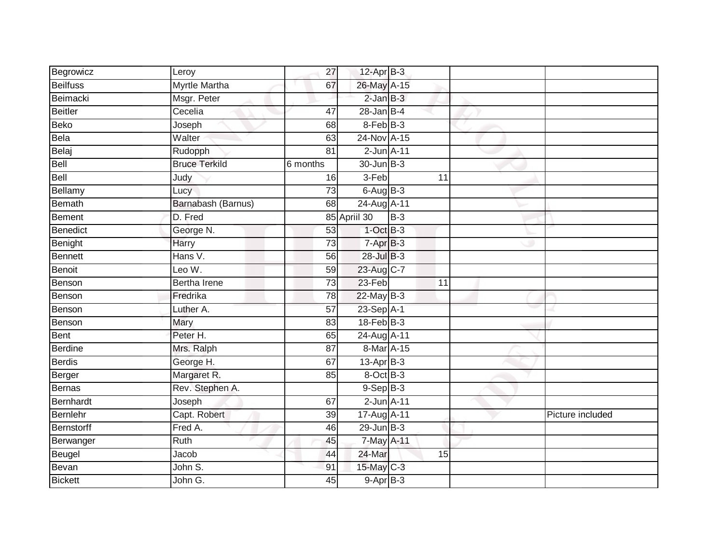| Begrowicz         | Leroy                | 27              | 12-Apr B-3        |       |                 |                  |
|-------------------|----------------------|-----------------|-------------------|-------|-----------------|------------------|
| <b>Beilfuss</b>   | <b>Myrtle Martha</b> | 67              | 26-May A-15       |       |                 |                  |
| Beimacki          | Msgr. Peter          |                 | $2$ -Jan $B-3$    |       |                 |                  |
| <b>Beitler</b>    | Cecelia              | 47              | $28$ -Jan B-4     |       |                 |                  |
| <b>Beko</b>       | Joseph               | 68              | $8-Feb$ $B-3$     |       |                 |                  |
| Bela              | Walter               | 63              | 24-Nov A-15       |       |                 |                  |
| Belaj             | Rudopph              | 81              | $2$ -Jun $A-11$   |       |                 |                  |
| Bell              | <b>Bruce Terkild</b> | 6 months        | 30-Jun B-3        |       |                 |                  |
| Bell              | Judy                 | 16              | 3-Feb             |       | 11              |                  |
| Bellamy           | Lucy                 | $\overline{73}$ | $6$ -Aug $B$ -3   |       |                 |                  |
| <b>Bemath</b>     | Barnabash (Barnus)   | 68              | 24-Aug A-11       |       |                 |                  |
| <b>Bement</b>     | D. Fred              |                 | 85 April 30       | $B-3$ |                 |                  |
| <b>Benedict</b>   | George N.            | 53              | $1$ -Oct $B-3$    |       |                 |                  |
| Benight           | <b>Harry</b>         | 73              | 7-Apr B-3         |       |                 |                  |
| Bennett           | Hans V.              | 56              | 28-Jul B-3        |       |                 |                  |
| Benoit            | Leo W.               | 59              | 23-Aug C-7        |       |                 |                  |
| Benson            | <b>Bertha Irene</b>  | $\overline{73}$ | $23-Feb$          |       | $\overline{11}$ |                  |
| Benson            | Fredrika             | 78              | $22$ -May B-3     |       |                 |                  |
| Benson            | Luther A.            | 57              | 23-Sep A-1        |       |                 |                  |
| Benson            | Mary                 | 83              | $18$ -Feb $ B-3 $ |       |                 |                  |
| <b>Bent</b>       | Peter H.             | 65              | 24-Aug A-11       |       |                 |                  |
| <b>Berdine</b>    | Mrs. Ralph           | 87              | 8-Mar A-15        |       |                 |                  |
| <b>Berdis</b>     | George H.            | 67              | $13$ -Apr $B-3$   |       |                 |                  |
| Berger            | Margaret R.          | 85              | 8-Oct B-3         |       |                 |                  |
| <b>Bernas</b>     | Rev. Stephen A.      |                 | $9-Sep$ B-3       |       |                 |                  |
| Bernhardt         | Joseph               | 67              | $2$ -Jun $A-11$   |       |                 |                  |
| Bernlehr          | Capt. Robert         | 39              | 17-Aug A-11       |       |                 | Picture included |
| <b>Bernstorff</b> | Fred A.              | 46              | $29$ -Jun $B-3$   |       |                 |                  |
| Berwanger         | Ruth                 | 45              | 7-May A-11        |       |                 |                  |
| Beugel            | Jacob                | 44              | 24-Mar            |       | 15              |                  |
| Bevan             | John S.              | 91              | 15-May C-3        |       |                 |                  |
| <b>Bickett</b>    | John G.              | 45              | $9-AprB-3$        |       |                 |                  |
|                   |                      |                 |                   |       |                 |                  |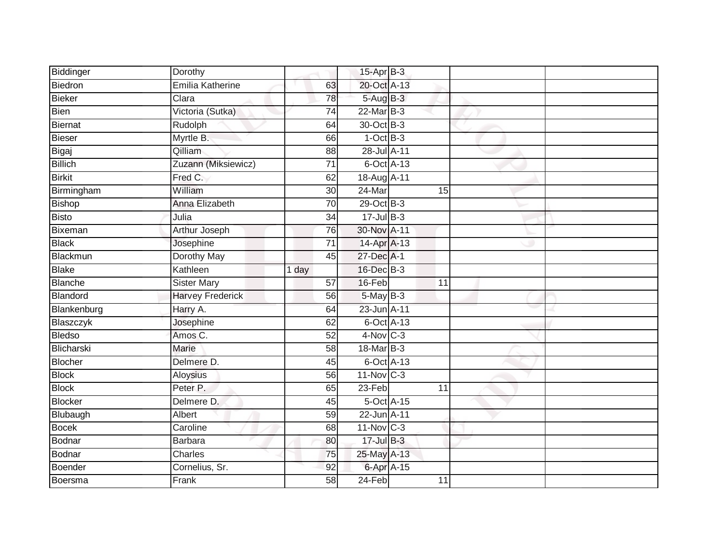| Biddinger      | Dorothy                 |                 | $15$ -Apr $B$ -3        |                 |  |
|----------------|-------------------------|-----------------|-------------------------|-----------------|--|
| Biedron        | Emilia Katherine        | 63              | 20-Oct A-13             |                 |  |
| Bieker         | Clara                   | 78              | 5-Aug B-3               |                 |  |
| Bien           | Victoria (Sutka)        | 74              | 22-Mar B-3              |                 |  |
| Biernat        | Rudolph                 | 64              | 30-Oct B-3              |                 |  |
| Bieser         | Myrtle B.               | 66              | $1-OctB-3$              |                 |  |
| Bigaj          | Qilliam                 | 88              | 28-Jul A-11             |                 |  |
| <b>Billich</b> | Zuzann (Miksiewicz)     | 71              | 6-Oct A-13              |                 |  |
| <b>Birkit</b>  | Fred C.                 | 62              | 18-Aug A-11             |                 |  |
| Birmingham     | William                 | 30              | $24$ -Mar               | 15              |  |
| Bishop         | Anna Elizabeth          | 70              | 29-Oct B-3              |                 |  |
| <b>Bisto</b>   | Julia                   | 34              | $17 -$ Jul $B - 3$      |                 |  |
| Bixeman        | <b>Arthur Joseph</b>    | 76              | 30-Nov A-11             |                 |  |
| <b>Black</b>   | Josephine               | 71              | 14-Apr A-13             |                 |  |
| Blackmun       | <b>Dorothy May</b>      | 45              | 27-Dec A-1              |                 |  |
| Blake          | Kathleen                | 1 day           | 16-Dec B-3              |                 |  |
| Blanche        | <b>Sister Mary</b>      | $\overline{57}$ | 16-Feb                  | $\overline{11}$ |  |
| Blandord       | <b>Harvey Frederick</b> | 56              | 5-May B-3               |                 |  |
| Blankenburg    | Harry A.                | 64              | 23-Jun A-11             |                 |  |
| Blaszczyk      | Josephine               | 62              | 6-Oct A-13              |                 |  |
| <b>Bledso</b>  | Amos C.                 | 52              | 4-Nov C-3               |                 |  |
| Blicharski     | Marie                   | 58              | 18-Mar B-3              |                 |  |
| Blocher        | Delmere D.              | 45              | 6-Oct A-13              |                 |  |
| <b>Block</b>   | Aloysius                | 56              | $11-Nov$ <sub>C-3</sub> |                 |  |
| <b>Block</b>   | Peter P.                | 65              | 23-Feb                  | 11              |  |
| Blocker        | Delmere D.              | 45              | 5-Oct A-15              |                 |  |
| Blubaugh       | Albert                  | 59              | 22-Jun A-11             |                 |  |
| <b>Bocek</b>   | Caroline                | 68              | $11-Nov$ <sub>C-3</sub> |                 |  |
| Bodnar         | <b>Barbara</b>          | 80              | $17 -$ Jul B-3          |                 |  |
| Bodnar         | Charles                 | 75              | 25-May A-13             |                 |  |
| Boender        | Cornelius, Sr.          | 92              | 6-Apr A-15              |                 |  |
| Boersma        | Frank                   | $\overline{58}$ | $24-Feb$                | $\overline{11}$ |  |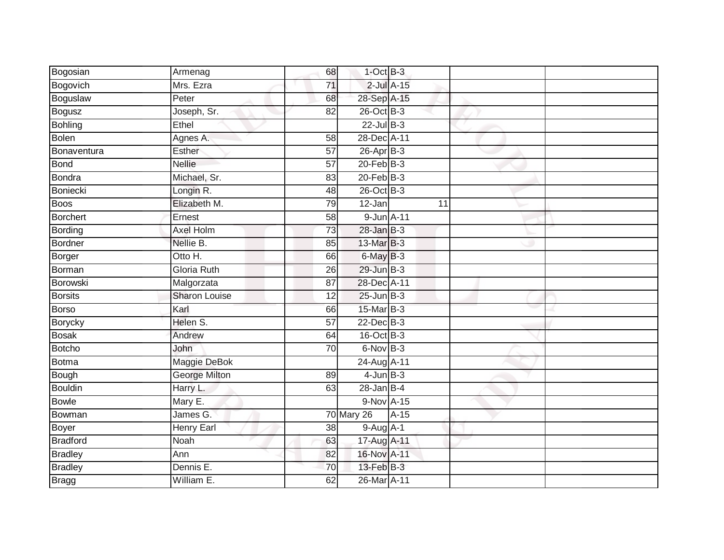| Bogosian        | Armenag              | 68              | $1$ -Oct $B-3$    |                 |    |  |
|-----------------|----------------------|-----------------|-------------------|-----------------|----|--|
| Bogovich        | Mrs. Ezra            | 71              |                   | $2$ -Jul $A-15$ |    |  |
| Boguslaw        | Peter                | 68              | 28-Sep A-15       |                 |    |  |
| <b>Bogusz</b>   | Joseph, Sr.          | 82              | 26-Oct B-3        |                 |    |  |
| <b>Bohling</b>  | Ethel                |                 | $22$ -Jul B-3     |                 |    |  |
| <b>Bolen</b>    | Agnes A.             | 58              | 28-Dec A-11       |                 |    |  |
| Bonaventura     | Esther               | $\overline{57}$ | $26$ -Apr $B-3$   |                 |    |  |
| Bond            | <b>Nellie</b>        | 57              | $20$ -Feb $B-3$   |                 |    |  |
| Bondra          | Michael, Sr.         | 83              | $20$ -Feb $B-3$   |                 |    |  |
| Boniecki        | Longin R.            | 48              | 26-Oct B-3        |                 |    |  |
| Boos            | Elizabeth M.         | 79              | 12-Jan            |                 | 11 |  |
| Borchert        | Ernest               | 58              | 9-Jun A-11        |                 |    |  |
| Bording         | Axel Holm            | 73              | $28$ -Jan B-3     |                 |    |  |
| Bordner         | Nellie B.            | 85              | 13-Mar B-3        |                 |    |  |
| Borger          | Otto H.              | 66              | 6-May B-3         |                 |    |  |
| Borman          | Gloria Ruth          | 26              | 29-Jun B-3        |                 |    |  |
| Borowski        | Malgorzata           | 87              | 28-Dec A-11       |                 |    |  |
| <b>Borsits</b>  | <b>Sharon Louise</b> | 12              | $25$ -Jun $B-3$   |                 |    |  |
| Borso           | Karl                 | 66              | 15-Mar B-3        |                 |    |  |
| <b>Borycky</b>  | Helen S.             | $\overline{57}$ | $22$ -Dec $B-3$   |                 |    |  |
| <b>Bosak</b>    | Andrew               | 64              | 16-Oct B-3        |                 |    |  |
| Botcho          | John                 | $\overline{70}$ | $6$ -Nov $B-3$    |                 |    |  |
| Botma           | Maggie DeBok         |                 | 24-Aug A-11       |                 |    |  |
| Bough           | <b>George Milton</b> | 89              | $4$ -Jun $B-3$    |                 |    |  |
| <b>Bouldin</b>  | Harry L.             | 63              | $28$ -Jan $B-4$   |                 |    |  |
| <b>Bowle</b>    | Mary E.              |                 | $9-NovA-15$       |                 |    |  |
| Bowman          | James G.             |                 | <b>70 Mary 26</b> | $A-15$          |    |  |
| Boyer           | Henry Earl           | 38              | 9-Aug A-1         |                 |    |  |
| <b>Bradford</b> | Noah                 | 63              | 17-Aug A-11       |                 |    |  |
| <b>Bradley</b>  | Ann                  | 82              | 16-Nov A-11       |                 |    |  |
| <b>Bradley</b>  | Dennis E.            | 70              | $13$ -Feb $B-3$   |                 |    |  |
| <b>Bragg</b>    | William E.           | 62              | 26-Mar A-11       |                 |    |  |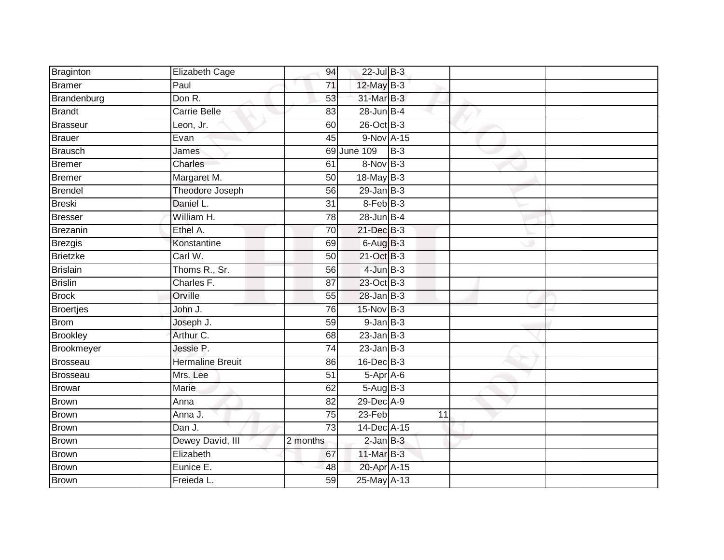| Braginton         | Elizabeth Cage          | 94              | $22$ -Jul B-3         |                 |  |
|-------------------|-------------------------|-----------------|-----------------------|-----------------|--|
| <b>Bramer</b>     | Paul                    | 71              | 12-May B-3            |                 |  |
| Brandenburg       | Don R.                  | 53              | 31-Mar B-3            |                 |  |
| <b>Brandt</b>     | Carrie Belle            | 83              | $28$ -Jun $B-4$       |                 |  |
| <b>Brasseur</b>   | Leon, Jr.               | 60              | $26$ -Oct $B-3$       |                 |  |
| <b>Brauer</b>     | Evan                    | 45              | 9-Nov A-15            |                 |  |
| <b>Brausch</b>    | James                   |                 | 69 June 109           | $B-3$           |  |
| <b>Bremer</b>     | Charles                 | 61              | 8-Nov B-3             |                 |  |
| <b>Bremer</b>     | Margaret M.             | 50              | 18-May B-3            |                 |  |
| <b>Brendel</b>    | Theodore Joseph         | 56              | $29$ -Jan B-3         |                 |  |
| <b>Breski</b>     | Daniel L.               | 31              | 8-Feb B-3             |                 |  |
| <b>Bresser</b>    | William H.              | 78              | $28$ -Jun $B-4$       |                 |  |
| <b>Brezanin</b>   | Ethel A.                | 70              | $21$ -Dec $B-3$       |                 |  |
| Brezgis           | Konstantine             | 69              | $6$ -Aug $B$ -3       |                 |  |
| <b>Brietzke</b>   | Carl W.                 | 50              | 21-Oct B-3            |                 |  |
| <b>Brislain</b>   | Thoms R., Sr.           | 56              | $4$ -Jun $B-3$        |                 |  |
| <b>Brislin</b>    | Charles F.              | $\overline{87}$ | 23-Oct B-3            |                 |  |
| <b>Brock</b>      | Orville                 | 55              | $28$ -Jan B-3         |                 |  |
| <b>Broertjes</b>  | John J.                 | 76              | 15-Nov B-3            |                 |  |
| Brom              | Joseph J.               | 59              | $9$ -Jan $B$ -3       |                 |  |
| <b>Brookley</b>   | Arthur C.               | 68              | $23$ -Jan B-3         |                 |  |
| <b>Brookmeyer</b> | Jessie P.               | 74              | $23$ -Jan B-3         |                 |  |
| <b>Brosseau</b>   | <b>Hermaline Breuit</b> | 86              | 16-Dec <sup>B-3</sup> |                 |  |
| <b>Brosseau</b>   | Mrs. Lee                | 51              | $5-Apr$ A-6           |                 |  |
| Browar            | Marie                   | 62              | $5-Aug$ B-3           |                 |  |
| <b>Brown</b>      | Anna                    | 82              | 29-Dec A-9            |                 |  |
| <b>Brown</b>      | Anna J.                 | $\overline{75}$ | $23-Feb$              | $\overline{11}$ |  |
| <b>Brown</b>      | Dan J.                  | $\overline{73}$ | 14-Dec A-15           |                 |  |
| Brown             | Dewey David, III        | 2 months        | $2$ -Jan $B-3$        |                 |  |
| <b>Brown</b>      | Elizabeth               | 67              | 11-Mar B-3            |                 |  |
| <b>Brown</b>      | Eunice E.               | 48              | 20-Apr A-15           |                 |  |
| Brown             | Freieda L.              | 59              | 25-May A-13           |                 |  |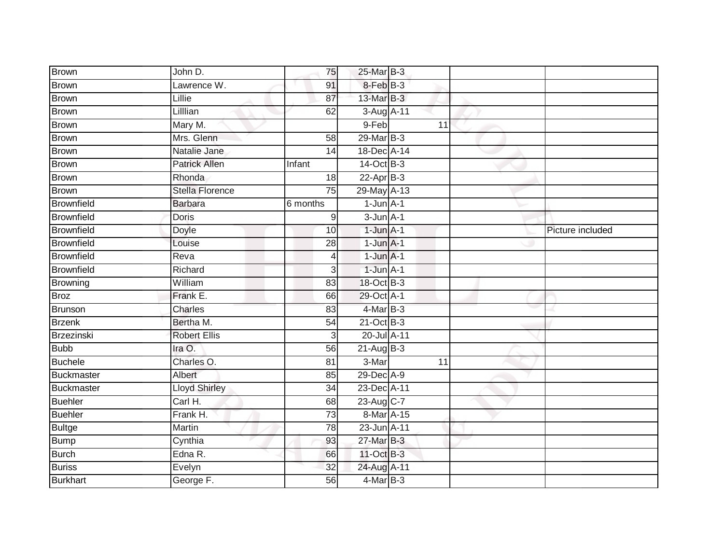| <b>Brown</b>      | John D.                | 75              | 25-Mar B-3     |    |                  |
|-------------------|------------------------|-----------------|----------------|----|------------------|
| Brown             | Lawrence W.            | 91              | 8-Feb B-3      |    |                  |
| Brown             | Lillie                 | 87              | 13-Mar B-3     |    |                  |
| Brown             | Lilllian               | 62              | 3-Aug A-11     |    |                  |
| <b>Brown</b>      | Mary M.                |                 | 9-Feb          | 11 |                  |
| Brown             | Mrs. Glenn             | 58              | 29-Mar B-3     |    |                  |
| Brown             | Natalie Jane           | 14              | 18-Dec A-14    |    |                  |
| Brown             | <b>Patrick Allen</b>   | Infant          | $14-Oct$ B-3   |    |                  |
| <b>Brown</b>      | Rhonda                 | 18              | $22-AprB-3$    |    |                  |
| <b>Brown</b>      | <b>Stella Florence</b> | 75              | 29-May A-13    |    |                  |
| Brownfield        | <b>Barbara</b>         | 6 months        | $1$ -Jun $A-1$ |    |                  |
| Brownfield        | Doris                  | 9               | $3$ -Jun $A-1$ |    |                  |
| Brownfield        | Doyle                  | 10              | $1$ -Jun $A-1$ |    | Picture included |
| Brownfield        | Louise                 | 28              | $1$ -Jun $A-1$ |    |                  |
| <b>Brownfield</b> | Reva                   | $\overline{4}$  | $1$ -Jun $A-1$ |    |                  |
| Brownfield        | Richard                | $\overline{3}$  | $1$ -Jun $A-1$ |    |                  |
| Browning          | William                | 83              | 18-Oct B-3     |    |                  |
| <b>Broz</b>       | Frank E.               | 66              | 29-Oct A-1     |    |                  |
| Brunson           | Charles                | 83              | $4$ -Mar B-3   |    |                  |
| <b>Brzenk</b>     | Bertha M.              | $\overline{54}$ | 21-Oct B-3     |    |                  |
| Brzezinski        | <b>Robert Ellis</b>    | $\overline{3}$  | 20-Jul A-11    |    |                  |
| <b>Bubb</b>       | Ira O.                 | 56              | $21-Aug$ B-3   |    |                  |
| <b>Buchele</b>    | Charles O.             | 81              | 3-Mar          | 11 |                  |
| Buckmaster        | Albert                 | 85              | 29-Dec A-9     |    |                  |
| Buckmaster        | <b>Lloyd Shirley</b>   | 34              | 23-Dec A-11    |    |                  |
| <b>Buehler</b>    | Carl H.                | 68              | 23-Aug C-7     |    |                  |
| <b>Buehler</b>    | Frank H.               | 73              | 8-Mar A-15     |    |                  |
| <b>Bultge</b>     | Martin                 | 78              | 23-Jun A-11    |    |                  |
| Bump              | Cynthia                | 93              | 27-Mar B-3     |    |                  |
| Burch             | Edna R.                | 66              | 11-Oct B-3     |    |                  |
| <b>Buriss</b>     | Evelyn                 | 32              | 24-Aug A-11    |    |                  |
| <b>Burkhart</b>   | George F.              | 56              | $4$ -Mar B-3   |    |                  |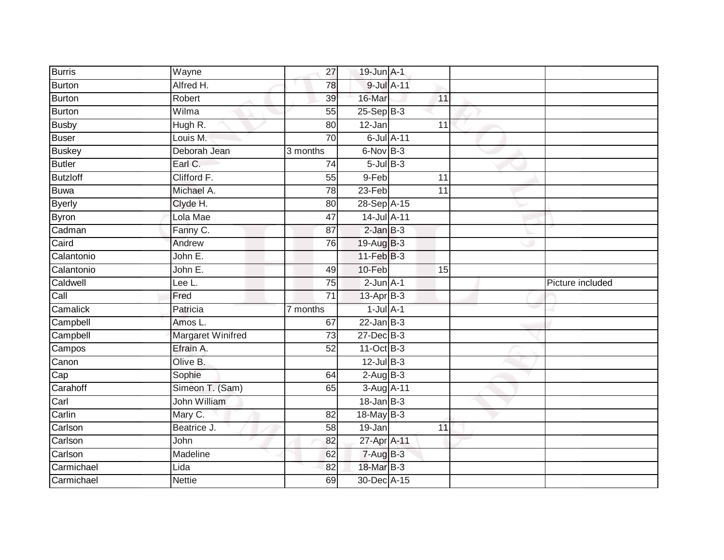| <b>Burris</b>   | Wayne             | 27              | 19-Jun A-1       |            |                 |                  |
|-----------------|-------------------|-----------------|------------------|------------|-----------------|------------------|
| <b>Burton</b>   | Alfred H.         | 78              |                  | 9-Jul A-11 |                 |                  |
| <b>Burton</b>   | Robert            | 39              | 16-Mar           |            | 11              |                  |
| <b>Burton</b>   | Wilma             | 55              | $25-Sep$ B-3     |            |                 |                  |
| <b>Busby</b>    | Hugh R.           | 80              | $12 - Jan$       |            | $\overline{11}$ |                  |
| <b>Buser</b>    | Louis $M$ .       | 70              | 6-Jul A-11       |            |                 |                  |
| <b>Buskey</b>   | Deborah Jean      | 3 months        | $6$ -Nov $B-3$   |            |                 |                  |
| <b>Butler</b>   | Earl C.           | 74              | $5$ -Jul $B$ -3  |            |                 |                  |
| <b>Butzloff</b> | Clifford F.       | 55              | 9-Feb            |            | 11              |                  |
| <b>Buwa</b>     | Michael A.        | $\overline{78}$ | $23-Feb$         |            | $\overline{11}$ |                  |
| <b>Byerly</b>   | Clyde H.          | 80              | 28-Sep A-15      |            |                 |                  |
| <b>Byron</b>    | Lola Mae          | 47              | 14-Jul A-11      |            |                 |                  |
| Cadman          | Fanny C.          | 87              | $2$ -Jan $B-3$   |            |                 |                  |
| Caird           | Andrew            | 76              | 19-Aug B-3       |            |                 |                  |
| Calantonio      | John E.           |                 | $11-Feb$ B-3     |            |                 |                  |
| Calantonio      | John E.           | 49              | 10-Feb           |            | 15              |                  |
| Caldwell        | Lee L.            | $\overline{75}$ | $2$ -Jun $A-1$   |            |                 | Picture included |
| Call            | Fred              | $\overline{71}$ | 13-Apr B-3       |            |                 |                  |
| Camalick        | Patricia          | 7 months        | $1$ -Jul $A-1$   |            |                 |                  |
| Campbell        | Amos L.           | 67              | $22$ -Jan B-3    |            |                 |                  |
| Campbell        | Margaret Winifred | 73              | 27-Dec B-3       |            |                 |                  |
| Campos          | Efrain A.         | 52              | $11-Oct$ B-3     |            |                 |                  |
| Canon           | Olive B.          |                 | $12$ -Jul B-3    |            |                 |                  |
| Cap             |                   |                 |                  |            |                 |                  |
|                 | Sophie            | 64              | $2-AugB-3$       |            |                 |                  |
| Carahoff        | Simeon T. (Sam)   | 65              | 3-Aug A-11       |            |                 |                  |
| Carl            | John William      |                 | $18 - Jan$ $B-3$ |            |                 |                  |
| Carlin          | Mary C.           | 82              | $18$ -May $B-3$  |            |                 |                  |
| Carlson         | Beatrice J.       | 58              | 19-Jan           |            | 11              |                  |
| Carlson         | John              | 82              | 27-Apr A-11      |            |                 |                  |
| Carlson         | Madeline          | 62              | $7 - Aug$ B-3    |            |                 |                  |
| Carmichael      | Lida              | 82              | 18-Mar B-3       |            |                 |                  |
| Carmichael      | <b>Nettie</b>     | 69              | 30-Dec A-15      |            |                 |                  |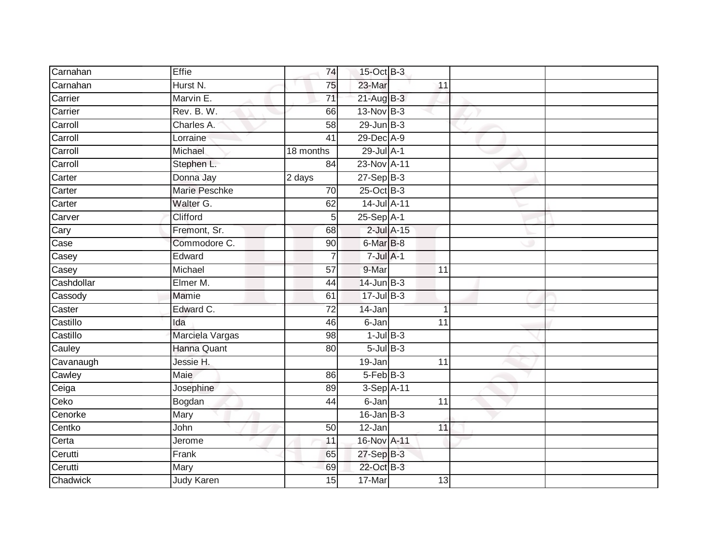| Carnahan                 | Effie                | 74              | 15-Oct B-3           |                 |                 |  |
|--------------------------|----------------------|-----------------|----------------------|-----------------|-----------------|--|
| Carnahan                 | Hurst N.             | 75              | 23-Mar               |                 | 11              |  |
| Carrier                  | Marvin E.            | $\overline{71}$ | $21$ -Aug B-3        |                 |                 |  |
| Carrier                  | Rev. B. W.           | 66              | 13-Nov B-3           |                 |                 |  |
| Carroll                  | Charles A.           | $\overline{58}$ | $29$ -Jun $B-3$      |                 |                 |  |
| Carroll                  | Lorraine             | 41              | 29-Dec A-9           |                 |                 |  |
| Carroll                  | Michael              | 18 months       | 29-Jul A-1           |                 |                 |  |
| Carroll                  | Stephen L.           | 84              | 23-Nov A-11          |                 |                 |  |
| Carter                   | Donna Jay            | 2 days          | $27-Sep$ B-3         |                 |                 |  |
| Carter                   | <b>Marie Peschke</b> | 70              | $25$ -Oct B-3        |                 |                 |  |
| Carter                   | Walter G.            | 62              | 14-Jul A-11          |                 |                 |  |
| Carver                   | Clifford             | 5               | 25-Sep A-1           |                 |                 |  |
| Cary                     | Fremont, Sr.         | 68              |                      | $2$ -Jul $A-15$ |                 |  |
| $\overline{\text{Case}}$ | Commodore C.         | 90              | 6-Mar <sub>B-8</sub> |                 |                 |  |
| Casey                    | Edward               | 7               | $7$ -Jul $A-1$       |                 |                 |  |
| Casey                    | Michael              | 57              | 9-Mar                |                 | 11              |  |
| Cashdollar               | Elmer M.             | 44              | $14$ -Jun B-3        |                 |                 |  |
| Cassody                  | Mamie                | 61              | $17 -$ Jul B-3       |                 |                 |  |
| Caster                   | Edward C.            | $\overline{72}$ | 14-Jan               |                 |                 |  |
| Castillo                 | Ida                  | 46              | $6 - Jan$            |                 | $\overline{11}$ |  |
| Castillo                 | Marciela Vargas      | 98              | $1$ -Jul $B-3$       |                 |                 |  |
| Cauley                   | <b>Hanna Quant</b>   | 80              | $5$ -Jul $B$ -3      |                 |                 |  |
| Cavanaugh                | Jessie H.            |                 | 19-Jan               |                 | 11              |  |
| Cawley                   | <b>Maie</b>          | 86              | $5-FebB-3$           |                 |                 |  |
| Ceiga                    | Josephine            | 89              | 3-Sep A-11           |                 |                 |  |
| Ceko                     | Bogdan               | 44              | 6-Jan                |                 | 11              |  |
| Cenorke                  | Mary                 |                 | $16$ -Jan $B-3$      |                 |                 |  |
| Centko                   | John                 | 50              | 12-Jan               |                 | 11              |  |
| Certa                    | Jerome               | 11              | 16-Nov A-11          |                 |                 |  |
| Cerutti                  | Frank                | 65              | 27-Sep B-3           |                 |                 |  |
| Cerutti                  | Mary                 | 69              | 22-Oct B-3           |                 |                 |  |
| Chadwick                 | Judy Karen           | $\overline{15}$ | 17-Mar               |                 | $\overline{13}$ |  |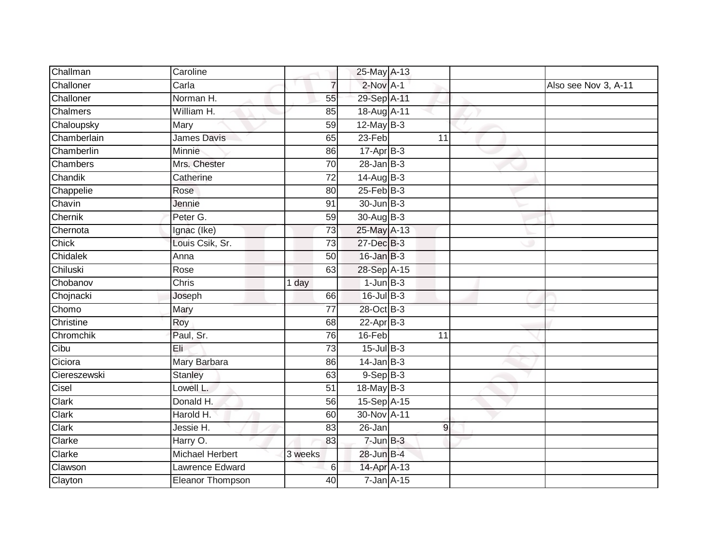| Challman     | Caroline               |                 | 25-May A-13               |    |                      |
|--------------|------------------------|-----------------|---------------------------|----|----------------------|
| Challoner    | Carla                  | $\overline{7}$  | $2$ -Nov $A-1$            |    | Also see Nov 3, A-11 |
| Challoner    | Norman H.              | 55              | 29-Sep A-11               |    |                      |
| Chalmers     | William H.             | 85              | 18-Aug A-11               |    |                      |
| Chaloupsky   | Mary                   | 59              | $12$ -May $B-3$           |    |                      |
| Chamberlain  | <b>James Davis</b>     | 65              | $23-Feb$                  | 11 |                      |
| Chamberlin   | Minnie                 | 86              | $17 - \overline{Apr}$ B-3 |    |                      |
| Chambers     | Mrs. Chester           | 70              | $28$ -Jan B-3             |    |                      |
| Chandik      | Catherine              | $\overline{72}$ | $14-Aug$ B-3              |    |                      |
| Chappelie    | Rose                   | 80              | $25$ -Feb $B$ -3          |    |                      |
| Chavin       | Jennie                 | 91              | 30-Jun B-3                |    |                      |
| Chernik      | Peter G.               | 59              | 30-Aug B-3                |    |                      |
| Chernota     | Ignac (Ike)            | 73              | 25-May A-13               |    |                      |
| Chick        | Louis Csik, Sr.        | 73              | 27-Dec B-3                |    |                      |
| Chidalek     | Anna                   | 50              | $16$ -Jan $B-3$           |    |                      |
| Chiluski     | Rose                   | 63              | 28-Sep A-15               |    |                      |
| Chobanov     | <b>Chris</b>           | 1 day           | $1$ -Jun $B-3$            |    |                      |
| Chojnacki    | Joseph                 | 66              | $16$ -Jul B-3             |    |                      |
| Chomo        | Mary                   | 77              | 28-Oct B-3                |    |                      |
| Christine    | Roy                    | 68              | $22-AprB-3$               |    |                      |
| Chromchik    | Paul, Sr.              | 76              | 16-Feb                    | 11 |                      |
| Cibu         | Eli                    | 73              | $15$ -Jul $B-3$           |    |                      |
| Ciciora      | Mary Barbara           | 86              | $14$ -Jan $B-3$           |    |                      |
| Ciereszewski | <b>Stanley</b>         | 63              | $9-$ Sep $B-3$            |    |                      |
| Cisel        | Lowell L.              | 51              | 18-May B-3                |    |                      |
| Clark        | Donald H.              | 56              | 15-Sep A-15               |    |                      |
| Clark        | Harold H.              | 60              | 30-Nov A-11               |    |                      |
| Clark        | Jessie H.              | 83              | 26-Jan                    | 9  |                      |
| Clarke       | Harry O.               | 83              | $7 - Jun$ B-3             |    |                      |
| Clarke       | <b>Michael Herbert</b> | 3 weeks         | 28-Jun B-4                |    |                      |
| Clawson      | Lawrence Edward        | 6               | 14-Apr A-13               |    |                      |
| Clayton      | Eleanor Thompson       | 40              | $7 - Jan A - 15$          |    |                      |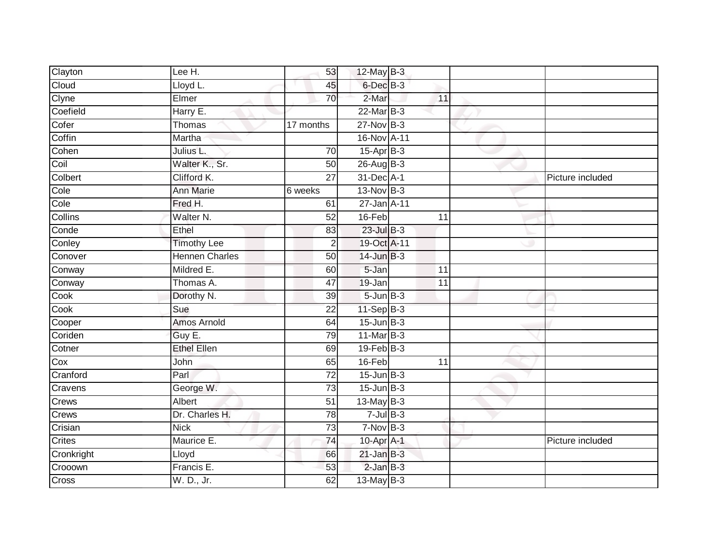| Clayton                  | Lee H.                | 53              | $12$ -May $B-3$ |                 |                  |
|--------------------------|-----------------------|-----------------|-----------------|-----------------|------------------|
| Cloud                    | Lloyd L.              | 45              | $6$ -Dec $B$ -3 |                 |                  |
| Clyne                    | Elmer                 | 70              | 2-Mar           | 11              |                  |
| Coefield                 | Harry E.              |                 | 22-Mar B-3      |                 |                  |
| Cofer                    | Thomas                | 17 months       | $27$ -Nov $B-3$ |                 |                  |
| Coffin                   | Martha                |                 | 16-Nov A-11     |                 |                  |
| Cohen                    | Julius L.             | 70              | $15-Apr$ B-3    |                 |                  |
| Coil                     | Walter K., Sr.        | 50              | $26$ -Aug B-3   |                 |                  |
| Colbert                  | Clifford K.           | $\overline{27}$ | 31-Dec A-1      |                 | Picture included |
| $\overline{\text{Cole}}$ | <b>Ann Marie</b>      | 6 weeks         | 13-Nov B-3      |                 |                  |
| Cole                     | Fred H.               | 61              | 27-Jan A-11     |                 |                  |
| <b>Collins</b>           | Walter N.             | 52              | 16-Feb          | 11              |                  |
| Conde                    | Ethel                 | 83              | $23$ -Jul B-3   |                 |                  |
| Conley                   | <b>Timothy Lee</b>    | $\overline{2}$  | 19-Oct A-11     |                 |                  |
| Conover                  | <b>Hennen Charles</b> | 50              | $14$ -Jun $B-3$ |                 |                  |
| Conway                   | Mildred E.            | 60              | 5-Jan           | 11              |                  |
| Conway                   | Thomas A.             | 47              | 19-Jan          | $\overline{11}$ |                  |
| Cook                     | Dorothy N.            | 39              | $5 - Jun$ $B-3$ |                 |                  |
| Cook                     | Sue                   | $\overline{22}$ | 11-Sep B-3      |                 |                  |
| Cooper                   | Amos Arnold           | 64              | $15$ -Jun $B-3$ |                 |                  |
| Coriden                  | Guy E.                | 79              | 11-Mar B-3      |                 |                  |
| Cotner                   | <b>Ethel Ellen</b>    | 69              | $19$ -Feb $B-3$ |                 |                  |
| Cox                      | John                  | 65              | 16-Feb          | 11              |                  |
| Cranford                 | Parl                  | 72              | $15$ -Jun $B-3$ |                 |                  |
| Cravens                  | George W.             | 73              | $15$ -Jun $B-3$ |                 |                  |
| Crews                    | Albert                | 51              | $13$ -May B-3   |                 |                  |
| Crews                    | Dr. Charles H.        | $\overline{78}$ | $7$ -Jul $B-3$  |                 |                  |
| Crisian                  | <b>Nick</b>           | $\overline{73}$ | $7-Nov$ B-3     |                 |                  |
| Crites                   | Maurice E.            | 74              | 10-Apr A-1      |                 | Picture included |
| Cronkright               | Lloyd                 | 66              | $21$ -Jan $B-3$ |                 |                  |
| Crooown                  | Francis E.            | 53              | $2$ -Jan $B-3$  |                 |                  |
| Cross                    | W. D., Jr.            | 62              | 13-May B-3      |                 |                  |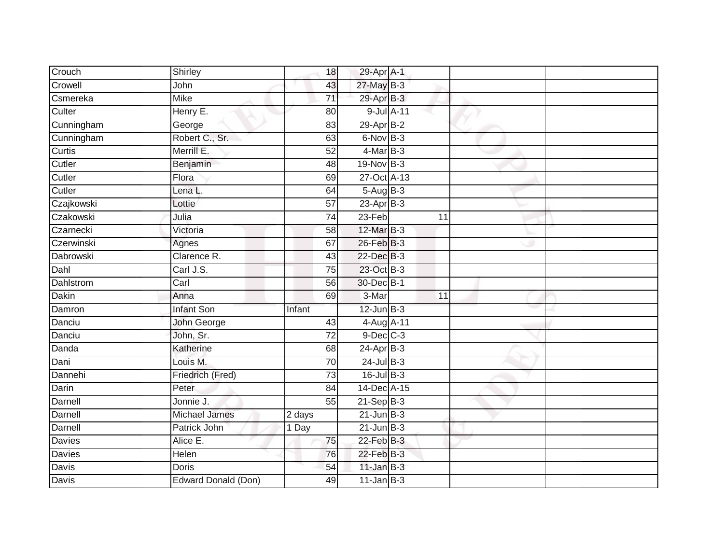| Crouch        | Shirley              | 18              | 29-Apr A-1      |            |    |  |
|---------------|----------------------|-----------------|-----------------|------------|----|--|
| Crowell       | John                 | 43              | 27-May B-3      |            |    |  |
| Csmereka      | <b>Mike</b>          | $\overline{71}$ | 29-Apr B-3      |            |    |  |
| Culter        | Henry E.             | 80              |                 | 9-Jul A-11 |    |  |
| Cunningham    | George               | $\overline{83}$ | $29$ -Apr $B-2$ |            |    |  |
| Cunningham    | Robert C., Sr.       | 63              | 6-Nov B-3       |            |    |  |
| Curtis        | Merrill E.           | 52              | $4$ -Mar B-3    |            |    |  |
| Cutler        | Benjamin             | 48              | 19-Nov B-3      |            |    |  |
| Cutler        | Flora                | 69              | 27-Oct A-13     |            |    |  |
| Cutler        | Lena L.              | 64              | 5-Aug B-3       |            |    |  |
| Czajkowski    | Lottie               | $\overline{57}$ | $23$ -Apr $B-3$ |            |    |  |
| Czakowski     | Julia                | 74              | 23-Feb          |            | 11 |  |
| Czarnecki     | Victoria             | 58              | 12-Mar B-3      |            |    |  |
| Czerwinski    | Agnes                | 67              | 26-Feb B-3      |            |    |  |
| Dabrowski     | Clarence R.          | $\overline{43}$ | 22-Dec B-3      |            |    |  |
| Dahl          | Carl J.S.            | 75              | 23-Oct B-3      |            |    |  |
| Dahlstrom     | Carl                 | 56              | 30-Dec B-1      |            |    |  |
| <b>Dakin</b>  | Anna                 | 69              | 3-Mar           |            | 11 |  |
| Damron        | <b>Infant Son</b>    | Infant          | $12$ -Jun $B-3$ |            |    |  |
| Danciu        | John George          | 43              | 4-Aug A-11      |            |    |  |
| Danciu        | John, Sr.            | 72              | $9$ -Dec $C$ -3 |            |    |  |
| Danda         | Katherine            | 68              | $24-AprB-3$     |            |    |  |
| Dani          | Louis M.             | 70              | $24$ -Jul $B-3$ |            |    |  |
| Dannehi       | Friedrich (Fred)     | 73              | $16$ -Jul $B-3$ |            |    |  |
| Darin         | Peter                | 84              | 14-Dec A-15     |            |    |  |
| Darnell       | Jonnie J.            | 55              | $21-Sep$ B-3    |            |    |  |
| Darnell       | <b>Michael James</b> | 2 days          | $21$ -Jun B-3   |            |    |  |
| Darnell       | Patrick John         | 1 Day           | $21$ -Jun $B-3$ |            |    |  |
| <b>Davies</b> | Alice E.             | 75              | $22$ -Feb $B-3$ |            |    |  |
| Davies        | Helen                | 76              | 22-Feb B-3      |            |    |  |
| Davis         | <b>Doris</b>         | 54              | $11$ -Jan B-3   |            |    |  |
| <b>Davis</b>  | Edward Donald (Don)  | 49              | $11$ -Jan B-3   |            |    |  |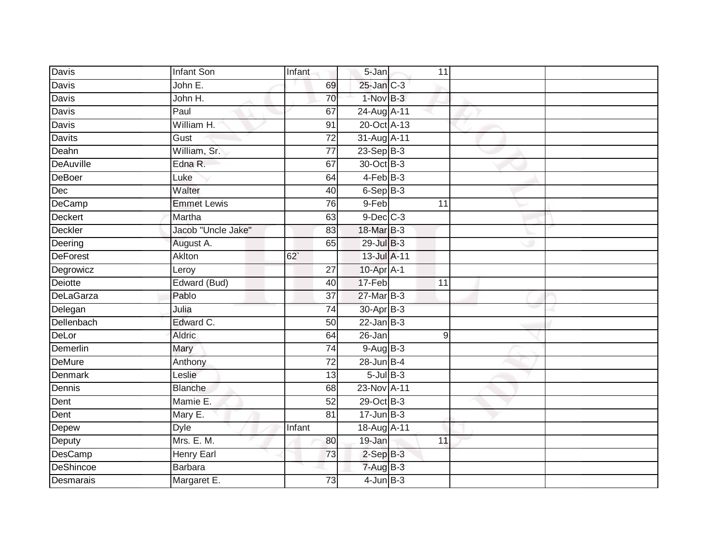| Davis            | Infant Son         | Infant          | 5-Jan             | 11             |  |
|------------------|--------------------|-----------------|-------------------|----------------|--|
| <b>Davis</b>     | John E.            | 69              | $25$ -Jan $C-3$   |                |  |
| <b>Davis</b>     | John H.            | 70              | 1-Nov B-3         |                |  |
| Davis            | Paul               | 67              | 24-Aug A-11       |                |  |
| <b>Davis</b>     | William H.         | 91              | 20-Oct A-13       |                |  |
| <b>Davits</b>    | Gust               | $\overline{72}$ | 31-Aug A-11       |                |  |
| Deahn            | William, Sr.       | 77              | $23-Sep$ B-3      |                |  |
| <b>DeAuville</b> | Edna R.            | 67              | 30-Oct B-3        |                |  |
| DeBoer           | Luke               | 64              | $4-FebB-3$        |                |  |
| Dec              | Walter             | 40              | $6-SepB-3$        |                |  |
| DeCamp           | <b>Emmet Lewis</b> | 76              | 9-Feb             | 11             |  |
| Deckert          | Martha             | 63              | $9$ -Dec $C$ -3   |                |  |
| Deckler          | Jacob "Uncle Jake" | 83              | 18-Mar B-3        |                |  |
| Deering          | August A.          | 65              | 29-Jul B-3        |                |  |
| <b>DeForest</b>  | Aklton             | 62              | 13-Jul A-11       |                |  |
| Degrowicz        | Leroy              | 27              | 10-Apr A-1        |                |  |
| Deiotte          | Edward (Bud)       | 40              | 17-Feb            | 11             |  |
| <b>DeLaGarza</b> | Pablo              | 37              | 27-Mar B-3        |                |  |
| Delegan          | Julia              | 74              | 30-Apr B-3        |                |  |
| Dellenbach       | Edward C.          | 50              | $22$ -Jan B-3     |                |  |
| DeLor            | Aldric             | 64              | 26-Jan            | $\overline{9}$ |  |
| Demerlin         | Mary               | 74              | 9-Aug B-3         |                |  |
| DeMure           | Anthony            | 72              | $28$ -Jun $B-4$   |                |  |
| Denmark          | Leslie             | 13              | $5 -$ Jul $B - 3$ |                |  |
| Dennis           | <b>Blanche</b>     | 68              | 23-Nov A-11       |                |  |
| Dent             | Mamie E.           | 52              | 29-Oct B-3        |                |  |
| Dent             | Mary E.            | 81              | $17 - Jun$ $B-3$  |                |  |
| Depew            | <b>Dyle</b>        | Infant          | 18-Aug A-11       |                |  |
| Deputy           | Mrs. E. M.         | 80              | 19-Jan            | 11             |  |
| DesCamp          | Henry Earl         | 73              | $2-SepB-3$        |                |  |
| DeShincoe        | Barbara            |                 | $7 - Aug$ B-3     |                |  |
| Desmarais        | Margaret E.        | 73              | $4$ -Jun $B-3$    |                |  |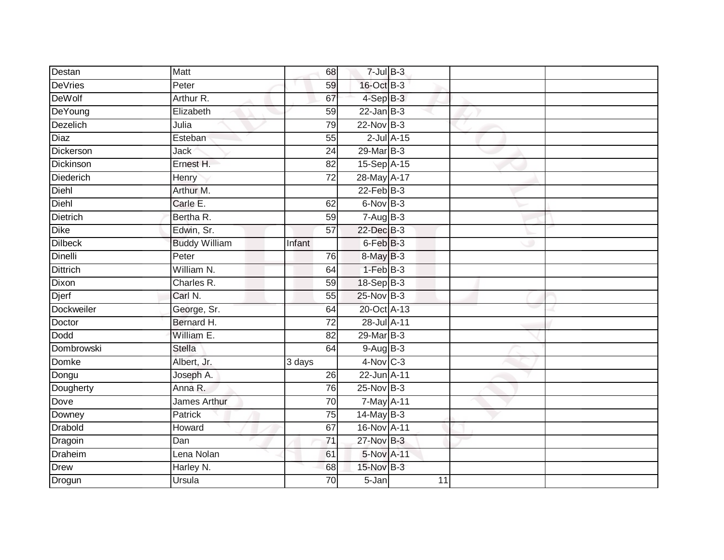| Destan            | Matt                 | 68              | $7$ -Jul $B-3$  |    |  |
|-------------------|----------------------|-----------------|-----------------|----|--|
| <b>DeVries</b>    | Peter                | 59              | 16-Oct B-3      |    |  |
| <b>DeWolf</b>     | Arthur R.            | 67              | 4-Sep B-3       |    |  |
| DeYoung           | Elizabeth            | 59              | $22$ -Jan B-3   |    |  |
| Dezelich          | Julia                | 79              | $22$ -Nov $B-3$ |    |  |
| Diaz              | Esteban              | 55              | $2$ -Jul $A-15$ |    |  |
| Dickerson         | Jack                 | 24              | 29-Mar B-3      |    |  |
| <b>Dickinson</b>  | Ernest H.            | 82              | 15-Sep A-15     |    |  |
| Diederich         | Henry                | 72              | 28-May A-17     |    |  |
| Diehl             | Arthur M.            |                 | $22$ -Feb $B-3$ |    |  |
| Diehl             | Carle E.             | 62              | 6-Nov B-3       |    |  |
| Dietrich          | Bertha R.            | 59              | $7-AugB-3$      |    |  |
| Dike              | Edwin, Sr.           | 57              | 22-Dec B-3      |    |  |
| <b>Dilbeck</b>    | <b>Buddy William</b> | Infant          | $6$ -Feb $B$ -3 |    |  |
| Dinelli           | Peter                | 76              | 8-May B-3       |    |  |
| <b>Dittrich</b>   | William N.           | 64              | $1-FebB-3$      |    |  |
| Dixon             | Charles R.           | 59              | $18-Sep$ B-3    |    |  |
| Djerf             | Carl N.              | 55              | 25-Nov B-3      |    |  |
| <b>Dockweiler</b> | George, Sr.          | 64              | 20-Oct A-13     |    |  |
| Doctor            | Bernard H.           | 72              | 28-Jul A-11     |    |  |
| <b>Dodd</b>       | William E.           | 82              | 29-Mar B-3      |    |  |
| Dombrowski        | <b>Stella</b>        | 64              | 9-Aug B-3       |    |  |
| Domke             | Albert, Jr.          | 3 days          | $4-Nov$ C-3     |    |  |
| Dongu             | Joseph A.            | 26              | 22-Jun A-11     |    |  |
| Dougherty         | Anna R.              | 76              | $25$ -Nov $B-3$ |    |  |
| Dove              | <b>James Arthur</b>  | 70              | 7-May A-11      |    |  |
| Downey            | <b>Patrick</b>       | 75              | $14$ -May B-3   |    |  |
| <b>Drabold</b>    | Howard               | 67              | 16-Nov A-11     |    |  |
| Dragoin           | Dan                  | 71              | 27-Nov B-3      |    |  |
| Draheim           | Lena Nolan           | 61              | 5-Nov A-11      |    |  |
| Drew              | Harley N.            | 68              | 15-Nov B-3      |    |  |
| Drogun            | Ursula               | $\overline{70}$ | $5 - Jan$       | 11 |  |
|                   |                      |                 |                 |    |  |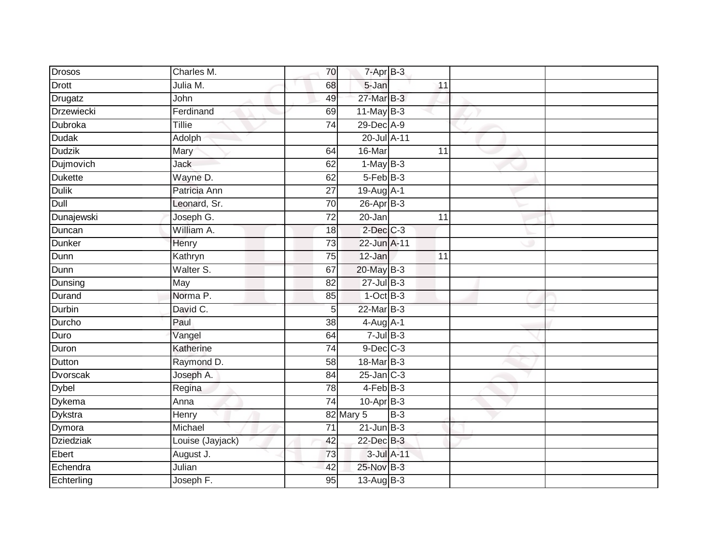| <b>Drosos</b>    | Charles M.          | 70              | $7 - Apr$ B-3   |       |                 |  |
|------------------|---------------------|-----------------|-----------------|-------|-----------------|--|
| Drott            | Julia M.            | 68              | 5-Jan           |       | 11              |  |
| Drugatz          | John                | 49              | 27-Mar B-3      |       |                 |  |
| Drzewiecki       | Ferdinand           | 69              | $11$ -May B-3   |       |                 |  |
| Dubroka          | <b>Tillie</b>       | $\overline{74}$ | 29-Dec A-9      |       |                 |  |
| <b>Dudak</b>     | Adolph              |                 | 20-Jul A-11     |       |                 |  |
| <b>Dudzik</b>    | Mary                | 64              | 16-Mar          |       | 11              |  |
| <b>Dujmovich</b> | Jack                | 62              | $1-MayB-3$      |       |                 |  |
| Dukette          | Wayne D.            | 62              | $5-FebB-3$      |       |                 |  |
| <b>Dulik</b>     | Patricia Ann        | 27              | 19-Aug A-1      |       |                 |  |
| Dull             | Leonard, Sr.        | 70              | $26$ -Apr $B-3$ |       |                 |  |
| Dunajewski       | Joseph G.           | 72              | 20-Jan          |       | 11              |  |
| Duncan           | William A.          | 18              | $2$ -Dec $C-3$  |       |                 |  |
| <b>Dunker</b>    | Henry               | 73              | 22-Jun A-11     |       |                 |  |
| Dunn             | Kathryn             | $\overline{75}$ | 12-Jan          |       | $\overline{11}$ |  |
| Dunn             | Walter S.           | 67              | 20-May B-3      |       |                 |  |
| Dunsing          | May                 | 82              | $27$ -Jul B-3   |       |                 |  |
| Durand           | Norma <sub>P.</sub> | 85              | $1$ -Oct $B-3$  |       |                 |  |
| Durbin           | David C.            | 5               | 22-Mar B-3      |       |                 |  |
| Durcho           | Paul                | 38              | $4-Aug$ A-1     |       |                 |  |
| Duro             | Vangel              | 64              | $7$ -Jul $B-3$  |       |                 |  |
| Duron            | Katherine           | $\overline{74}$ | $9$ -Dec $C$ -3 |       |                 |  |
| Dutton           | Raymond D.          | 58              | 18-Mar B-3      |       |                 |  |
| Dvorscak         | Joseph A.           | 84              | $25$ -Jan $C-3$ |       |                 |  |
| <b>Dybel</b>     | Regina              | 78              | 4-Feb B-3       |       |                 |  |
| Dykema           | Anna                | 74              | $10$ -Apr $B-3$ |       |                 |  |
| Dykstra          | <b>Henry</b>        |                 | 82 Mary 5       | $B-3$ |                 |  |
| Dymora           | Michael             | 71              | $21$ -Jun $B-3$ |       |                 |  |
| <b>Dziedziak</b> | Louise (Jayjack)    | 42              | 22-Dec B-3      |       |                 |  |
| Ebert            | August J.           | 73              | 3-Jul A-11      |       |                 |  |
| Echendra         | Julian              | 42              | 25-Nov B-3      |       |                 |  |
| Echterling       | Joseph F.           | $\overline{95}$ | $13-Aug$ B-3    |       |                 |  |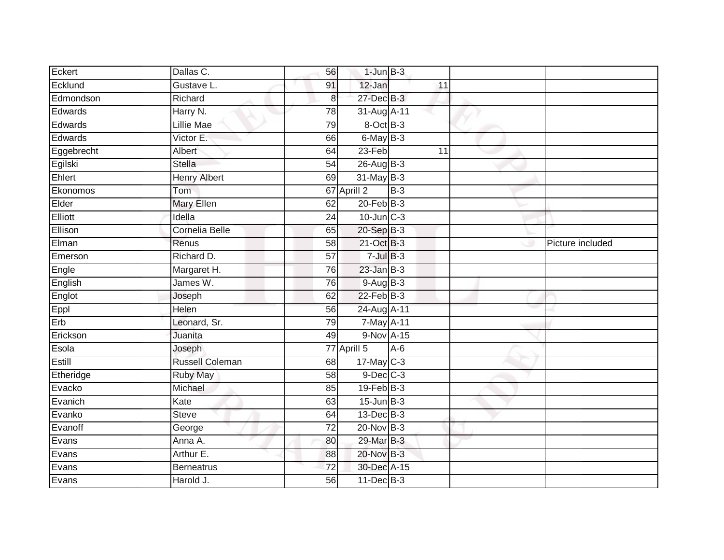| Eckert     | Dallas C.<br>56                      | $1$ -Jun $B-3$  |       |                  |
|------------|--------------------------------------|-----------------|-------|------------------|
| Ecklund    | Gustave L.<br>91                     | 12-Jan          | 11    |                  |
| Edmondson  | Richard<br>8 <sup>1</sup>            | 27-Dec B-3      |       |                  |
| Edwards    | Harry N.<br>78                       | 31-Aug A-11     |       |                  |
| Edwards    | <b>Lillie Mae</b><br>79              | 8-Oct B-3       |       |                  |
| Edwards    | Victor E.<br>66                      | 6-May B-3       |       |                  |
| Eggebrecht | Albert<br>64                         | 23-Feb          | 11    |                  |
| Egilski    | <b>Stella</b><br>54                  | 26-Aug B-3      |       |                  |
| Ehlert     | <b>Henry Albert</b><br>69            | $31$ -May B-3   |       |                  |
| Ekonomos   | Tom                                  | 67 Aprill 2     | $B-3$ |                  |
| Elder      | <b>Mary Ellen</b><br>62              | $20$ -Feb $B-3$ |       |                  |
| Elliott    | Idella<br>24                         | $10$ -Jun $C-3$ |       |                  |
| Ellison    | Cornelia Belle<br>65                 | 20-Sep B-3      |       |                  |
| Elman      | Renus<br>58                          | 21-Oct B-3      |       | Picture included |
| Emerson    | Richard D.<br>$\overline{57}$        | $7$ -Jul $B-3$  |       |                  |
| Engle      | Margaret H.<br>76                    | $23$ -Jan $B-3$ |       |                  |
| English    | James W.<br>76                       | $9-AugB-3$      |       |                  |
| Englot     | Joseph<br>62                         | 22-Feb B-3      |       |                  |
| Eppl       | Helen<br>56                          | 24-Aug A-11     |       |                  |
| Erb        | Leonard, Sr.<br>79                   | 7-May A-11      |       |                  |
| Erickson   | Juanita<br>49                        | 9-Nov A-15      |       |                  |
| Esola      | Joseph                               | 77 Aprill 5     | $A-6$ |                  |
| Estill     | <b>Russell Coleman</b><br>68         | $17$ -May C-3   |       |                  |
| Etheridge  | Ruby May<br>58                       | $9$ -Dec $C$ -3 |       |                  |
| Evacko     | Michael<br>85                        | $19$ -Feb $B-3$ |       |                  |
| Evanich    | Kate<br>63                           | $15$ -Jun $B-3$ |       |                  |
| Evanko     | <b>Steve</b><br>64                   | $13$ -Dec $B-3$ |       |                  |
| Evanoff    | $\overline{72}$<br>George            | 20-Nov B-3      |       |                  |
| Evans      | Anna A.<br>80                        | 29-Mar B-3      |       |                  |
| Evans      | Arthur E.<br>88                      | 20-Nov B-3      |       |                  |
| Evans      | $\overline{72}$<br><b>Berneatrus</b> | 30-Dec A-15     |       |                  |
| Evans      | Harold J.<br>56                      | 11-Dec B-3      |       |                  |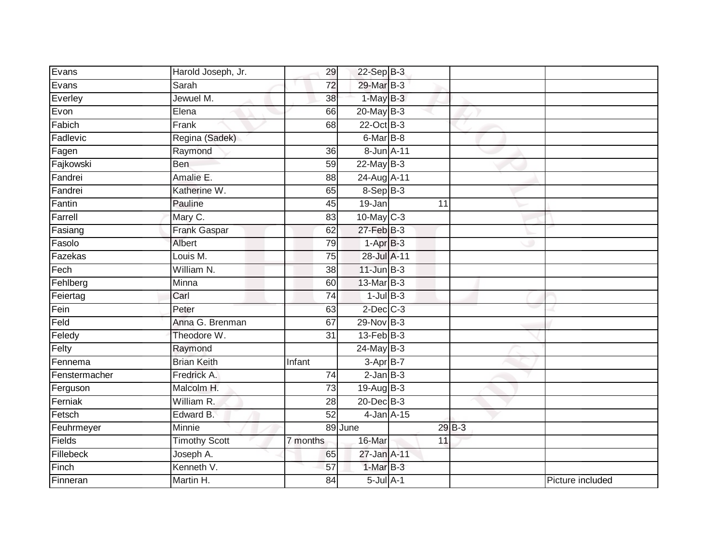| Evans         | Harold Joseph, Jr.   | 29              | $22$ -Sep $B-3$ |    |         |                  |
|---------------|----------------------|-----------------|-----------------|----|---------|------------------|
| Evans         | Sarah                | 72              | 29-Mar B-3      |    |         |                  |
| Everley       | Jewuel M.            | $\overline{38}$ | $1-MayB-3$      |    |         |                  |
| Evon          | Elena                | 66              | $20$ -May B-3   |    |         |                  |
| Fabich        | Frank                | 68              | 22-Oct B-3      |    |         |                  |
| Fadlevic      | Regina (Sadek)       |                 | 6-Mar B-8       |    |         |                  |
| Fagen         | Raymond              | 36              | 8-Jun A-11      |    |         |                  |
| Fajkowski     | <b>Ben</b>           | 59              | $22$ -May B-3   |    |         |                  |
| Fandrei       | Amalie E.            | 88              | 24-Aug A-11     |    |         |                  |
| Fandrei       | Katherine W.         | 65              | 8-Sep B-3       |    |         |                  |
| Fantin        | Pauline              | 45              | 19-Jan          | 11 |         |                  |
| Farrell       | Mary C.              | 83              | $10$ -May C-3   |    |         |                  |
| Fasiang       | <b>Frank Gaspar</b>  | 62              | 27-Feb B-3      |    |         |                  |
| Fasolo        | Albert               | 79              | $1-AprB-3$      |    |         |                  |
| Fazekas       | Louis M.             | $\overline{75}$ | 28-Jul A-11     |    |         |                  |
| Fech          | William N.           | 38              | $11$ -Jun $B-3$ |    |         |                  |
| Fehlberg      | Minna                | 60              | 13-Mar B-3      |    |         |                  |
| Feiertag      | Carl                 | 74              | $1$ -Jul B-3    |    |         |                  |
| Fein          | Peter                | 63              | $2$ -Dec $C-3$  |    |         |                  |
| Feld          | Anna G. Brenman      | 67              | $29-Nov$ B-3    |    |         |                  |
| Feledy        | Theodore W.          | 31              | $13$ -Feb $B-3$ |    |         |                  |
| Felty         | Raymond              |                 | $24$ -May B-3   |    |         |                  |
| Fennema       | <b>Brian Keith</b>   | Infant          | 3-Apr B-7       |    |         |                  |
| Fenstermacher | Fredrick A.          | $\overline{74}$ | $2$ -Jan $B-3$  |    |         |                  |
| Ferguson      | Malcolm H.           | 73              | 19-Aug $B-3$    |    |         |                  |
| Ferniak       | William R.           | 28              | 20-Dec B-3      |    |         |                  |
| Fetsch        | Edward B.            | $\overline{52}$ | 4-Jan A-15      |    |         |                  |
| Feuhrmeyer    | Minnie               |                 | 89 June         |    | $29B-3$ |                  |
| Fields        | <b>Timothy Scott</b> | 7 months        | 16-Mar          | 11 |         |                  |
| Fillebeck     | Joseph A.            | 65              | 27-Jan A-11     |    |         |                  |
| Finch         | Kenneth V.           | 57              | 1-Mar B-3       |    |         |                  |
| Finneran      | Martin H.            | 84              | $5$ -Jul $A-1$  |    |         | Picture included |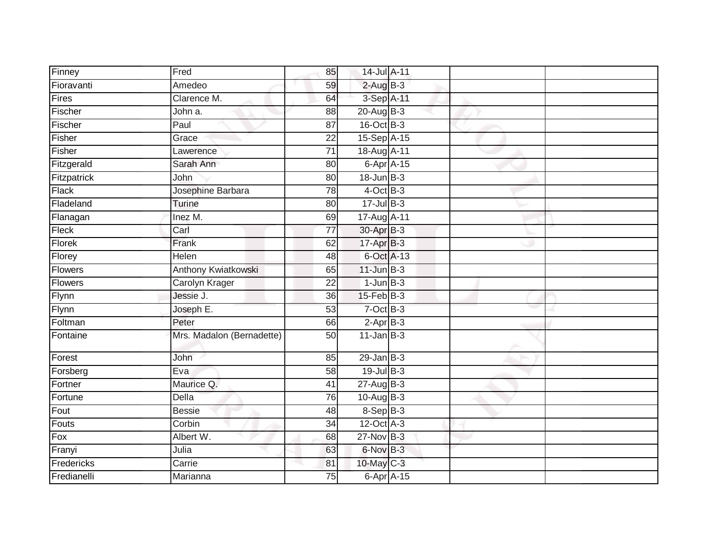| Finney         | Fred                      | 85              | 14-Jul A-11                 |  |  |
|----------------|---------------------------|-----------------|-----------------------------|--|--|
| Fioravanti     | Amedeo                    | 59              | $2$ -Aug B-3                |  |  |
| Fires          | Clarence M.               | 64              | 3-Sep A-11                  |  |  |
| Fischer        | John a.                   | 88              | 20-Aug B-3                  |  |  |
| Fischer        | Paul                      | $\overline{87}$ | 16-Oct B-3                  |  |  |
| Fisher         | Grace                     | 22              | 15-Sep A-15                 |  |  |
| Fisher         | Lawerence                 | $\overline{71}$ | 18-Aug A-11                 |  |  |
| Fitzgerald     | Sarah Ann                 | 80              | $6 - Apr$ $A - 15$          |  |  |
| Fitzpatrick    | John                      | 80              | $18$ -Jun $B-3$             |  |  |
| <b>Flack</b>   | Josephine Barbara         | $\overline{78}$ | $4$ -Oct B-3                |  |  |
| Fladeland      | <b>Turine</b>             | 80              | $17 -$ Jul $B - 3$          |  |  |
| Flanagan       | Inez M.                   | 69              | 17-Aug A-11                 |  |  |
| Fleck          | Carl                      | 77              | 30-Apr B-3                  |  |  |
| Florek         | Frank                     | 62              | $17$ -Apr $B-3$             |  |  |
| Florey         | Helen                     | 48              | 6-Oct A-13                  |  |  |
| <b>Flowers</b> | Anthony Kwiatkowski       | 65              | $11$ -Jun $B-3$             |  |  |
| <b>Flowers</b> | <b>Carolyn Krager</b>     | $\overline{22}$ | $1$ -Jun $B-3$              |  |  |
| Flynn          | Jessie J.                 | 36              | 15-Feb B-3                  |  |  |
| Flynn          | Joseph E.                 | 53              | $7$ -Oct $B-3$              |  |  |
| Foltman        | Peter                     | 66              | $2$ -Apr $B-3$              |  |  |
| Fontaine       | Mrs. Madalon (Bernadette) | 50              | $11$ -Jan $B-3$             |  |  |
| Forest         | John                      | 85              | $29$ -Jan B-3               |  |  |
| Forsberg       | Eva                       | 58              | $19$ -Jul B-3               |  |  |
| Fortner        | Maurice Q.                | 41              | $27 - Aug$ B-3              |  |  |
| Fortune        | Della                     | $\overline{76}$ | $10-Aug$ B-3                |  |  |
| Fout           | <b>Bessie</b>             | 48              | $8-Sep$ B-3                 |  |  |
| Fouts          | Corbin                    | 34              | $12$ -Oct $\overline{A}$ -3 |  |  |
| Fox            | Albert W.                 | 68              | 27-Nov B-3                  |  |  |
| Franyi         | Julia                     | 63              | 6-Nov B-3                   |  |  |
| Fredericks     | Carrie                    | 81              | 10-May C-3                  |  |  |
| Fredianelli    | Marianna                  | 75              | 6-Apr A-15                  |  |  |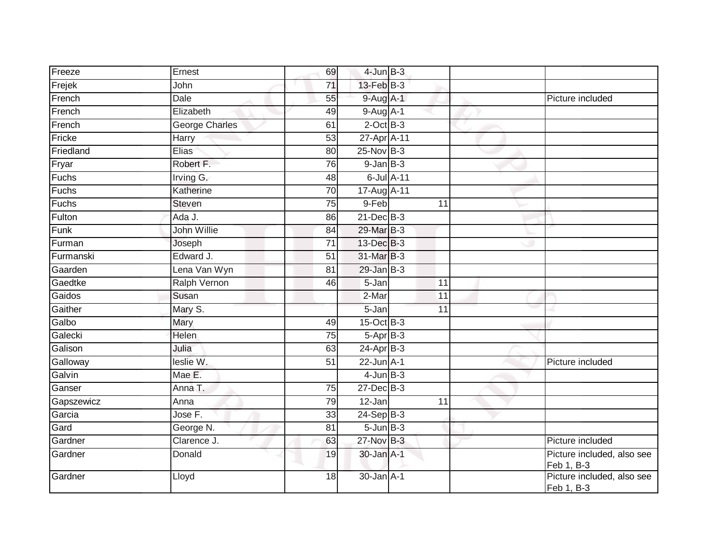| Freeze     | Ernest                | 69              | $4$ -Jun $B-3$  |    |                                          |
|------------|-----------------------|-----------------|-----------------|----|------------------------------------------|
| Frejek     | John                  | $\overline{71}$ | 13-Feb B-3      |    |                                          |
| French     | Dale                  | 55              | $9$ -Aug A-1    |    | Picture included                         |
| French     | Elizabeth             | 49              | $9-Aug$ A-1     |    |                                          |
| French     | <b>George Charles</b> | 61              | $2$ -Oct $B-3$  |    |                                          |
| Fricke     | Harry                 | 53              | 27-Apr A-11     |    |                                          |
| Friedland  | Elias <sup>®</sup>    | 80              | $25$ -Nov $B-3$ |    |                                          |
| Fryar      | Robert F.             | 76              | $9$ -Jan $B$ -3 |    |                                          |
| Fuchs      | Irving G.             | 48              | 6-Jul A-11      |    |                                          |
| Fuchs      | Katherine             | $\overline{70}$ | 17-Aug A-11     |    |                                          |
| Fuchs      | Steven                | 75              | 9-Feb           | 11 |                                          |
| Fulton     | Ada J.                | 86              | $21$ -Dec $B-3$ |    |                                          |
| Funk       | John Willie           | 84              | 29-Mar B-3      |    |                                          |
| Furman     | Joseph                | $\overline{71}$ | 13-Dec B-3      |    |                                          |
| Furmanski  | Edward J.             | 51              | 31-Mar B-3      |    |                                          |
| Gaarden    | Lena Van Wyn          | 81              | $29$ -Jan $B-3$ |    |                                          |
| Gaedtke    | <b>Ralph Vernon</b>   | 46              | 5-Jan           | 11 |                                          |
| Gaidos     | Susan                 |                 | 2-Mar           | 11 |                                          |
| Gaither    | Mary S.               |                 | 5-Jan           | 11 |                                          |
| Galbo      | Mary                  | 49              | 15-Oct B-3      |    |                                          |
| Galecki    | Helen                 | 75              | $5-AprB-3$      |    |                                          |
| Galison    | Julia                 | 63              | $24$ -Apr $B-3$ |    |                                          |
| Galloway   | leslie W.             | 51              | $22$ -Jun $A-1$ |    | Picture included                         |
| Galvin     | Mae E.                |                 | $4$ -Jun $B-3$  |    |                                          |
| Ganser     | Anna T.               | $\overline{75}$ | $27$ -Dec $B-3$ |    |                                          |
| Gapszewicz | Anna                  | 79              | $12$ -Jan       | 11 |                                          |
| Garcia     | Jose F.               | 33              | $24-Sep$ B-3    |    |                                          |
| Gard       | George N.             | 81              | $5 - Jun$ B-3   |    |                                          |
| Gardner    | Clarence J.           | 63              | 27-Nov B-3      |    | Picture included                         |
| Gardner    | Donald                | 19              | 30-Jan A-1      |    | Picture included, also see<br>Feb 1, B-3 |
| Gardner    | Lloyd                 | 18              | $30 - Jan$ A-1  |    | Picture included, also see<br>Feb 1, B-3 |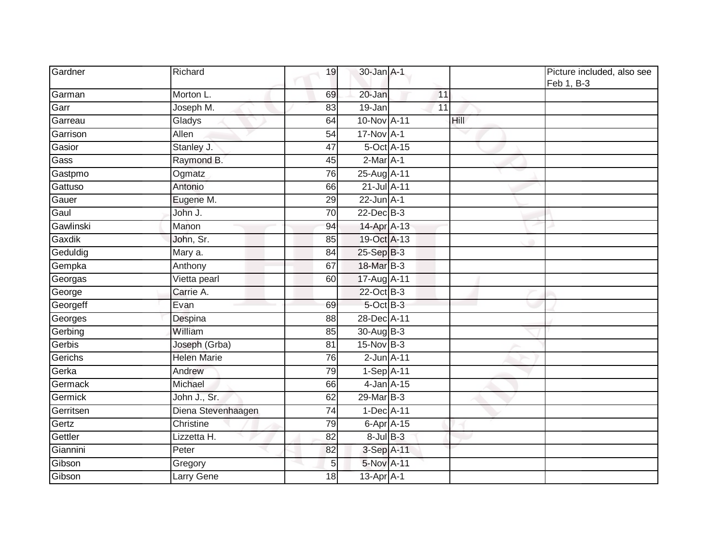| Gardner   | Richard            | 19              | $30$ -Jan $A-1$  |    |      | Picture included, also see<br>Feb 1, B-3 |
|-----------|--------------------|-----------------|------------------|----|------|------------------------------------------|
| Garman    | Morton L.          | 69              | 20-Jan           | 11 |      |                                          |
| Garr      | Joseph M.          | 83              | $19 - Jan$       | 11 |      |                                          |
| Garreau   | Gladys             | 64              | 10-Nov A-11      |    | Hill |                                          |
| Garrison  | Allen              | 54              | 17-Nov A-1       |    |      |                                          |
| Gasior    | Stanley J.         | 47              | 5-Oct A-15       |    |      |                                          |
| Gass      | Raymond B.         | 45              | $2-Mar A-1$      |    |      |                                          |
| Gastpmo   | Ogmatz             | $\overline{76}$ | 25-Aug A-11      |    |      |                                          |
| Gattuso   | Antonio            | 66              | 21-Jul A-11      |    |      |                                          |
| Gauer     | Eugene M.          | 29              | $22$ -Jun $A-1$  |    |      |                                          |
| Gaul      | John J.            | $\overline{70}$ | 22-Dec B-3       |    |      |                                          |
| Gawlinski | Manon              | 94              | 14-Apr A-13      |    |      |                                          |
| Gaxdik    | John, Sr.          | 85              | 19-Oct A-13      |    |      |                                          |
| Geduldig  | Mary a.            | 84              | 25-Sep B-3       |    |      |                                          |
| Gempka    | Anthony            | 67              | 18-Mar B-3       |    |      |                                          |
| Georgas   | Vietta pearl       | 60              | 17-Aug A-11      |    |      |                                          |
| George    | Carrie A.          |                 | 22-Oct B-3       |    |      |                                          |
| Georgeff  | Evan               | 69              | $5$ -Oct $B$ -3  |    |      |                                          |
| Georges   | Despina            | 88              | 28-Dec A-11      |    |      |                                          |
| Gerbing   | William            | 85              | 30-Aug B-3       |    |      |                                          |
| Gerbis    | Joseph (Grba)      | 81              | 15-Nov B-3       |    |      |                                          |
| Gerichs   | <b>Helen Marie</b> | 76              | $2$ -Jun $A-11$  |    |      |                                          |
| Gerka     | Andrew             | 79              | 1-Sep A-11       |    |      |                                          |
| Germack   | Michael            | 66              | $4$ -Jan $A-15$  |    |      |                                          |
| Germick   | John J., Sr.       | 62              | 29-Mar B-3       |    |      |                                          |
| Gerritsen | Diena Stevenhaagen | 74              | 1-Dec A-11       |    |      |                                          |
| Gertz     | Christine          | 79              | $6$ -Apr $A$ -15 |    |      |                                          |
| Gettler   | Lizzetta H.        | 82              | $8$ -Jul $B$ -3  |    |      |                                          |
| Giannini  | Peter              | 82              | 3-Sep A-11       |    |      |                                          |
| Gibson    | Gregory            | 5               | 5-Nov A-11       |    |      |                                          |
| Gibson    | Larry Gene         | 18              | $13$ -Apr $A$ -1 |    |      |                                          |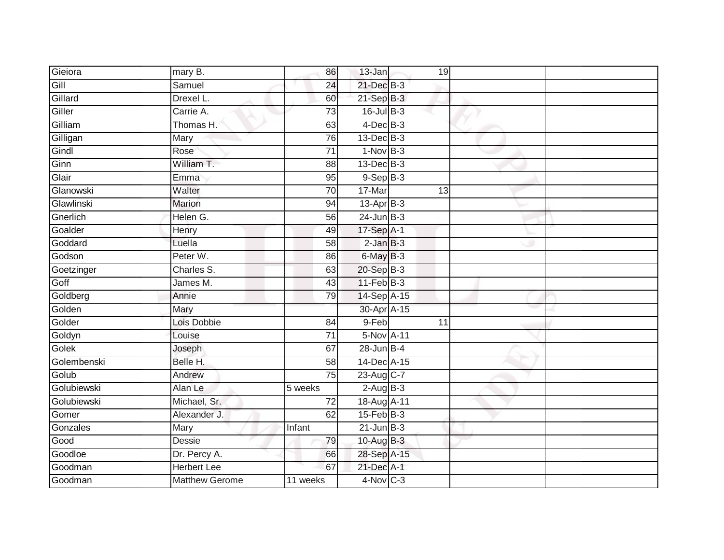| Gieiora     | mary B.               | 86              | 13-Jan           | 19              |  |
|-------------|-----------------------|-----------------|------------------|-----------------|--|
| Gill        | Samuel                | 24              | 21-Dec B-3       |                 |  |
| Gillard     | Drexel L.             | 60              | $21-SepB-3$      |                 |  |
| Giller      | Carrie A.             | 73              | 16-Jul B-3       |                 |  |
| Gilliam     | Thomas H.             | 63              | $4$ -Dec $B-3$   |                 |  |
| Gilligan    | Mary                  | 76              | 13-Dec B-3       |                 |  |
| Gindl       | Rose                  | $\overline{71}$ | $1-Nov$ B-3      |                 |  |
| Ginn        | William T.            | 88              | 13-Dec B-3       |                 |  |
| Glair       | Emma                  | 95              | $9-Sep$ B-3      |                 |  |
| Glanowski   | Walter                | 70              | 17-Mar           | 13              |  |
| Glawlinski  | <b>Marion</b>         | 94              | $13$ -Apr $B-3$  |                 |  |
| Gnerlich    | Helen G.              | 56              | $24$ -Jun $B-3$  |                 |  |
| Goalder     | Henry                 | 49              | 17-Sep A-1       |                 |  |
| Goddard     | Luella                | 58              | $2$ -Jan $B-3$   |                 |  |
| Godson      | Peter W.              | 86              | 6-May B-3        |                 |  |
| Goetzinger  | Charles S.            | 63              | $20 - SepB-3$    |                 |  |
| Goff        | James M.              | 43              | $11-Feb$ B-3     |                 |  |
| Goldberg    | Annie                 | 79              | 14-Sep A-15      |                 |  |
| Golden      | Mary                  |                 | 30-Apr A-15      |                 |  |
| Golder      | Lois Dobbie           | $\overline{84}$ | 9-Feb            | $\overline{11}$ |  |
| Goldyn      | Louise                | $\overline{71}$ | 5-Nov A-11       |                 |  |
| Golek       | Joseph                | 67              | $28$ -Jun $B-4$  |                 |  |
| Golembenski | Belle H.              | 58              | 14-Dec A-15      |                 |  |
| Golub       | Andrew                | 75              | 23-Aug C-7       |                 |  |
| Golubiewski | Alan Le               | 5 weeks         | $2-AugB-3$       |                 |  |
| Golubiewski | Michael, Sr.          | 72              | 18-Aug A-11      |                 |  |
| Gomer       | Alexander J.          | 62              | $15$ -Feb $B$ -3 |                 |  |
| Gonzales    | Mary                  | Infant          | $21$ -Jun $B-3$  |                 |  |
| Good        | Dessie                | 79              | 10-Aug B-3       |                 |  |
| Goodloe     | Dr. Percy A.          | 66              | 28-Sep A-15      |                 |  |
| Goodman     | <b>Herbert Lee</b>    | 67              | 21-Dec A-1       |                 |  |
| Goodman     | <b>Matthew Gerome</b> | 11 weeks        | 4-Nov C-3        |                 |  |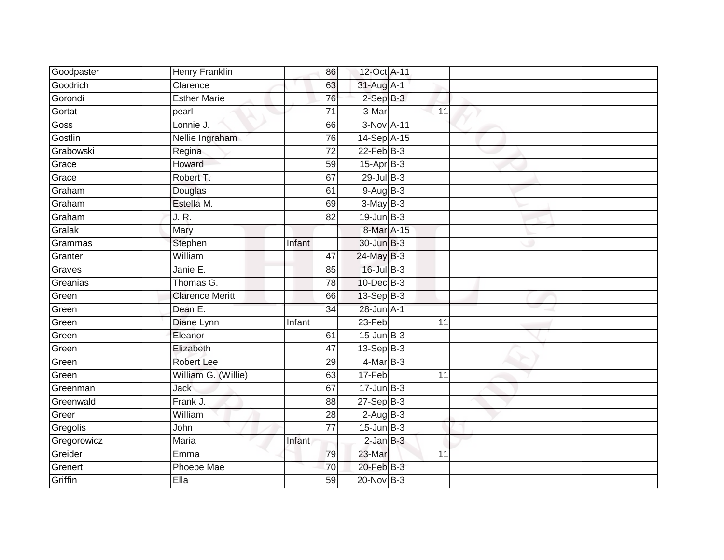| Goodpaster  | Henry Franklin         | 86              | 12-Oct A-11      |                 |  |
|-------------|------------------------|-----------------|------------------|-----------------|--|
| Goodrich    | Clarence               | 63              | 31-Aug A-1       |                 |  |
| Gorondi     | <b>Esther Marie</b>    | 76              | $2-SepB-3$       |                 |  |
| Gortat      | pearl                  | 71              | 3-Mar            | 11              |  |
| <b>Goss</b> | Lonnie J.              | 66              | 3-Nov A-11       |                 |  |
| Gostlin     | Nellie Ingraham        | 76              | 14-Sep A-15      |                 |  |
| Grabowski   | Regina                 | $\overline{72}$ | $22$ -Feb $B-3$  |                 |  |
| Grace       | Howard                 | 59              | $15$ -Apr $B$ -3 |                 |  |
| Grace       | Robert T.              | 67              | $29$ -Jul B-3    |                 |  |
| Graham      | Douglas                | 61              | $9-AugB-3$       |                 |  |
| Graham      | Estella M.             | 69              | $3-May$ B-3      |                 |  |
| Graham      | J. R.                  | 82              | $19$ -Jun $B-3$  |                 |  |
| Gralak      | Mary                   |                 | 8-Mar A-15       |                 |  |
| Grammas     | Stephen                | Infant          | 30-Jun B-3       |                 |  |
| Granter     | William                | 47              | 24-May B-3       |                 |  |
| Graves      | Janie E.               | 85              | $16$ -Jul B-3    |                 |  |
| Greanias    | Thomas G.              | 78              | $10$ -Dec $B-3$  |                 |  |
| Green       | <b>Clarence Meritt</b> | 66              | 13-Sep B-3       |                 |  |
| Green       | Dean E.                | 34              | 28-Jun A-1       |                 |  |
| Green       | Diane Lynn             | Infant          | $23-Feb$         | 11              |  |
| Green       | Eleanor                | 61              | $15$ -Jun $B-3$  |                 |  |
| Green       | Elizabeth              | 47              | $13-Sep$ B-3     |                 |  |
| Green       | <b>Robert Lee</b>      | 29              | $4$ -Mar B-3     |                 |  |
| Green       | William G. (Willie)    | 63              | 17-Feb           | $\overline{11}$ |  |
| Greenman    | <b>Jack</b>            | 67              | $17 - Jun$ $B-3$ |                 |  |
| Greenwald   | Frank J.               | 88              | $27-Sep$ $B-3$   |                 |  |
| Greer       | William                | 28              | $2-AugB-3$       |                 |  |
| Gregolis    | John                   | 77              | $15$ -Jun $B-3$  |                 |  |
| Gregorowicz | Maria                  | Infant          | $2$ -Jan $B-3$   |                 |  |
| Greider     | Emma                   | 79              | 23-Mar           | 11              |  |
| Grenert     | Phoebe Mae             | 70              | 20-Feb B-3       |                 |  |
| Griffin     | Ella                   | 59              | $20$ -Nov $B-3$  |                 |  |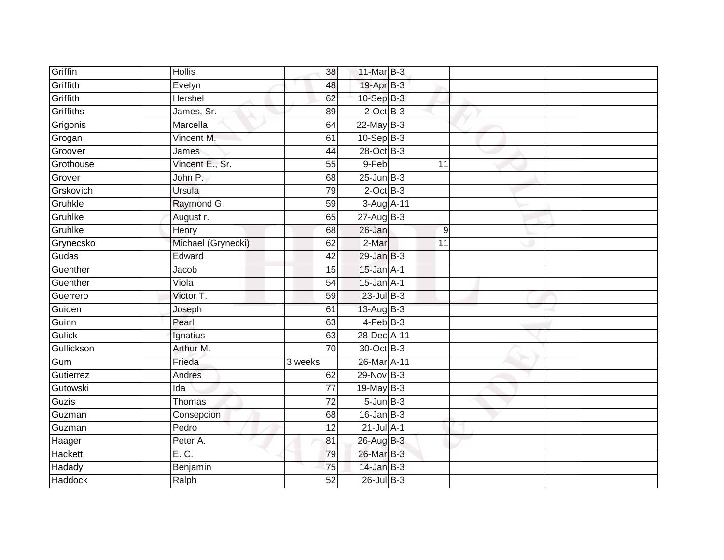| Griffin        | <b>Hollis</b>      | 38              | 11-Mar B-3      |                |  |
|----------------|--------------------|-----------------|-----------------|----------------|--|
| Griffith       | Evelyn             | 48              | 19-Apr B-3      |                |  |
| Griffith       | <b>Hershel</b>     | 62              | $10-Sep$ B-3    |                |  |
| Griffiths      | James, Sr.         | 89              | $2$ -Oct $B-3$  |                |  |
| Grigonis       | Marcella           | 64              | $22$ -May $B-3$ |                |  |
| Grogan         | Vincent M.         | 61              | $10-Sep$ B-3    |                |  |
| Groover        | James              | 44              | 28-Oct B-3      |                |  |
| Grothouse      | Vincent E., Sr.    | 55              | 9-Feb           | 11             |  |
| Grover         | John P.            | 68              | $25$ -Jun $B-3$ |                |  |
| Grskovich      | Ursula             | 79              | $2$ -Oct $B-3$  |                |  |
| Gruhkle        | Raymond G.         | 59              | 3-Aug A-11      |                |  |
| Gruhlke        | August r.          | 65              | $27 - Aug$ B-3  |                |  |
| Gruhlke        | Henry              | 68              | 26-Jan          | $\overline{9}$ |  |
| Grynecsko      | Michael (Grynecki) | 62              | $2-Mar$         | 11             |  |
| Gudas          | Edward             | 42              | $29$ -Jan $B-3$ |                |  |
| Guenther       | Jacob              | 15              | $15$ -Jan $A-1$ |                |  |
| Guenther       | Viola              | 54              | $15$ -Jan $A-1$ |                |  |
| Guerrero       | Victor T.          | 59              | $23$ -Jul $B-3$ |                |  |
| Guiden         | Joseph             | 61              | 13-Aug B-3      |                |  |
| Guinn          | Pearl              | 63              | $4$ -Feb $B$ -3 |                |  |
| <b>Gulick</b>  | Ignatius           | 63              | 28-Dec A-11     |                |  |
| Gullickson     | Arthur M.          | 70              | 30-Oct B-3      |                |  |
| Gum            | Frieda             | 3 weeks         | 26-Mar A-11     |                |  |
| Gutierrez      | Andres             | 62              | 29-Nov B-3      |                |  |
| Gutowski       | Ida                | $\overline{77}$ | 19-May B-3      |                |  |
| Guzis          | Thomas             | 72              | $5 - Jun$ $B-3$ |                |  |
| Guzman         | Consepcion         | 68              | $16$ -Jan B-3   |                |  |
| Guzman         | Pedro              | 12              | $21$ -Jul A-1   |                |  |
| Haager         | Peter A.           | 81              | 26-Aug B-3      |                |  |
| Hackett        | E. C.              | 79              | 26-Mar B-3      |                |  |
| Hadady         | Benjamin           | 75              | $14$ -Jan B-3   |                |  |
| <b>Haddock</b> | Ralph              | $\overline{52}$ | 26-Jul B-3      |                |  |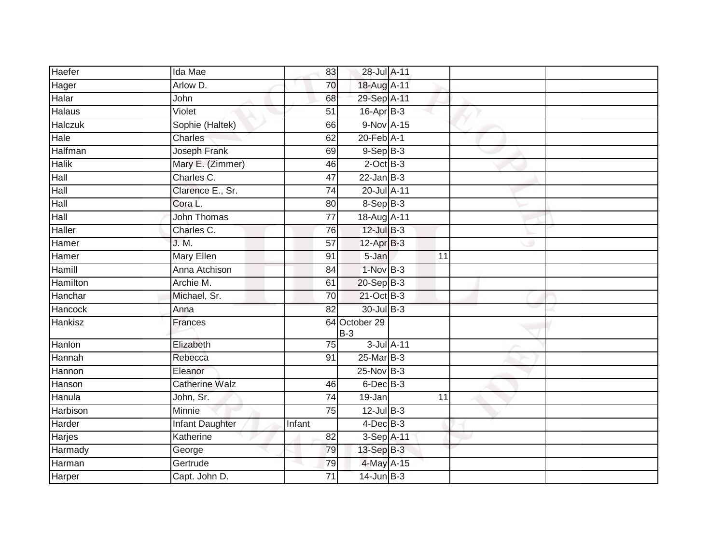| Haefer          | Ida Mae               | 83              | 28-Jul A-11            |                 |  |
|-----------------|-----------------------|-----------------|------------------------|-----------------|--|
| Hager           | Arlow D.              | 70              | 18-Aug A-11            |                 |  |
| Halar           | John                  | 68              | 29-Sep A-11            |                 |  |
| Halaus          | Violet                | 51              | $16$ -Apr $B$ -3       |                 |  |
| Halczuk         | Sophie (Haltek)       | 66              | 9-Nov A-15             |                 |  |
| Hale            | Charles               | 62              | $20$ -Feb $A-1$        |                 |  |
| Halfman         | Joseph Frank          | 69              | $9-$ Sep $B-3$         |                 |  |
| <b>Halik</b>    | Mary E. (Zimmer)      | 46              | $2$ -Oct $B-3$         |                 |  |
| Hall            | Charles C.            | 47              | $22$ -Jan B-3          |                 |  |
| Hall            | Clarence E., Sr.      | $\overline{74}$ | 20-Jul A-11            |                 |  |
| Hall            | Cora L.               | 80              | $8-Sep$ B-3            |                 |  |
| Hall            | <b>John Thomas</b>    | $\overline{77}$ | 18-Aug A-11            |                 |  |
| <b>Haller</b>   | Charles C.            | 76              | $12$ -Jul $B-3$        |                 |  |
| Hamer           | J. M.                 | 57              | 12-Apr B-3             |                 |  |
| Hamer           | <b>Mary Ellen</b>     | 91              | 5-Jan                  | 11              |  |
| Hamill          | Anna Atchison         | 84              | $1-NovB-3$             |                 |  |
| <b>Hamilton</b> | Archie M.             | 61              | $20 - Sep$ B-3         |                 |  |
| Hanchar         | Michael, Sr.          | $\overline{70}$ | 21-Oct B-3             |                 |  |
| Hancock         | Anna                  | 82              | 30-Jul B-3             |                 |  |
| Hankisz         | Frances               |                 | 64 October 29<br>$B-3$ |                 |  |
| Hanlon          | Elizabeth             | 75              | 3-Jul A-11             |                 |  |
| Hannah          | Rebecca               | 91              | $25$ -Mar $B-3$        |                 |  |
| Hannon          | Eleanor               |                 | 25-Nov B-3             |                 |  |
| Hanson          | <b>Catherine Walz</b> | 46              | $6$ -Dec $B$ -3        |                 |  |
| Hanula          | John, Sr.             | $\overline{74}$ | 19-Jan                 | $\overline{11}$ |  |
| Harbison        | Minnie                | $\overline{75}$ | $12$ -Jul $B-3$        |                 |  |
| Harder          | Infant Daughter       | Infant          | $4$ -Dec $B-3$         |                 |  |
| Harjes          | Katherine             | 82              | 3-Sep A-11             |                 |  |
| Harmady         | George                | 79              | 13-Sep B-3             |                 |  |
| Harman          | Gertrude              | 79              | 4-May A-15             |                 |  |
| Harper          | Capt. John D.         | 71              | $14$ -Jun $B-3$        |                 |  |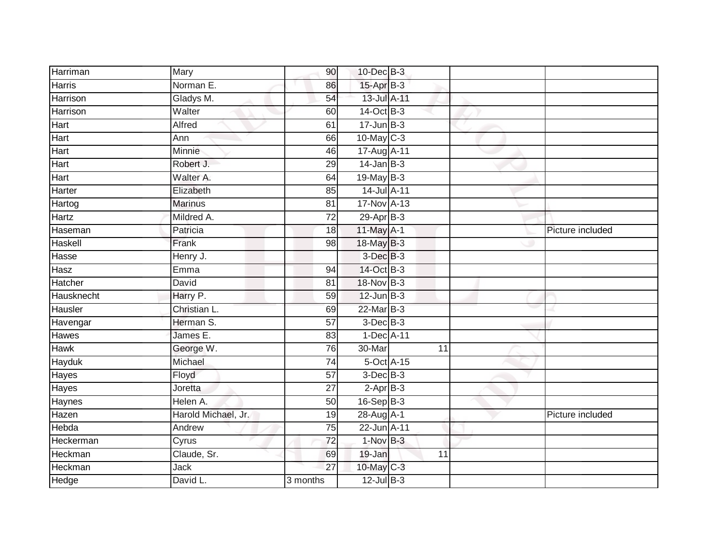| Harriman    | Mary                | 90              | $10$ -Dec $B-3$  |            |    |                  |
|-------------|---------------------|-----------------|------------------|------------|----|------------------|
| Harris      | Norman E.           | 86              | 15-Apr B-3       |            |    |                  |
| Harrison    | Gladys M.           | 54              | 13-Jul A-11      |            |    |                  |
| Harrison    | Walter              | 60              | 14-Oct B-3       |            |    |                  |
| Hart        | Alfred              | 61              | $17 - Jun$ B-3   |            |    |                  |
| Hart        | Ann                 | 66              | 10-May C-3       |            |    |                  |
| Hart        | Minnie              | 46              | 17-Aug A-11      |            |    |                  |
| Hart        | Robert J.           | 29              | $14$ -Jan B-3    |            |    |                  |
| Hart        | Walter A.           | 64              | 19-May B-3       |            |    |                  |
| Harter      | Elizabeth           | $\overline{85}$ | $14$ -Jul $A-11$ |            |    |                  |
| Hartog      | <b>Marinus</b>      | 81              | 17-Nov A-13      |            |    |                  |
| Hartz       | Mildred A.          | $\overline{72}$ | 29-Apr B-3       |            |    |                  |
| Haseman     | Patricia            | 18              | 11-May A-1       |            |    | Picture included |
| Haskell     | Frank               | 98              | 18-May B-3       |            |    |                  |
| Hasse       | Henry J.            |                 | $3$ -Dec $B-3$   |            |    |                  |
| Hasz        | Emma                | 94              | 14-Oct B-3       |            |    |                  |
| Hatcher     | David               | $\overline{81}$ | 18-Nov B-3       |            |    |                  |
| Hausknecht  | Harry P.            | 59              | $12$ -Jun $B-3$  |            |    |                  |
| Hausler     | Christian L.        | 69              | 22-Mar B-3       |            |    |                  |
| Havengar    | Herman S.           | 57              | $3$ -Dec $B-3$   |            |    |                  |
| Hawes       | James E.            | 83              | 1-Dec A-11       |            |    |                  |
| <b>Hawk</b> | George W.           | 76              | 30-Mar           |            | 11 |                  |
| Hayduk      | Michael             | 74              |                  | 5-Oct A-15 |    |                  |
| Hayes       | Floyd               | 57              | $3$ -Dec $B$ -3  |            |    |                  |
| Hayes       | Joretta             | $\overline{27}$ | $2-AprB-3$       |            |    |                  |
| Haynes      | Helen A.            | 50              | 16-Sep B-3       |            |    |                  |
| Hazen       | Harold Michael, Jr. | 19              | 28-Aug A-1       |            |    | Picture included |
| Hebda       | Andrew              | 75              | 22-Jun A-11      |            |    |                  |
| Heckerman   | Cyrus               | 72              | $1-Nov$ B-3      |            |    |                  |
| Heckman     | Claude, Sr.         | 69              | 19-Jan           |            | 11 |                  |
| Heckman     | Jack                | 27              | 10-May C-3       |            |    |                  |
| Hedge       | David L.            | 3 months        | $12$ -Jul $B-3$  |            |    |                  |
|             |                     |                 |                  |            |    |                  |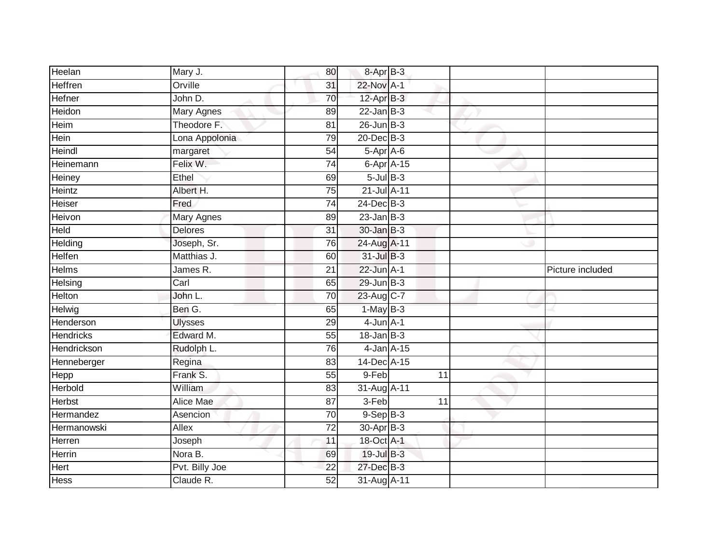| Heelan           | Mary J.          | 80              | 8-Apr B-3        |    |                  |
|------------------|------------------|-----------------|------------------|----|------------------|
| Heffren          | Orville          | 31              | 22-Nov A-1       |    |                  |
| Hefner           | John D.          | 70              | 12-Apr B-3       |    |                  |
| Heidon           | Mary Agnes       | 89              | $22$ -Jan B-3    |    |                  |
| Heim             | Theodore F.      | 81              | $26$ -Jun $B-3$  |    |                  |
| Hein             | Lona Appolonia   | 79              | 20-Dec B-3       |    |                  |
| Heindl           | margaret         | 54              | 5-Apr A-6        |    |                  |
| Heinemann        | Felix W.         | 74              | 6-Apr A-15       |    |                  |
| Heiney           | Ethel            | 69              | $5$ -Jul $B$ -3  |    |                  |
| Heintz           | Albert H.        | 75              | 21-Jul A-11      |    |                  |
| Heiser           | Fred             | 74              | 24-Dec B-3       |    |                  |
| Heivon           | Mary Agnes       | 89              | $23$ -Jan B-3    |    |                  |
| Held             | <b>Delores</b>   | 31              | $30 - Jan$ $B-3$ |    |                  |
| Helding          | Joseph, Sr.      | 76              | 24-Aug A-11      |    |                  |
| Helfen           | Matthias J.      | 60              | $31$ -Jul $B-3$  |    |                  |
| Helms            | James R.         | 21              | $22$ -Jun $A-1$  |    | Picture included |
| Helsing          | Carl             | 65              | $29$ -Jun $B-3$  |    |                  |
| Helton           | John L.          | 70              | 23-Aug C-7       |    |                  |
| Helwig           | Ben G.           | 65              | $1-MayB-3$       |    |                  |
| Henderson        | <b>Ulysses</b>   | 29              | $4$ -Jun $A-1$   |    |                  |
| <b>Hendricks</b> | Edward M.        | 55              | $18 - Jan$ $B-3$ |    |                  |
| Hendrickson      | Rudolph L.       | 76              | 4-Jan A-15       |    |                  |
| Henneberger      | Regina           | 83              | 14-Dec A-15      |    |                  |
| Hepp             | Frank S.         | 55              | 9-Feb            | 11 |                  |
| Herbold          | William          | 83              | 31-Aug A-11      |    |                  |
| <b>Herbst</b>    | <b>Alice Mae</b> | 87              | 3-Feb            | 11 |                  |
| Hermandez        | Asencion         | $\overline{70}$ | $9-Sep$ B-3      |    |                  |
| Hermanowski      | <b>Allex</b>     | $\overline{72}$ | 30-Apr B-3       |    |                  |
| Herren           | Joseph           | 11              | 18-Oct A-1       |    |                  |
| Herrin           | Nora B.          | 69              | 19-Jul B-3       |    |                  |
| Hert             | Pvt. Billy Joe   | 22              | 27-Dec B-3       |    |                  |
| <b>Hess</b>      | Claude R.        | 52              | 31-Aug A-11      |    |                  |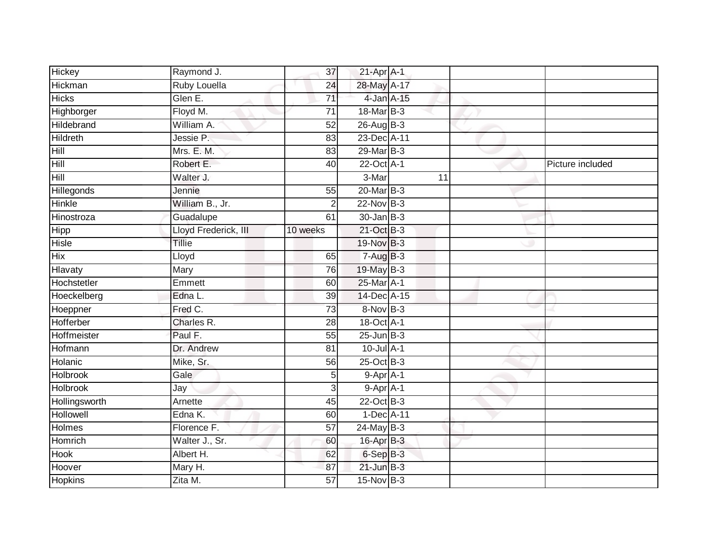| <b>Hickey</b>    | Raymond J.           | 37              | 21-Apr A-1       |    |                  |
|------------------|----------------------|-----------------|------------------|----|------------------|
| Hickman          | Ruby Louella         | $\overline{24}$ | 28-May A-17      |    |                  |
| <b>Hicks</b>     | Glen E.              | $\overline{71}$ | 4-Jan A-15       |    |                  |
| Highborger       | Floyd M.             | $\overline{71}$ | 18-Mar B-3       |    |                  |
| Hildebrand       | William A.           | $\overline{52}$ | $26$ -Aug B-3    |    |                  |
| <b>Hildreth</b>  | Jessie P.            | 83              | 23-Dec A-11      |    |                  |
| Hill             | Mrs. E. M.           | 83              | 29-Mar B-3       |    |                  |
| Hill             | Robert E.            | 40              | 22-Oct A-1       |    | Picture included |
| Hill             | Walter J.            |                 | 3-Mar            | 11 |                  |
| Hillegonds       | Jennie               | 55              | 20-Mar B-3       |    |                  |
| Hinkle           | William B., Jr.      | $\overline{2}$  | 22-Nov B-3       |    |                  |
| Hinostroza       | Guadalupe            | 61              | $30 - Jan$ $B-3$ |    |                  |
| Hipp             | Lloyd Frederick, III | 10 weeks        | 21-Oct B-3       |    |                  |
| Hisle            | Tillie               |                 | 19-Nov B-3       |    |                  |
| <b>Hix</b>       | Lloyd                | 65              | $7-AugB-3$       |    |                  |
| Hlavaty          | Mary                 | 76              | 19-May B-3       |    |                  |
| Hochstetler      | Emmett               | 60              | 25-Mar A-1       |    |                  |
| Hoeckelberg      | Edna L.              | 39              | 14-Dec A-15      |    |                  |
| Hoeppner         | Fred C.              | 73              | 8-Nov B-3        |    |                  |
| <b>Hofferber</b> | Charles R.           | 28              | 18-Oct A-1       |    |                  |
| Hoffmeister      | Paul F.              | 55              | $25$ -Jun $B-3$  |    |                  |
| Hofmann          | Dr. Andrew           | 81              | 10-Jul A-1       |    |                  |
| Holanic          | Mike, Sr.            | 56              | $25$ -Oct B-3    |    |                  |
| <b>Holbrook</b>  | Gale                 | 5 <sub>5</sub>  | $9-Apr$ A-1      |    |                  |
| Holbrook         | Jay                  | $\overline{3}$  | $9-Apr$ A-1      |    |                  |
| Hollingsworth    | Arnette              | 45              | 22-Oct B-3       |    |                  |
| Hollowell        | Edna K.              | 60              | 1-Dec A-11       |    |                  |
| <b>Holmes</b>    | Florence F.          | 57              | $24$ -May B-3    |    |                  |
| Homrich          | Walter J., Sr.       | 60              | $16$ -Apr $B$ -3 |    |                  |
| <b>Hook</b>      | Albert H.            | 62              | $6-SepB-3$       |    |                  |
| Hoover           | Mary H.              | 87              | $21$ -Jun $B-3$  |    |                  |
| <b>Hopkins</b>   | Zita M.              | 57              | $15-Nov$ B-3     |    |                  |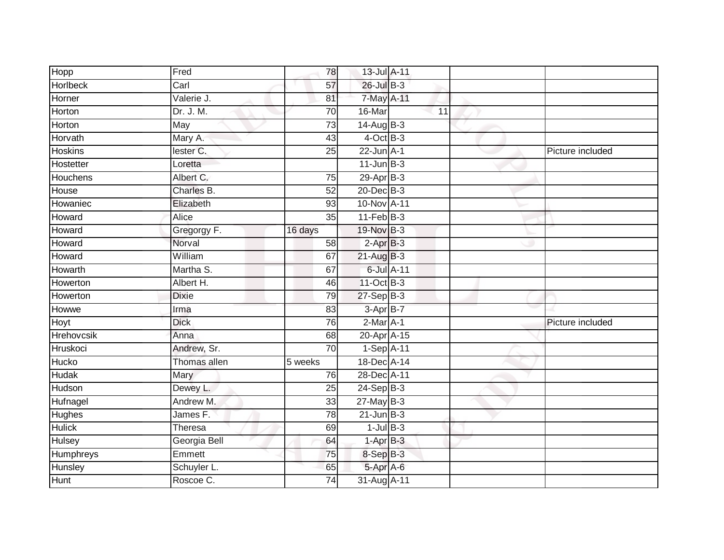| Hopp             | Fred         | 78              | 13-Jul A-11     |            |                  |
|------------------|--------------|-----------------|-----------------|------------|------------------|
| <b>Horlbeck</b>  | Carl         | 57              | 26-Jul B-3      |            |                  |
| Horner           | Valerie J.   | 81              | 7-May A-11      |            |                  |
| Horton           | Dr. J. M.    | 70              | 16-Mar          | 11         |                  |
| Horton           | May          | 73              | $14$ -Aug B-3   |            |                  |
| Horvath          | Mary A.      | 43              | $4$ -Oct B-3    |            |                  |
| <b>Hoskins</b>   | lester C.    | 25              | $22$ -Jun $A-1$ |            | Picture included |
| Hostetter        | Loretta      |                 | $11$ -Jun $B-3$ |            |                  |
| Houchens         | Albert C.    | $\overline{75}$ | $29-AprB-3$     |            |                  |
| House            | Charles B.   | 52              | 20-Dec B-3      |            |                  |
| Howaniec         | Elizabeth    | 93              | 10-Nov A-11     |            |                  |
| Howard           | Alice        | 35              | $11-FebB-3$     |            |                  |
| Howard           | Gregorgy F.  | 16 days         | 19-Nov B-3      |            |                  |
| Howard           | Norval       | 58              | $2-AprB-3$      |            |                  |
| Howard           | William      | 67              | $21-AugB-3$     |            |                  |
| Howarth          | Martha S.    | 67              |                 | 6-Jul A-11 |                  |
| Howerton         | Albert H.    | 46              | 11-Oct B-3      |            |                  |
| Howerton         | <b>Dixie</b> | 79              | 27-Sep B-3      |            |                  |
| Howwe            | Irma         | 83              | $3-AprB-7$      |            |                  |
| Hoyt             | <b>Dick</b>  | 76              | $2-Mar$ A-1     |            | Picture included |
| Hrehovcsik       | Anna         | 68              | 20-Apr A-15     |            |                  |
| Hruskoci         | Andrew, Sr.  | 70              | $1-Sep$ A-11    |            |                  |
| Hucko            | Thomas allen | 5 weeks         | 18-Dec A-14     |            |                  |
| Hudak            | Mary         | 76              | 28-Dec A-11     |            |                  |
| Hudson           | Dewey L.     | 25              | $24-Sep$ B-3    |            |                  |
| Hufnagel         | Andrew M.    | 33              | $27$ -May B-3   |            |                  |
| <b>Hughes</b>    | James F.     | 78              | $21$ -Jun $B-3$ |            |                  |
| <b>Hulick</b>    | Theresa      | 69              | $1$ -Jul $B-3$  |            |                  |
| <b>Hulsey</b>    | Georgia Bell | 64              | $1-AprB-3$      |            |                  |
| <b>Humphreys</b> | Emmett       | 75              | 8-Sep B-3       |            |                  |
| Hunsley          | Schuyler L.  | 65              | 5-Apr A-6       |            |                  |
| <b>Hunt</b>      | Roscoe C.    | 74              | 31-Aug A-11     |            |                  |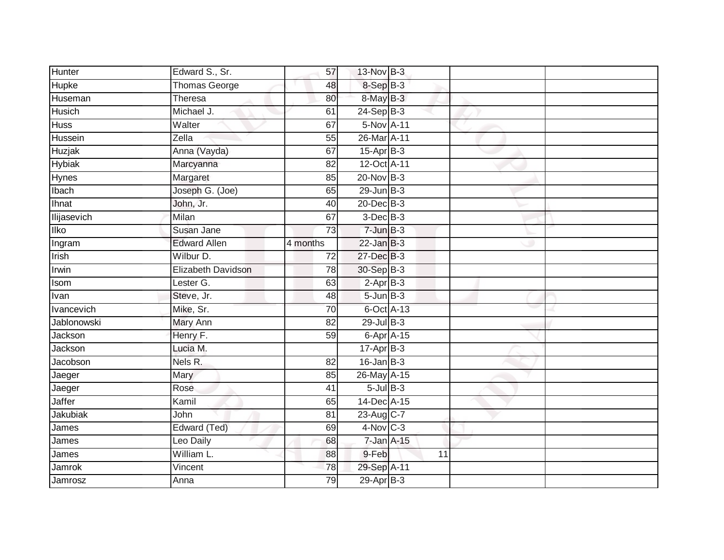| Hunter             | Edward S., Sr.      | 57              | 13-Nov B-3         |    |  |
|--------------------|---------------------|-----------------|--------------------|----|--|
| Hupke              | Thomas George       | 48              | 8-Sep B-3          |    |  |
| Huseman            | Theresa             | 80              | $8$ -May $B-3$     |    |  |
| Husich             | Michael J.          | 61              | $24-Sep$ B-3       |    |  |
| <b>Huss</b>        | Walter              | 67              | 5-Nov A-11         |    |  |
| Hussein            | Zella               | 55              | 26-Mar A-11        |    |  |
| Huzjak             | Anna (Vayda)        | 67              | $15-Apr$ B-3       |    |  |
| <b>Hybiak</b>      | Marcyanna           | 82              | 12-Oct A-11        |    |  |
| Hynes <sup>-</sup> | Margaret            | 85              | $20$ -Nov $B-3$    |    |  |
| Ibach              | Joseph G. (Joe)     | 65              | $29$ -Jun $B-3$    |    |  |
| Ihnat              | John, Jr.           | 40              | 20-Dec B-3         |    |  |
| llijasevich        | Milan               | 67              | $3-Dec$ B-3        |    |  |
| <b>Ilko</b>        | Susan Jane          | 73              | $7 - Jun$ $B-3$    |    |  |
| Ingram             | <b>Edward Allen</b> | 4 months        | $22$ -Jan B-3      |    |  |
| Irish              | Wilbur D.           | $\overline{72}$ | 27-Dec B-3         |    |  |
| Irwin              | Elizabeth Davidson  | 78              | 30-Sep B-3         |    |  |
| Isom               | Lester G.           | 63              | $2$ -Apr $B-3$     |    |  |
| Ivan               | Steve, Jr.          | 48              | $5 - Jun$ $B-3$    |    |  |
| Ivancevich         | Mike, Sr.           | 70              | 6-Oct A-13         |    |  |
| Jablonowski        | <b>Mary Ann</b>     | $\overline{82}$ | 29-Jul B-3         |    |  |
| Jackson            | Henry F.            | 59              | $6 - Apr$ $A - 15$ |    |  |
| Jackson            | Lucia M.            |                 | $17$ -Apr $B-3$    |    |  |
| Jacobson           | Nels R.             | 82              | $16$ -Jan B-3      |    |  |
| Jaeger             | Mary                | 85              | 26-May A-15        |    |  |
| Jaeger             | Rose                | 41              | $5$ -Jul $B$ -3    |    |  |
| Jaffer             | Kamil               | 65              | 14-Dec A-15        |    |  |
| Jakubiak           | John                | 81              | 23-Aug C-7         |    |  |
| James              | Edward (Ted)        | 69              | $4$ -Nov $C-3$     |    |  |
| James              | Leo Daily           | 68              | $7$ -Jan $A-15$    |    |  |
| James              | William L.          | 88              | 9-Feb              | 11 |  |
| Jamrok             | Vincent             | 78              | 29-Sep A-11        |    |  |
| Jamrosz            | Anna                | 79              | $29-AprB-3$        |    |  |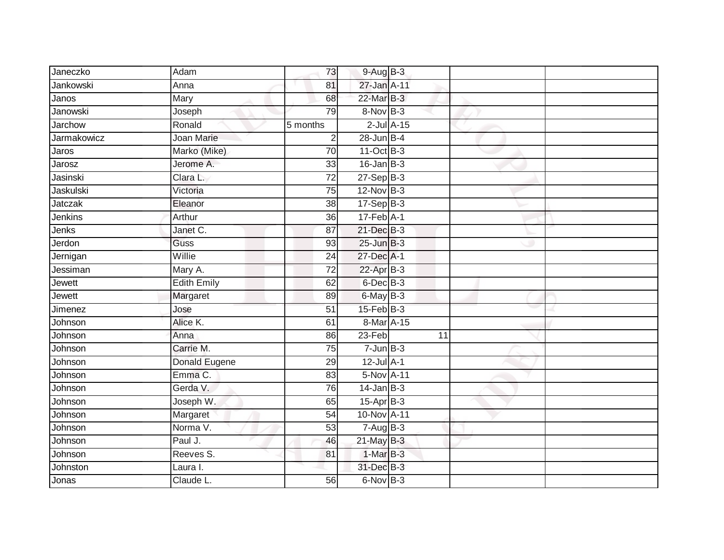| Janeczko       | Adam               | 73              | $9-AugB-3$       |                 |    |  |
|----------------|--------------------|-----------------|------------------|-----------------|----|--|
| Jankowski      | Anna               | 81              | 27-Jan A-11      |                 |    |  |
| Janos          | Mary               | 68              | 22-Mar B-3       |                 |    |  |
| Janowski       | Joseph             | 79              | 8-Nov B-3        |                 |    |  |
| <b>Jarchow</b> | Ronald             | 5 months        |                  | $2$ -Jul $A-15$ |    |  |
| Jarmakowicz    | Joan Marie         | $\overline{2}$  | $28$ -Jun B-4    |                 |    |  |
| Jaros          | Marko (Mike)       | $\overline{70}$ | 11-Oct B-3       |                 |    |  |
| Jarosz         | Jerome A.          | 33              | $16$ -Jan $B-3$  |                 |    |  |
| Jasinski       | Clara L.           | $\overline{72}$ | $27-Sep$ B-3     |                 |    |  |
| Jaskulski      | Victoria           | 75              | 12-Nov B-3       |                 |    |  |
| Jatczak        | Eleanor            | 38              | $17-Sep$ B-3     |                 |    |  |
| Jenkins        | Arthur             | 36              | $17$ -Feb $A-1$  |                 |    |  |
| Jenks          | Janet C.           | 87              | 21-Dec B-3       |                 |    |  |
| Jerdon         | Guss               | 93              | $25$ -Jun $B-3$  |                 |    |  |
| Jernigan       | Willie             | 24              | 27-Dec A-1       |                 |    |  |
| Jessiman       | Mary A.            | 72              | $22$ -Apr $B-3$  |                 |    |  |
| Jewett         | <b>Edith Emily</b> | 62              | 6-Dec B-3        |                 |    |  |
| Jewett         | Margaret           | 89              | 6-May B-3        |                 |    |  |
| Jimenez        | Jose               | 51              | $15$ -Feb $B$ -3 |                 |    |  |
| Johnson        | Alice K.           | 61              | 8-Mar A-15       |                 |    |  |
| Johnson        | Anna               | 86              | $23-Feb$         |                 | 11 |  |
| Johnson        | Carrie M.          | 75              | $7 - Jun$ B-3    |                 |    |  |
| Johnson        | Donald Eugene      | 29              | $12$ -Jul $A-1$  |                 |    |  |
| Johnson        | Emma C.            | 83              | 5-Nov A-11       |                 |    |  |
| Johnson        | Gerda V.           | 76              | $14$ -Jan B-3    |                 |    |  |
| Johnson        | Joseph W.          | 65              | $15-AprB-3$      |                 |    |  |
| Johnson        | Margaret           | $\overline{54}$ | 10-Nov A-11      |                 |    |  |
| Johnson        | Norma V.           | 53              | $7 - Aug$ B-3    |                 |    |  |
| Johnson        | Paul J.            | 46              | $21$ -May B-3    |                 |    |  |
| Johnson        | Reeves S.          | 81              | 1-Mar B-3        |                 |    |  |
| Johnston       | Laura I.           |                 | 31-Dec B-3       |                 |    |  |
| Jonas          | Claude L.          | $\overline{56}$ | 6-Nov B-3        |                 |    |  |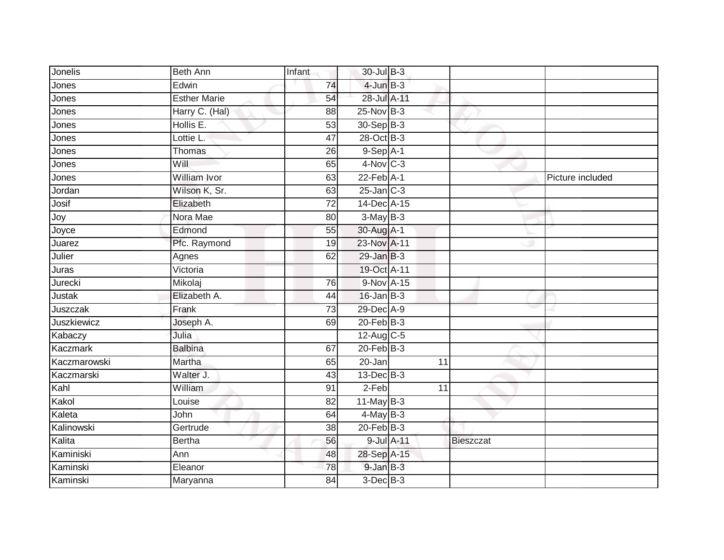| Jonelis      | <b>Beth Ann</b>     | Infant          | 30-Jul B-3             |    |                  |                  |
|--------------|---------------------|-----------------|------------------------|----|------------------|------------------|
| Jones        | Edwin               | 74              | $4$ -Jun $B-3$         |    |                  |                  |
| Jones        | <b>Esther Marie</b> | 54              | 28-Jul A-11            |    |                  |                  |
| Jones        | Harry C. (Hal)      | 88              | 25-Nov B-3             |    |                  |                  |
| Jones        | Hollis E.           | 53              | $30 - Sep$ B-3         |    |                  |                  |
| Jones        | Lottie L.           | 47              | 28-Oct B-3             |    |                  |                  |
| Jones        | <b>Thomas</b>       | 26              | $9-Sep$ A-1            |    |                  |                  |
| Jones        | Will                | 65              | $4-Nov$ <sub>C-3</sub> |    |                  |                  |
| Jones        | William Ivor        | 63              | $22$ -Feb $A-1$        |    |                  | Picture included |
| Jordan       | Wilson K, Sr.       | 63              | $25$ -Jan $C-3$        |    |                  |                  |
| Josif        | Elizabeth           | 72              | 14-Dec A-15            |    |                  |                  |
| Joy          | Nora Mae            | 80              | $3-MayB-3$             |    |                  |                  |
| Joyce        | Edmond              | 55              | 30-Aug A-1             |    |                  |                  |
| Juarez       | Pfc. Raymond        | 19              | 23-Nov A-11            |    |                  |                  |
| Julier       | Agnes               | 62              | $29$ -Jan $B-3$        |    |                  |                  |
| Juras        | Victoria            |                 | 19-Oct A-11            |    |                  |                  |
| Jurecki      | Mikolaj             | $\overline{76}$ | 9-Nov A-15             |    |                  |                  |
| Justak       | Elizabeth A.        | 44              | $16$ -Jan $B-3$        |    |                  |                  |
| Juszczak     | Frank               | $\overline{73}$ | 29-Dec A-9             |    |                  |                  |
| Juszkiewicz  | Joseph A.           | 69              | $20$ -Feb $B-3$        |    |                  |                  |
| Kabaczy      | Julia               |                 | $12$ -Aug C-5          |    |                  |                  |
| Kaczmark     | <b>Balbina</b>      | 67              | $20 - Feb$ B-3         |    |                  |                  |
| Kaczmarowski | Martha              | 65              | 20-Jan                 | 11 |                  |                  |
| Kaczmarski   | Walter J.           | 43              | $13$ -Dec $B-3$        |    |                  |                  |
| Kahl         | William             | 91              | 2-Feb                  | 11 |                  |                  |
| Kakol        | Louise              | 82              | $11$ -May B-3          |    |                  |                  |
| Kaleta       | John                | 64              | $4$ -May B-3           |    |                  |                  |
| Kalinowski   | Gertrude            | 38              | $20$ -Feb $ B-3 $      |    |                  |                  |
| Kalita       | <b>Bertha</b>       | 56              | 9-Jul A-11             |    | <b>Bieszczat</b> |                  |
| Kaminiski    | Ann                 | 48              | 28-Sep A-15            |    |                  |                  |
| Kaminski     | Eleanor             | 78              | $9$ -Jan $B-3$         |    |                  |                  |
| Kaminski     | Maryanna            | $\overline{84}$ | $3$ -Dec $B-3$         |    |                  |                  |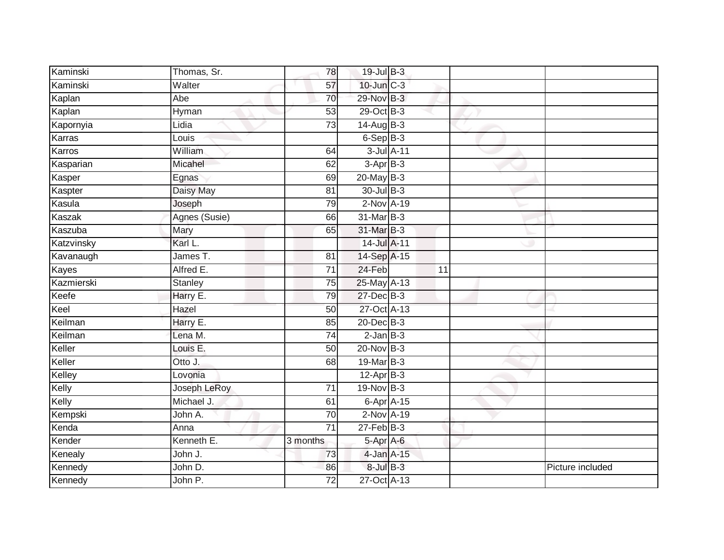| Kaminski   | Thomas, Sr.    | 78              | 19-Jul B-3      |    |                  |
|------------|----------------|-----------------|-----------------|----|------------------|
| Kaminski   | Walter         | 57              | 10-Jun C-3      |    |                  |
| Kaplan     | Abe            | 70              | 29-Nov B-3      |    |                  |
| Kaplan     | Hyman          | 53              | 29-Oct B-3      |    |                  |
| Kapornyia  | Lidia          | $\overline{73}$ | $14$ -Aug B-3   |    |                  |
| Karras     | Louis          |                 | $6-Sep$ B-3     |    |                  |
| Karros     | William        | 64              | 3-Jul A-11      |    |                  |
| Kasparian  | Micahel        | 62              | $3-AprB-3$      |    |                  |
| Kasper     | Egnas          | 69              | $20$ -May $B-3$ |    |                  |
| Kaspter    | Daisy May      | 81              | 30-Jul B-3      |    |                  |
| Kasula     | Joseph         | 79              | 2-Nov A-19      |    |                  |
| Kaszak     | Agnes (Susie)  | 66              | 31-Mar B-3      |    |                  |
| Kaszuba    | Mary           | 65              | $31$ -Mar $B-3$ |    |                  |
| Katzvinsky | Karl L.        |                 | 14-Jul A-11     |    |                  |
| Kavanaugh  | James T.       | 81              | 14-Sep A-15     |    |                  |
| Kayes      | Alfred E.      | 71              | 24-Feb          | 11 |                  |
| Kazmierski | <b>Stanley</b> | $\overline{75}$ | 25-May A-13     |    |                  |
| Keefe      | Harry E.       | 79              | 27-Dec B-3      |    |                  |
| Keel       | Hazel          | 50              | 27-Oct A-13     |    |                  |
| Keilman    | Harry E.       | 85              | 20-Dec B-3      |    |                  |
| Keilman    | Lena M.        | 74              | $2$ -Jan $B-3$  |    |                  |
| Keller     | Louis E.       | 50              | 20-Nov B-3      |    |                  |
| Keller     | Otto J.        | 68              | 19-Mar B-3      |    |                  |
| Kelley     | Lovonia        |                 | $12$ -Apr $B-3$ |    |                  |
| Kelly      | Joseph LeRoy   | 71              | $19-Nov$ B-3    |    |                  |
| Kelly      | Michael J.     | 61              | 6-Apr A-15      |    |                  |
| Kempski    | John A.        | 70              | 2-Nov A-19      |    |                  |
| Kenda      | Anna           | $\overline{71}$ | $27$ -Feb $B-3$ |    |                  |
| Kender     | Kenneth E.     | 3 months        | 5-Apr A-6       |    |                  |
| Kenealy    | John J.        | 73              | 4-Jan A-15      |    |                  |
| Kennedy    | John D.        | 86              | $8$ -Jul $B-3$  |    | Picture included |
| Kennedy    | John P.        | $\overline{72}$ | 27-Oct A-13     |    |                  |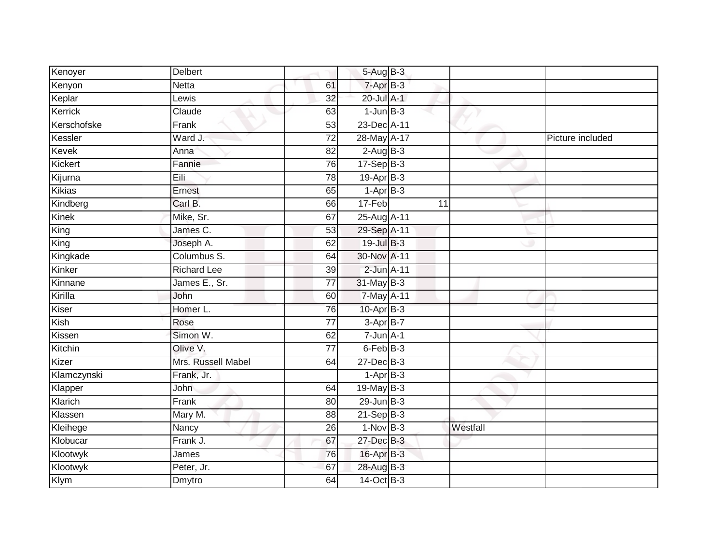| Kenoyer       | <b>Delbert</b>     |                 | 5-Aug B-3       |    |          |                  |
|---------------|--------------------|-----------------|-----------------|----|----------|------------------|
| Kenyon        | <b>Netta</b>       | 61              | $7 - Apr$ B-3   |    |          |                  |
| Keplar        | Lewis              | 32              | 20-Jul A-1      |    |          |                  |
| Kerrick       | Claude             | 63              | $1$ -Jun $B-3$  |    |          |                  |
| Kerschofske   | Frank              | $\overline{53}$ | 23-Dec A-11     |    |          |                  |
| Kessler       | Ward J.            | 72              | 28-May A-17     |    |          | Picture included |
| <b>Kevek</b>  | Anna               | 82              | $2-AugB-3$      |    |          |                  |
| Kickert       | Fannie             | 76              | $17-Sep$ B-3    |    |          |                  |
| Kijurna       | Eili               | 78              | $19-Apr$ B-3    |    |          |                  |
| <b>Kikias</b> | Ernest             | 65              | $1-AprB-3$      |    |          |                  |
| Kindberg      | Carl B.            | 66              | 17-Feb          | 11 |          |                  |
| <b>Kinek</b>  | Mike, Sr.          | 67              | 25-Aug A-11     |    |          |                  |
| King          | James C.           | 53              | 29-Sep A-11     |    |          |                  |
| King          | Joseph A.          | 62              | 19-Jul B-3      |    |          |                  |
| Kingkade      | Columbus S.        | 64              | 30-Nov A-11     |    |          |                  |
| Kinker        | <b>Richard Lee</b> | 39              | 2-Jun A-11      |    |          |                  |
| Kinnane       | James E., Sr.      | $\overline{77}$ | 31-May B-3      |    |          |                  |
| Kirilla       | John               | 60              | 7-May A-11      |    |          |                  |
| Kiser         | Homer L.           | 76              | $10$ -Apr $B-3$ |    |          |                  |
| Kish          | Rose               | 77              | $3-AprB-7$      |    |          |                  |
| Kissen        | Simon W.           | 62              | $7 - Jun A - 1$ |    |          |                  |
| Kitchin       | Olive V.           | $\overline{77}$ | $6$ -Feb $B-3$  |    |          |                  |
| Kizer         | Mrs. Russell Mabel | 64              | 27-Dec B-3      |    |          |                  |
| Klamczynski   | Frank, Jr.         |                 | $1-AprB-3$      |    |          |                  |
| Klapper       | John               | 64              | 19-May $B-3$    |    |          |                  |
| Klarich       | Frank              | 80              | $29$ -Jun $B-3$ |    |          |                  |
| Klassen       | Mary M.            | 88              | $21-Sep$ B-3    |    |          |                  |
| Kleihege      | Nancy              | 26              | $1-Nov$ B-3     |    | Westfall |                  |
| Klobucar      | Frank J.           | 67              | 27-Dec B-3      |    |          |                  |
| Klootwyk      | James              | 76              | 16-Apr B-3      |    |          |                  |
| Klootwyk      | Peter, Jr.         | 67              | 28-Aug B-3      |    |          |                  |
| Klym          | <b>Dmytro</b>      | 64              | 14-Oct B-3      |    |          |                  |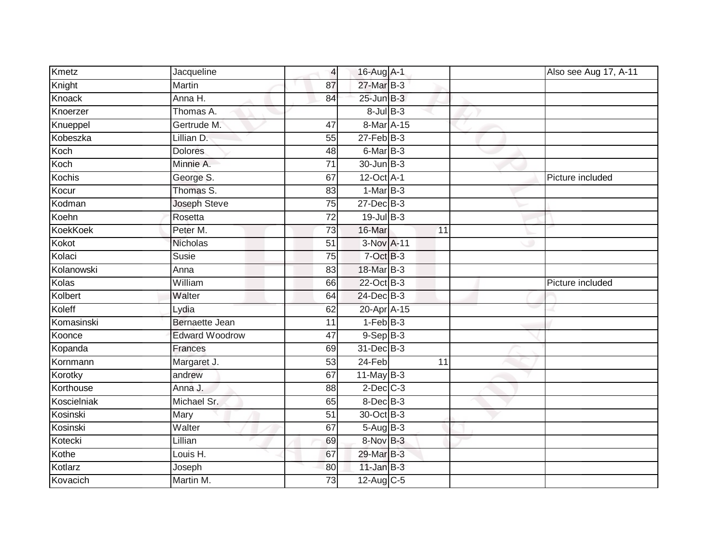| <b>Kmetz</b>    | Jacqueline            | $\overline{4}$  | 16-Aug A-1                 |    | Also see Aug 17, A-11 |
|-----------------|-----------------------|-----------------|----------------------------|----|-----------------------|
| Knight          | Martin                | 87              | 27-Mar B-3                 |    |                       |
| Knoack          | Anna H.               | 84              | $25$ -Jun $B-3$            |    |                       |
| Knoerzer        | Thomas A.             |                 | $8$ -Jul $B$ -3            |    |                       |
| Knueppel        | Gertrude M.           | 47              | 8-Mar A-15                 |    |                       |
| Kobeszka        | Lillian D.            | 55              | $27$ -Feb $B-3$            |    |                       |
| Koch            | <b>Dolores</b>        | 48              | 6-Mar B-3                  |    |                       |
| Koch            | Minnie A.             | $\overline{71}$ | 30-Jun B-3                 |    |                       |
| <b>Kochis</b>   | George S.             | 67              | $12$ -Oct $\overline{A-1}$ |    | Picture included      |
| Kocur           | Thomas S.             | 83              | $1-MarB-3$                 |    |                       |
| Kodman          | Joseph Steve          | 75              | 27-Dec B-3                 |    |                       |
| Koehn           | Rosetta               | 72              | $19$ -Jul B-3              |    |                       |
| <b>KoekKoek</b> | Peter M.              | 73              | 16-Mar                     | 11 |                       |
| Kokot           | Nicholas              | 51              | 3-Nov A-11                 |    |                       |
| Kolaci          | <b>Susie</b>          | 75              | 7-Oct B-3                  |    |                       |
| Kolanowski      | Anna                  | 83              | 18-Mar B-3                 |    |                       |
| Kolas           | William               | 66              | 22-Oct B-3                 |    | Picture included      |
| Kolbert         | Walter                | 64              | 24-Dec B-3                 |    |                       |
| Koleff          | Lydia                 | 62              | 20-Apr A-15                |    |                       |
| Komasinski      | <b>Bernaette Jean</b> | $\overline{11}$ | $1-FebB-3$                 |    |                       |
| Koonce          | <b>Edward Woodrow</b> | 47              | $9-$ Sep $B-3$             |    |                       |
| Kopanda         | Frances               | 69              | 31-Dec B-3                 |    |                       |
| Kornmann        | Margaret J.           | 53              | 24-Feb                     | 11 |                       |
| Korotky         | andrew                | 67              | $11$ -May B-3              |    |                       |
| Korthouse       | Anna J.               | 88              | $2$ -Dec $C-3$             |    |                       |
| Koscielniak     | Michael Sr.           | 65              | 8-Dec B-3                  |    |                       |
| Kosinski        | Mary                  | 51              | 30-Oct B-3                 |    |                       |
| Kosinski        | Walter                | 67              | 5-Aug B-3                  |    |                       |
| Kotecki         | Lillian               | 69              | 8-Nov B-3                  |    |                       |
| Kothe           | Louis H.              | 67              | 29-Mar B-3                 |    |                       |
| Kotlarz         | Joseph                | 80              | $11$ -Jan B-3              |    |                       |
| Kovacich        | Martin M.             | $\overline{73}$ | 12-Aug C-5                 |    |                       |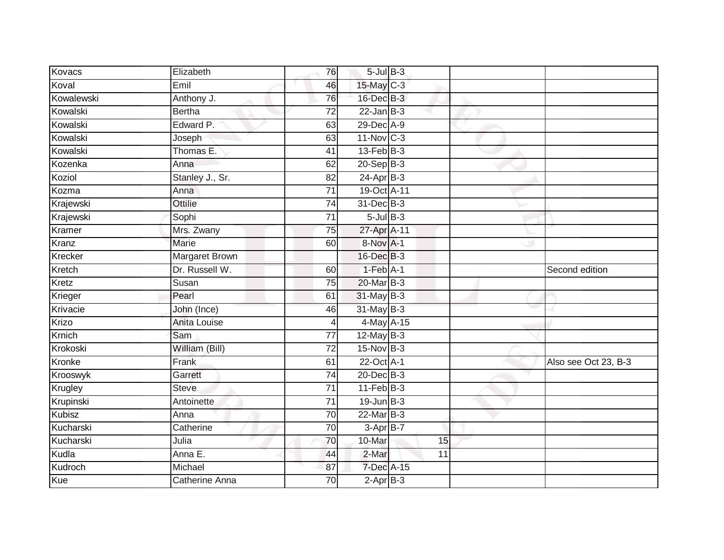| Kovacs        | Elizabeth             | 76              | $5$ -Jul $B-3$          |    |                      |
|---------------|-----------------------|-----------------|-------------------------|----|----------------------|
| Koval         | Emil                  | 46              | 15-May C-3              |    |                      |
| Kowalewski    | Anthony J.            | 76              | 16-Dec B-3              |    |                      |
| Kowalski      | <b>Bertha</b>         | 72              | $22$ -Jan B-3           |    |                      |
| Kowalski      | Edward P.             | 63              | 29-Dec A-9              |    |                      |
| Kowalski      | Joseph                | 63              | $11-Nov$ <sub>C-3</sub> |    |                      |
| Kowalski      | Thomas E.             | 41              | $13$ -Feb $B-3$         |    |                      |
| Kozenka       | Anna                  | 62              | $20 - Sep$ B-3          |    |                      |
| Koziol        | Stanley J., Sr.       | 82              | $24-Apr$ B-3            |    |                      |
| Kozma         | Anna                  | $\overline{71}$ | 19-Oct A-11             |    |                      |
| Krajewski     | <b>Ottilie</b>        | 74              | 31-Dec B-3              |    |                      |
| Krajewski     | Sophi                 | $\overline{71}$ | $5$ -Jul $B$ -3         |    |                      |
| Kramer        | Mrs. Zwany            | $\overline{75}$ | 27-Apr A-11             |    |                      |
| Kranz         | <b>Marie</b>          | 60              | 8-Nov A-1               |    |                      |
| Krecker       | <b>Margaret Brown</b> |                 | 16-Dec B-3              |    |                      |
| Kretch        | Dr. Russell W.        | 60              | $1-Feb$ A-1             |    | Second edition       |
| Kretz         | Susan                 | 75              | 20-Mar B-3              |    |                      |
| Krieger       | Pearl                 | 61              | 31-May B-3              |    |                      |
| Krivacie      | John (Ince)           | 46              | 31-May B-3              |    |                      |
| Krizo         | Anita Louise          | 4               | 4-May A-15              |    |                      |
| Krnich        | Sam                   | 77              | $12$ -May B-3           |    |                      |
| Krokoski      | William (Bill)        | $\overline{72}$ | 15-Nov B-3              |    |                      |
| Kronke        | Frank                 | 61              | 22-Oct A-1              |    | Also see Oct 23, B-3 |
| Krooswyk      | Garrett               | $\overline{74}$ | $20$ -Dec $B-3$         |    |                      |
| Krugley       | <b>Steve</b>          | 71              | $11-Feb$ B-3            |    |                      |
| Krupinski     | Antoinette            | 71              | $19$ -Jun $B-3$         |    |                      |
| <b>Kubisz</b> | Anna                  | 70              | $22$ -Mar $B-3$         |    |                      |
| Kucharski     | Catherine             | 70              | $3-Apr$ B-7             |    |                      |
| Kucharski     | Julia                 | 70              | 10-Mar                  | 15 |                      |
| Kudla         | Anna E.               | 44              | 2-Mar                   | 11 |                      |
| Kudroch       | Michael               | 87              | 7-Dec A-15              |    |                      |
| Kue           | <b>Catherine Anna</b> | $\overline{70}$ | $2$ -Apr $B-3$          |    |                      |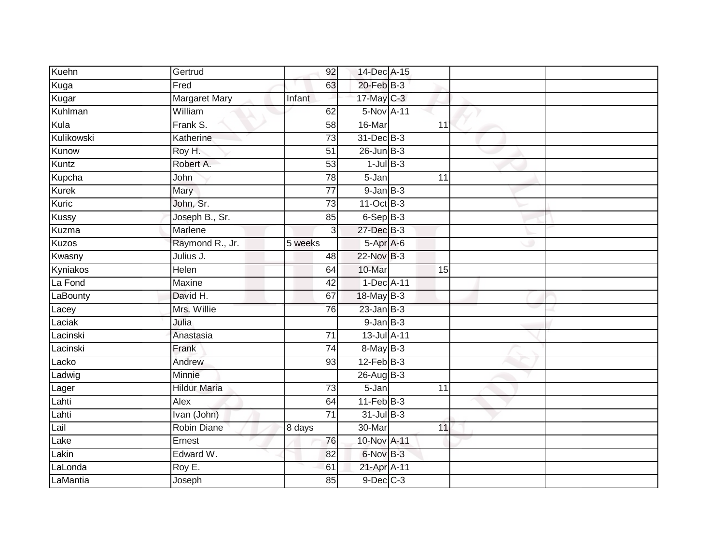| Kuehn        | Gertrud              | 92              | 14-Dec A-15     |                 |  |
|--------------|----------------------|-----------------|-----------------|-----------------|--|
| Kuga         | Fred                 | 63              | $20$ -Feb $B-3$ |                 |  |
| Kugar        | <b>Margaret Mary</b> | Infant          | $17$ -May C-3   |                 |  |
| Kuhlman      | William              | 62              | 5-Nov A-11      |                 |  |
| Kula         | Frank S.             | 58              | 16-Mar          | $\overline{11}$ |  |
| Kulikowski   | Katherine            | 73              | 31-Dec B-3      |                 |  |
| Kunow        | Roy H.               | $\overline{51}$ | $26$ -Jun $B-3$ |                 |  |
| Kuntz        | Robert A.            | 53              | $1$ -Jul $B-3$  |                 |  |
| Kupcha       | John                 | 78              | 5-Jan           | 11              |  |
| Kurek        | Mary                 | 77              | $9$ -Jan $B$ -3 |                 |  |
| Kuric        | John, Sr.            | $\overline{73}$ | 11-Oct B-3      |                 |  |
| <b>Kussy</b> | Joseph B., Sr.       | 85              | $6-Sep$ B-3     |                 |  |
| Kuzma        | Marlene              | 3               | 27-Dec B-3      |                 |  |
| Kuzos        | Raymond R., Jr.      | 5 weeks         | 5-Apr A-6       |                 |  |
| Kwasny       | Julius J.            | 48              | 22-Nov B-3      |                 |  |
| Kyniakos     | Helen                | 64              | 10-Mar          | 15              |  |
| La Fond      | <b>Maxine</b>        | $\overline{42}$ | 1-Dec A-11      |                 |  |
| LaBounty     | David H.             | 67              | 18-May B-3      |                 |  |
| Lacey        | Mrs. Willie          | 76              | $23$ -Jan B-3   |                 |  |
| Laciak       | Julia                |                 | $9$ -Jan $B$ -3 |                 |  |
| Lacinski     | Anastasia            | $\overline{71}$ | 13-Jul A-11     |                 |  |
| Lacinski     | Frank                | $\overline{74}$ | $8$ -May $B-3$  |                 |  |
| Lacko        | Andrew               | 93              | $12$ -Feb $B-3$ |                 |  |
| Ladwig       | Minnie               |                 | $26$ -AugB-3    |                 |  |
| Lager        | <b>Hildur Maria</b>  | 73              | 5-Jan           | 11              |  |
| Lahti        | Alex                 | 64              | $11-Feb$ B-3    |                 |  |
| Lahti        | Ivan (John)          | $\overline{71}$ | 31-Jul B-3      |                 |  |
| Lail         | Robin Diane          | 8 days          | $30 - Mar$      | 11              |  |
| Lake         | Ernest               | 76              | 10-Nov A-11     |                 |  |
| Lakin        | Edward W.            | 82              | 6-Nov B-3       |                 |  |
| LaLonda      | Roy E.               | 61              | 21-Apr A-11     |                 |  |
| LaMantia     | Joseph               | 85              | $9$ -Dec $C$ -3 |                 |  |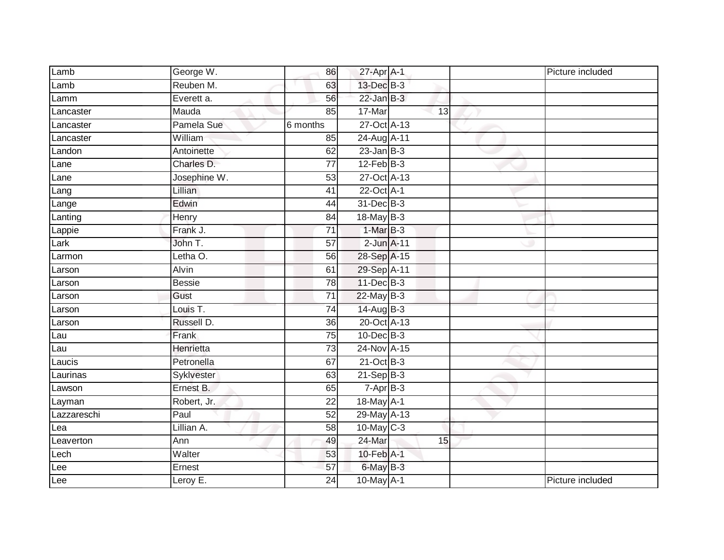| Lamb        | George W.     | 86              | 27-Apr A-1        |    | Picture included |
|-------------|---------------|-----------------|-------------------|----|------------------|
| Lamb        | Reuben M.     | 63              | 13-Dec B-3        |    |                  |
| Lamm        | Everett a.    | 56              | $22$ -Jan B-3     |    |                  |
| Lancaster   | Mauda         | 85              | 17-Mar            | 13 |                  |
| Lancaster   | Pamela Sue    | 6 months        | 27-Oct A-13       |    |                  |
| Lancaster   | William       | 85              | 24-Aug A-11       |    |                  |
| Landon      | Antoinette    | 62              | $23$ -Jan $ B-3 $ |    |                  |
| Lane        | Charles D.    | 77              | $12$ -Feb $B-3$   |    |                  |
| Lane        | Josephine W.  | 53              | 27-Oct A-13       |    |                  |
| Lang        | Lillian       | 41              | 22-Oct A-1        |    |                  |
| Lange       | Edwin         | 44              | 31-Dec B-3        |    |                  |
| Lanting     | Henry         | 84              | 18-May B-3        |    |                  |
| Lappie      | Frank J.      | $\overline{71}$ | $1-MarB-3$        |    |                  |
| Lark        | John T.       | 57              | $2$ -Jun $A-11$   |    |                  |
| Larmon      | Letha O.      | 56              | 28-Sep A-15       |    |                  |
| Larson      | Alvin         | 61              | 29-Sep A-11       |    |                  |
| Larson      | <b>Bessie</b> | $\overline{78}$ | 11-Dec B-3        |    |                  |
| Larson      | Gust          | $\overline{71}$ | $22$ -May B-3     |    |                  |
| Larson      | Louis T.      | $\overline{74}$ | 14-Aug B-3        |    |                  |
| Larson      | Russell D.    | 36              | 20-Oct A-13       |    |                  |
| Lau         | Frank         | 75              | $10$ -Dec $B-3$   |    |                  |
| Lau         | Henrietta     | $\overline{73}$ | 24-Nov A-15       |    |                  |
| Laucis      | Petronella    | 67              | $21-Oct$ B-3      |    |                  |
| Laurinas    | Syklvester    | 63              | $21-Sep$ B-3      |    |                  |
| Lawson      | Ernest B.     | 65              | $7 - Apr$ $B-3$   |    |                  |
| Layman      | Robert, Jr.   | $\overline{22}$ | 18-May A-1        |    |                  |
| Lazzareschi | Paul          | 52              | 29-May A-13       |    |                  |
| Lea         | Lillian A.    | 58              | 10-May C-3        |    |                  |
| Leaverton   | Ann           | 49              | 24-Mar            | 15 |                  |
| Lech        | Walter        | 53              | 10-Feb A-1        |    |                  |
| Lee         | Ernest        | 57              | 6-May B-3         |    |                  |
| Lee         | Leroy E.      | 24              | 10-May A-1        |    | Picture included |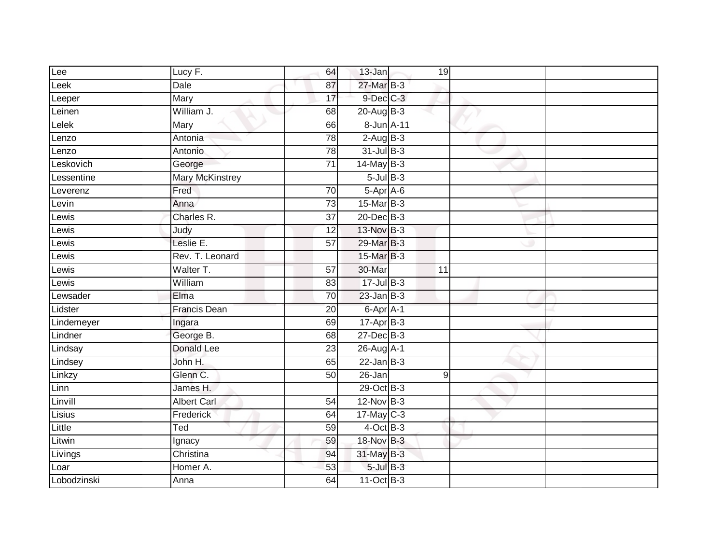| Lee         | Lucy F.                | 64              | 13-Jan             | 19 |  |
|-------------|------------------------|-----------------|--------------------|----|--|
| Leek        | Dale                   | 87              | 27-Mar B-3         |    |  |
| Leeper      | <b>Mary</b>            | 17              | 9-Dec C-3          |    |  |
| Leinen      | William J.             | 68              | $20-Aug$ B-3       |    |  |
| Lelek       | Mary                   | 66              | 8-Jun A-11         |    |  |
| _enzo       | Antonia                | 78              | $2-AugB-3$         |    |  |
| Lenzo       | Antonio                | 78              | $31$ -Jul B-3      |    |  |
| Leskovich   | George                 | 71              | $14$ -May B-3      |    |  |
| Lessentine  | <b>Mary McKinstrey</b> |                 | $5$ -Jul $B$ -3    |    |  |
| Leverenz    | Fred                   | 70              | 5-Apr A-6          |    |  |
| Levin       | Anna                   | $\overline{73}$ | 15-Mar B-3         |    |  |
| Lewis       | Charles R.             | $\overline{37}$ | $20$ -Dec $B-3$    |    |  |
| _ewis       | Judy                   | 12              | 13-Nov B-3         |    |  |
| Lewis       | Leslie E.              | 57              | 29-Mar B-3         |    |  |
| $L$ ewis    | Rev. T. Leonard        |                 | 15-Mar B-3         |    |  |
| Lewis       | Walter T.              | 57              | 30-Mar             | 11 |  |
| Lewis       | William                | 83              | $17 -$ Jul $B - 3$ |    |  |
| Lewsader    | Elma                   | 70              | $23$ -Jan $B-3$    |    |  |
| Lidster     | <b>Francis Dean</b>    | 20              | 6-Apr A-1          |    |  |
| Lindemeyer  | Ingara                 | 69              | $17 - Apr$ B-3     |    |  |
| Lindner     | George B.              | 68              | $27 - Dec$ B-3     |    |  |
| Lindsay     | <b>Donald Lee</b>      | $\overline{23}$ | 26-Aug A-1         |    |  |
| Lindsey     | John H.                | 65              | $22$ -Jan B-3      |    |  |
| Linkzy      | Glenn C.               | 50              | 26-Jan             | 9  |  |
| <b>Linn</b> | James H.               |                 | 29-Oct B-3         |    |  |
| Linvill     | <b>Albert Carl</b>     | 54              | $12-Nov$ B-3       |    |  |
| Lisius      | <b>Frederick</b>       | 64              | 17-May C-3         |    |  |
| Little      | Ted                    | 59              | $4$ -Oct B-3       |    |  |
| Litwin      | Ignacy                 | 59              | 18-Nov B-3         |    |  |
| Livings     | Christina              | 94              | 31-May B-3         |    |  |
| Loar        | Homer A.               | 53              | $5$ -Jul $B$ -3    |    |  |
| Lobodzinski | Anna                   | 64              | 11-Oct B-3         |    |  |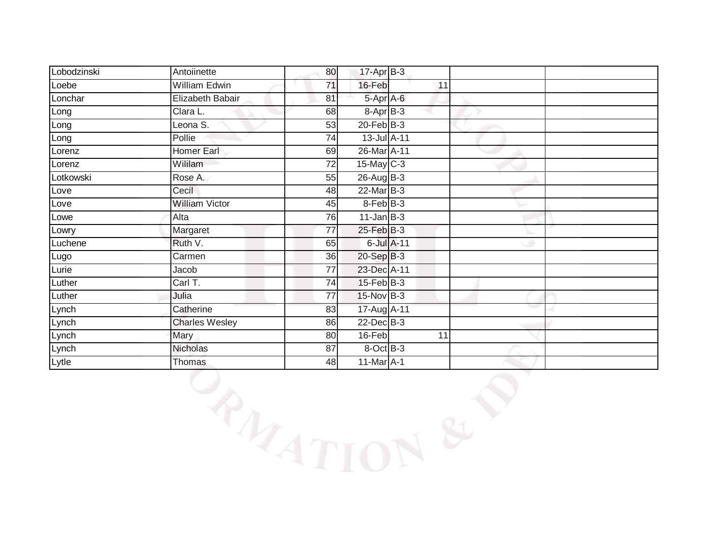| Lobodzinski | Antoiinette           | 80 | 17-Apr B-3       |    |  |  |
|-------------|-----------------------|----|------------------|----|--|--|
| Loebe       | William Edwin         | 71 | 16-Feb           | 11 |  |  |
| Lonchar     | Elizabeth Babair      | 81 | 5-Apr A-6        |    |  |  |
| Long        | Clara L.              | 68 | 8-Apr B-3        |    |  |  |
| Long        | Leona S.              | 53 | $20$ -Feb $B-3$  |    |  |  |
| Long        | Pollie                | 74 | 13-Jul A-11      |    |  |  |
| Lorenz      | <b>Homer Earl</b>     | 69 | 26-Mar A-11      |    |  |  |
| Lorenz      | Wililam               | 72 | 15-May C-3       |    |  |  |
| Lotkowski   | Rose A.               | 55 | $26$ -Aug B-3    |    |  |  |
| Love        | Cecil                 | 48 | $22$ -Mar $B-3$  |    |  |  |
| Love        | <b>William Victor</b> | 45 | 8-Feb B-3        |    |  |  |
| Lowe        | Alta                  | 76 | $11$ -Jan $B-3$  |    |  |  |
| Lowry       | Margaret              | 77 | $25$ -Feb $B$ -3 |    |  |  |
| Luchene     | Ruth V.               | 65 | 6-Jul A-11       |    |  |  |
| Lugo        | Carmen                | 36 | 20-Sep B-3       |    |  |  |
| Lurie       | Jacob                 | 77 | 23-Dec A-11      |    |  |  |
| Luther      | Carl T.               | 74 | $15$ -Feb $B$ -3 |    |  |  |
| Luther      | Julia                 | 77 | 15-Nov B-3       |    |  |  |
| Lynch       | Catherine             | 83 | 17-Aug A-11      |    |  |  |
| Lynch       | <b>Charles Wesley</b> | 86 | $22$ -Dec $B-3$  |    |  |  |
| Lynch       | Mary                  | 80 | 16-Feb           | 11 |  |  |
| Lynch       | Nicholas              | 87 | $8-Oct$ B-3      |    |  |  |
| Lytle       | Thomas                | 48 | 11-Mar A-1       |    |  |  |
|             | PAZITION              |    |                  |    |  |  |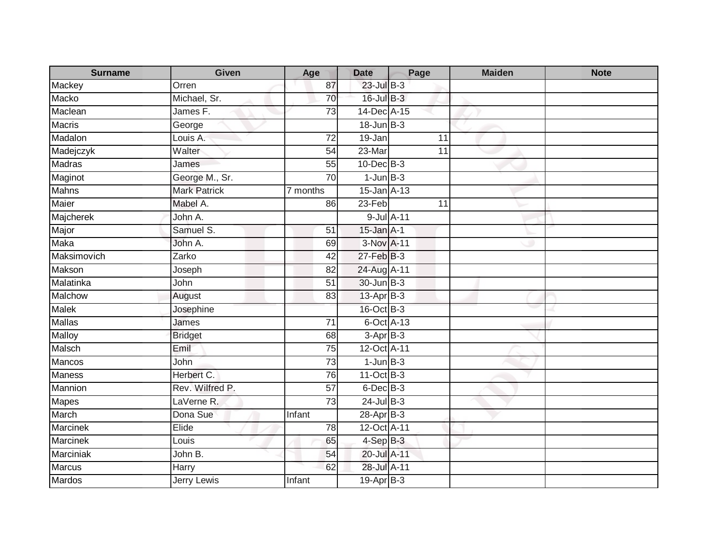| <b>Surname</b>  | <b>Given</b>        | Age                  | <b>Date</b>                 | Page       | <b>Maiden</b> | <b>Note</b> |
|-----------------|---------------------|----------------------|-----------------------------|------------|---------------|-------------|
| Mackey          | Orren               | 87                   | $23$ -Jul $B-3$             |            |               |             |
| Macko           | Michael, Sr.        | $\overline{70}$      | $16$ -Jul B-3               |            |               |             |
| Maclean         | James F.            | 73                   | 14-Dec A-15                 |            |               |             |
| <b>Macris</b>   | George              |                      | $18$ -Jun $B-3$             |            |               |             |
| Madalon         | Louis A.            | $\overline{72}$      | 19-Jan                      | 11         |               |             |
| Madejczyk       | Walter              | 54                   | 23-Mar                      | 11         |               |             |
| <b>Madras</b>   | James               | 55                   | 10-Dec B-3                  |            |               |             |
| Maginot         | George M., Sr.      | 70                   | $1$ -Jun $B-3$              |            |               |             |
| <b>Mahns</b>    | <b>Mark Patrick</b> | $\frac{1}{7}$ months | 15-Jan A-13                 |            |               |             |
| Maier           | Mabel A.            | 86                   | $23-Feb$                    | 11         |               |             |
| Majcherek       | John A.             |                      |                             | 9-Jul A-11 |               |             |
| Major           | Samuel S.           | 51                   | 15-Jan A-1                  |            |               |             |
| Maka            | John A.             | 69                   | 3-Nov A-11                  |            |               |             |
| Maksimovich     | Zarko               | $\overline{42}$      | 27-Feb B-3                  |            |               |             |
| Makson          | Joseph              | 82                   | 24-Aug A-11                 |            |               |             |
| Malatinka       | John                | 51                   | 30-Jun B-3                  |            |               |             |
| Malchow         | August              | 83                   | $13$ -Apr $B-3$             |            |               |             |
| <b>Malek</b>    | Josephine           |                      | 16-Oct B-3                  |            |               |             |
| <b>Mallas</b>   | James               | 71                   | $6$ -Oct $\overline{A}$ -13 |            |               |             |
| <b>Malloy</b>   | <b>Bridget</b>      | 68                   | $3-AprB-3$                  |            |               |             |
| Malsch          | Emil                | $\overline{75}$      | 12-Oct A-11                 |            |               |             |
| Mancos          | John                | 73                   | $1$ -Jun $B-3$              |            |               |             |
| <b>Maness</b>   | Herbert C.          | 76                   | 11-Oct B-3                  |            |               |             |
| Mannion         | Rev. Wilfred P.     | 57                   | 6-Dec B-3                   |            |               |             |
| Mapes           | LaVerne R.          | 73                   | $24$ -Jul B-3               |            |               |             |
| March           | Dona Sue            | Infant               | 28-Apr <sub>B-3</sub>       |            |               |             |
| <b>Marcinek</b> | Elide               | 78                   | 12-Oct A-11                 |            |               |             |
| <b>Marcinek</b> | Louis               | 65                   | 4-Sep B-3                   |            |               |             |
| Marciniak       | John B.             | 54                   | 20-Jul A-11                 |            |               |             |
| Marcus          | Harry               | 62                   | 28-Jul A-11                 |            |               |             |
| <b>Mardos</b>   | <b>Jerry Lewis</b>  | Infant               | $19-Apr$ B-3                |            |               |             |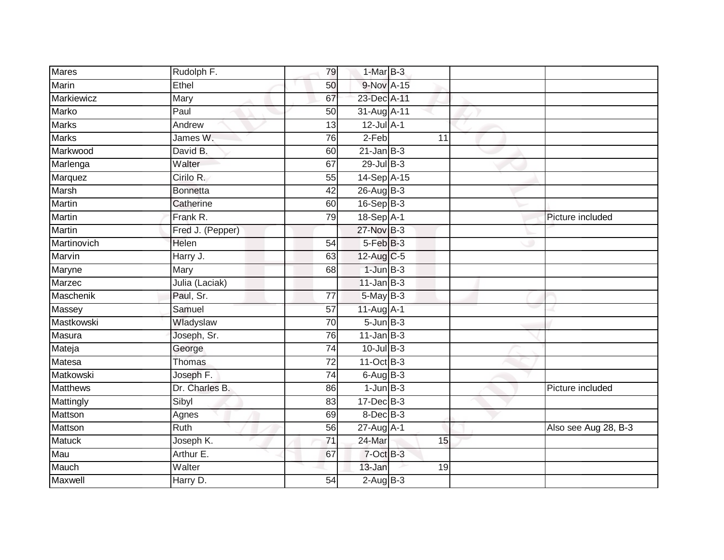| <b>Mares</b>    | Rudolph F.       | 79              | 1-Mar B-3        |    |                      |
|-----------------|------------------|-----------------|------------------|----|----------------------|
| Marin           | Ethel            | 50              | 9-Nov A-15       |    |                      |
| Markiewicz      | Mary             | 67              | 23-Dec A-11      |    |                      |
| Marko           | Paul             | 50              | 31-Aug A-11      |    |                      |
| <b>Marks</b>    | Andrew           | $\overline{13}$ | $12$ -Jul $A-1$  |    |                      |
| <b>Marks</b>    | James W.         | 76              | $2-Feb$          | 11 |                      |
| Markwood        | David B.         | 60              | $21$ -Jan B-3    |    |                      |
| Marlenga        | Walter           | 67              | $29$ -Jul B-3    |    |                      |
| Marquez         | Cirilo R.        | 55              | 14-Sep A-15      |    |                      |
| Marsh           | <b>Bonnetta</b>  | 42              | 26-Aug B-3       |    |                      |
| Martin          | Catherine        | 60              | 16-Sep B-3       |    |                      |
| Martin          | Frank R.         | 79              | 18-Sep A-1       |    | Picture included     |
| <b>Martin</b>   | Fred J. (Pepper) |                 | 27-Nov B-3       |    |                      |
| Martinovich     | Helen            | 54              | $5-FebB-3$       |    |                      |
| Marvin          | Harry J.         | 63              | 12-Aug C-5       |    |                      |
| Maryne          | Mary             | 68              | $1$ -Jun $B-3$   |    |                      |
| Marzec          | Julia (Laciak)   |                 | $11$ -Jan $B-3$  |    |                      |
| Maschenik       | Paul, Sr.        | 77              | $5$ -May $B-3$   |    |                      |
| Massey          | Samuel           | 57              | 11-Aug A-1       |    |                      |
| Mastkowski      | Wladyslaw        | 70              | $5 - Jun$ $B-3$  |    |                      |
| Masura          | Joseph, Sr.      | 76              | $11$ -Jan $B-3$  |    |                      |
| Mateja          | George           | $\overline{74}$ | $10$ -Jul $B-3$  |    |                      |
| Matesa          | Thomas           | 72              | 11-Oct B-3       |    |                      |
| Matkowski       | Joseph F.        | $\overline{74}$ | $6$ -Aug B-3     |    |                      |
| <b>Matthews</b> | Dr. Charles B.   | 86              | $1$ -Jun $B-3$   |    | Picture included     |
| Mattingly       | Sibyl            | 83              | 17-Dec B-3       |    |                      |
| Mattson         | Agnes            | 69              | $8$ -Dec $B-3$   |    |                      |
| Mattson         | Ruth             | 56              | $27$ -Aug $A$ -1 |    | Also see Aug 28, B-3 |
| <b>Matuck</b>   | Joseph K.        | 71              | 24-Mar           | 15 |                      |
| Mau             | Arthur E.        | 67              | 7-Oct B-3        |    |                      |
| Mauch           | Walter           |                 | 13-Jan           | 19 |                      |
| Maxwell         | Harry D.         | $\overline{54}$ | $2-AugB-3$       |    |                      |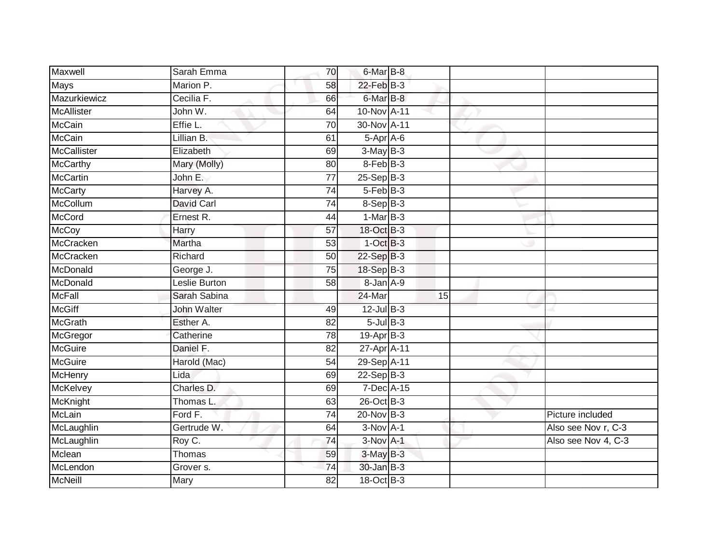| Maxwell         | Sarah Emma    | 70              | 6-Mar B-8       |    |                     |
|-----------------|---------------|-----------------|-----------------|----|---------------------|
| Mays            | Marion P.     | 58              | 22-Feb B-3      |    |                     |
| Mazurkiewicz    | Cecilia F.    | 66              | 6-Mar B-8       |    |                     |
| McAllister      | John W.       | 64              | 10-Nov A-11     |    |                     |
| McCain          | Effie L.      | $\overline{70}$ | 30-Nov A-11     |    |                     |
| McCain          | Lillian B.    | 61              | $5-Apr$ $A-6$   |    |                     |
| McCallister     | Elizabeth     | 69              | $3-May$ B-3     |    |                     |
| <b>McCarthy</b> | Mary (Molly)  | 80              | $8-FebB-3$      |    |                     |
| <b>McCartin</b> | John E.       | 77              | $25-$ Sep $B-3$ |    |                     |
| <b>McCarty</b>  | Harvey A.     | $\overline{74}$ | 5-Feb B-3       |    |                     |
| McCollum        | David Carl    | 74              | $8-$ Sep $B-3$  |    |                     |
| <b>McCord</b>   | Ernest R.     | 44              | $1-MarB-3$      |    |                     |
| McCoy           | Harry         | 57              | 18-Oct B-3      |    |                     |
| McCracken       | Martha        | 53              | $1$ -Oct $B-3$  |    |                     |
| McCracken       | Richard       | $\overline{50}$ | $22-SepB-3$     |    |                     |
| McDonald        | George J.     | 75              | 18-Sep B-3      |    |                     |
| McDonald        | Leslie Burton | 58              | 8-Jan A-9       |    |                     |
| McFall          | Sarah Sabina  |                 | 24-Mar          | 15 |                     |
| <b>McGiff</b>   | John Walter   | 49              | $12$ -Jul B-3   |    |                     |
| <b>McGrath</b>  | Esther A.     | 82              | $5$ -Jul $B$ -3 |    |                     |
| McGregor        | Catherine     | 78              | $19-Apr$ B-3    |    |                     |
| <b>McGuire</b>  | Daniel F.     | $\overline{82}$ | 27-Apr A-11     |    |                     |
| McGuire         | Harold (Mac)  | 54              | 29-Sep A-11     |    |                     |
| <b>McHenry</b>  | Lida          | 69              | $22-Sep$ B-3    |    |                     |
| McKelvey        | Charles D.    | 69              | 7-Dec A-15      |    |                     |
| McKnight        | Thomas L.     | 63              | 26-Oct B-3      |    |                     |
| McLain          | Ford F.       | 74              | $20$ -Nov $B-3$ |    | Picture included    |
| McLaughlin      | Gertrude W.   | 64              | $3-NovA-1$      |    | Also see Nov r, C-3 |
| McLaughlin      | Roy C.        | 74              | $3-Nov$ A-1     |    | Also see Nov 4, C-3 |
| Mclean          | Thomas        | 59              | $3-MayB-3$      |    |                     |
| McLendon        | Grover s.     | $\overline{74}$ | 30-Jan B-3      |    |                     |
| McNeill         | Mary          | $\overline{82}$ | 18-Oct B-3      |    |                     |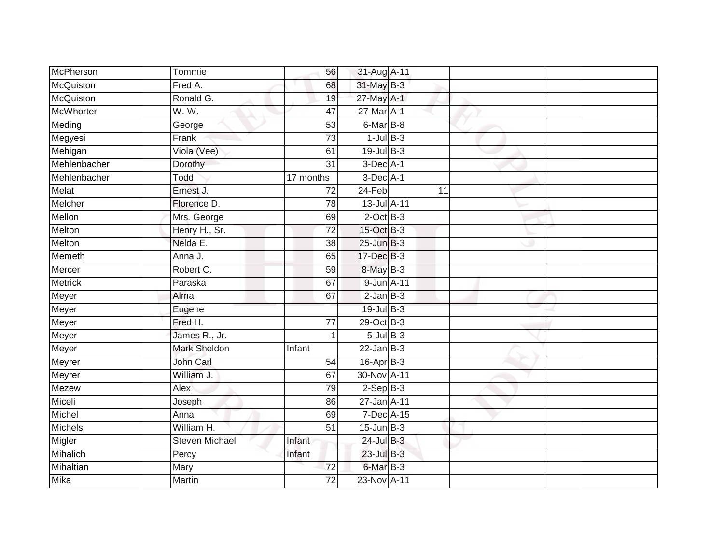| McPherson        | Tommie                | 56              | 31-Aug A-11       |                 |  |
|------------------|-----------------------|-----------------|-------------------|-----------------|--|
| McQuiston        | Fred A.               | 68              | 31-May B-3        |                 |  |
| McQuiston        | Ronald G.             | 19              | 27-May A-1        |                 |  |
| <b>McWhorter</b> | W.W.                  | 47              | 27-Mar A-1        |                 |  |
| Meding           | George                | $\overline{53}$ | 6-Mar B-8         |                 |  |
| Megyesi          | Frank                 | 73              | $1$ -Jul $B-3$    |                 |  |
| Mehigan          | Viola (Vee)           | 61              | $19$ -Jul $B-3$   |                 |  |
| Mehlenbacher     | Dorothy               | $\overline{31}$ | $3$ -Dec $A-1$    |                 |  |
| Mehlenbacher     | Todd                  | 17 months       | $3$ -Dec $A-1$    |                 |  |
| Melat            | Ernest J.             | $\overline{72}$ | $24-Feb$          | $\overline{11}$ |  |
| Melcher          | Florence D.           | 78              | 13-Jul A-11       |                 |  |
| Mellon           | Mrs. George           | 69              | $2$ -Oct $B-3$    |                 |  |
| Melton           | Henry H., Sr.         | 72              | 15-Oct B-3        |                 |  |
| <b>Melton</b>    | Nelda E.              | $\overline{38}$ | $25 - Jun$ $B-3$  |                 |  |
| Memeth           | Anna J.               | 65              | 17-Dec B-3        |                 |  |
| Mercer           | Robert C.             | 59              | 8-May B-3         |                 |  |
| <b>Metrick</b>   | Paraska               | 67              | 9-Jun A-11        |                 |  |
| Meyer            | Alma                  | 67              | $2$ -Jan $B-3$    |                 |  |
| Meyer            | Eugene                |                 | 19-Jul B-3        |                 |  |
| Meyer            | Fred H.               | $\overline{77}$ | 29-Oct B-3        |                 |  |
| Meyer            | James R., Jr.         | $\mathbf{1}$    | $5$ -Jul $B-3$    |                 |  |
| Meyer            | <b>Mark Sheldon</b>   | Infant          | $22$ -Jan $B-3$   |                 |  |
| Meyrer           | John Carl             | 54              | 16-Apr B-3        |                 |  |
| Meyrer           | William J.            | 67              | 30-Nov A-11       |                 |  |
| Mezew            | Alex                  | 79              | $2-Sep$ B-3       |                 |  |
| Miceli           | Joseph                | 86              | $27 - Jan$ $A-11$ |                 |  |
| Michel           | Anna                  | 69              | 7-Dec A-15        |                 |  |
| <b>Michels</b>   | William H.            | $\overline{51}$ | $15$ -Jun $B-3$   |                 |  |
| Migler           | <b>Steven Michael</b> | Infant          | $24$ -Jul $B-3$   |                 |  |
| Mihalich         | Percy                 | Infant          | 23-Jul B-3        |                 |  |
| Mihaltian        | Mary                  | 72              | 6-Mar B-3         |                 |  |
| Mika             | <b>Martin</b>         | $\overline{72}$ | 23-Nov A-11       |                 |  |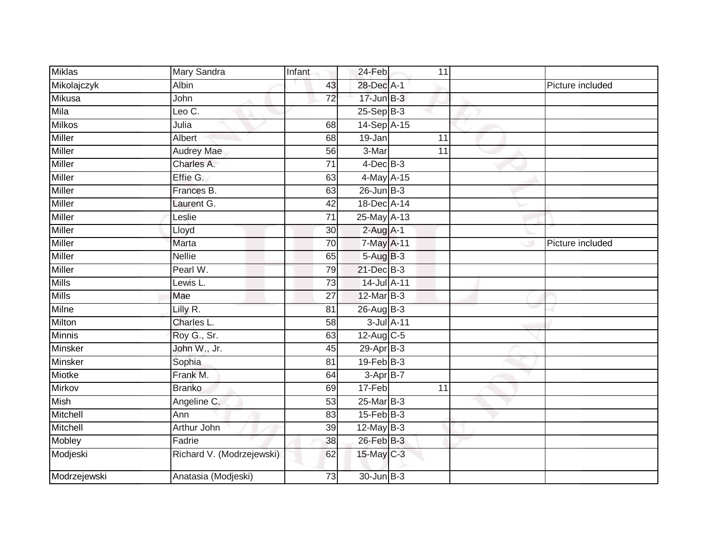| <b>Miklas</b>  | Mary Sandra               | Infant          | 24-Feb           | 11              |                  |
|----------------|---------------------------|-----------------|------------------|-----------------|------------------|
| Mikolajczyk    | <b>Albin</b>              | 43              | 28-Dec A-1       |                 | Picture included |
| Mikusa         | John                      | $\overline{72}$ | $17$ -Jun $B-3$  |                 |                  |
| Mila           | Leo C.                    |                 | $25-Sep$ B-3     |                 |                  |
| <b>Milkos</b>  | Julia                     | 68              | 14-Sep A-15      |                 |                  |
| <b>Miller</b>  | Albert                    | 68              | 19-Jan           | $\overline{11}$ |                  |
| Miller         | <b>Audrey Mae</b>         | 56              | 3-Mar            | 11              |                  |
| <b>Miller</b>  | Charles A.                | 71              | $4$ -Dec $B$ -3  |                 |                  |
| Miller         | Effie G.                  | 63              | 4-May A-15       |                 |                  |
| <b>Miller</b>  | Frances B.                | 63              | $26$ -Jun $B-3$  |                 |                  |
| <b>Miller</b>  | Laurent G.                | 42              | 18-Dec A-14      |                 |                  |
| Miller         | Leslie                    | 71              | $25$ -May A-13   |                 |                  |
| Miller         | Lloyd                     | 30              | $2$ -Aug $A-1$   |                 |                  |
| <b>Miller</b>  | Marta                     | 70              | 7-May A-11       |                 | Picture included |
| <b>Miller</b>  | <b>Nellie</b>             | 65              | 5-Aug B-3        |                 |                  |
| <b>Miller</b>  | Pearl W.                  | 79              | 21-Dec B-3       |                 |                  |
| <b>Mills</b>   | Lewis L.                  | 73              | 14-Jul A-11      |                 |                  |
| <b>Mills</b>   | Mae                       | $\overline{27}$ | 12-Mar B-3       |                 |                  |
| Milne          | Lilly R.                  | 81              | 26-Aug B-3       |                 |                  |
| Milton         | Charles L.                | 58              | 3-Jul A-11       |                 |                  |
| Minnis         | Roy G., Sr.               | 63              | 12-Aug C-5       |                 |                  |
| <b>Minsker</b> | John W., Jr.              | 45              | 29-Apr B-3       |                 |                  |
| Minsker        | Sophia                    | 81              | $19$ -Feb $B-3$  |                 |                  |
| Miotke         | Frank M.                  | 64              | 3-Apr B-7        |                 |                  |
| Mirkov         | <b>Branko</b>             | 69              | 17-Feb           | 11              |                  |
| Mish           | Angeline C.               | 53              | $25$ -Mar $B-3$  |                 |                  |
| Mitchell       | Ann                       | 83              | $15$ -Feb $B$ -3 |                 |                  |
| Mitchell       | <b>Arthur John</b>        | 39              | $12$ -May B-3    |                 |                  |
| Mobley         | Fadrie                    | 38              | 26-Feb B-3       |                 |                  |
| Modjeski       | Richard V. (Modrzejewski) | 62              | 15-May C-3       |                 |                  |
| Modrzejewski   | Anatasia (Modjeski)       | 73              | 30-Jun B-3       |                 |                  |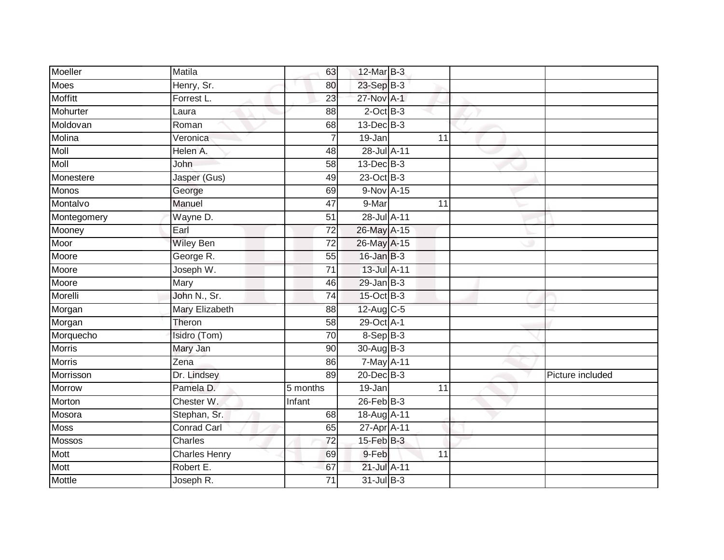| Moeller       | Matila               | 63              | 12-Mar B-3       |    |                  |
|---------------|----------------------|-----------------|------------------|----|------------------|
| <b>Moes</b>   | Henry, Sr.           | 80              | 23-Sep B-3       |    |                  |
| Moffitt       | Forrest L.           | $\overline{23}$ | 27-Nov A-1       |    |                  |
| Mohurter      | Laura                | 88              | $2$ -Oct $B-3$   |    |                  |
| Moldovan      | Roman                | 68              | 13-Dec B-3       |    |                  |
| Molina        | Veronica             | $\overline{7}$  | 19-Jan           | 11 |                  |
| Moll          | Helen A.             | 48              | 28-Jul A-11      |    |                  |
| Moll          | John                 | 58              | 13-Dec B-3       |    |                  |
| Monestere     | Jasper (Gus)         | 49              | 23-Oct B-3       |    |                  |
| <b>Monos</b>  | George               | 69              | 9-Nov A-15       |    |                  |
| Montalvo      | Manuel               | $\overline{47}$ | 9-Mar            | 11 |                  |
| Montegomery   | Wayne D.             | 51              | 28-Jul A-11      |    |                  |
| Mooney        | Earl                 | $\overline{72}$ | 26-May A-15      |    |                  |
| Moor          | Wiley Ben            | 72              | 26-May A-15      |    |                  |
| Moore         | George R.            | $\overline{55}$ | $16$ -Jan $B-3$  |    |                  |
| Moore         | Joseph W.            | $\overline{71}$ | 13-Jul A-11      |    |                  |
| Moore         | Mary                 | 46              | $29$ -Jan B-3    |    |                  |
| Morelli       | John N., Sr.         | 74              | 15-Oct B-3       |    |                  |
| Morgan        | Mary Elizabeth       | 88              | 12-Aug C-5       |    |                  |
| Morgan        | Theron               | 58              | 29-Oct A-1       |    |                  |
| Morquecho     | Isidro (Tom)         | 70              | 8-Sep B-3        |    |                  |
| <b>Morris</b> | Mary Jan             | 90              | 30-Aug B-3       |    |                  |
| <b>Morris</b> | Zena                 | 86              | 7-May A-11       |    |                  |
| Morrisson     | Dr. Lindsey          | 89              | $20$ -Dec $B-3$  |    | Picture included |
| Morrow        | Pamela D.            | 5 months        | 19-Jan           | 11 |                  |
| Morton        | Chester W.           | Infant          | $26$ -Feb $B-3$  |    |                  |
| Mosora        | Stephan, Sr.         | 68              | 18-Aug A-11      |    |                  |
| <b>Moss</b>   | <b>Conrad Carl</b>   | 65              | 27-Apr A-11      |    |                  |
| <b>Mossos</b> | Charles              | $\overline{72}$ | $15$ -Feb $B$ -3 |    |                  |
| Mott          | <b>Charles Henry</b> | 69              | 9-Feb            | 11 |                  |
| Mott          | Robert E.            | 67              | 21-Jul A-11      |    |                  |
| Mottle        | Joseph R.            | $\overline{71}$ | 31-Jul B-3       |    |                  |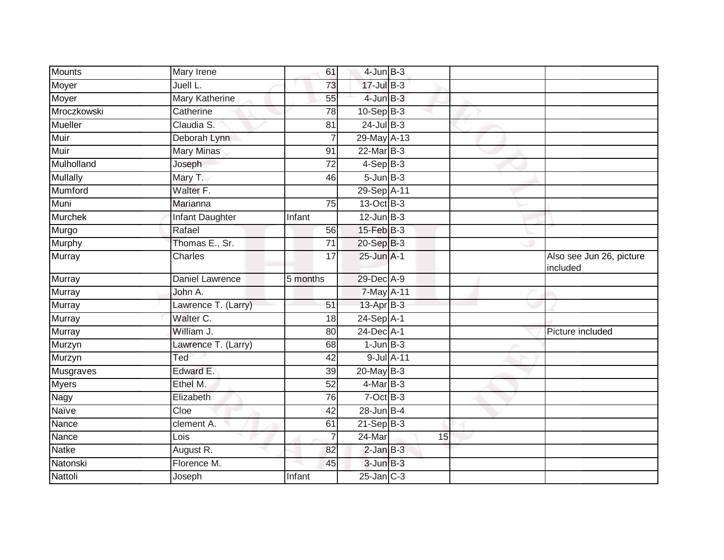| Mounts          | Mary Irene             | 61              | $4$ -Jun $B-3$   |    |                                      |
|-----------------|------------------------|-----------------|------------------|----|--------------------------------------|
| Moyer           | Juell L.               | 73              | 17-Jul B-3       |    |                                      |
| Moyer           | <b>Mary Katherine</b>  | 55              | $4$ -Jun $B-3$   |    |                                      |
| Mroczkowski     | Catherine              | 78              | $10-Sep$ B-3     |    |                                      |
| <b>Mueller</b>  | Claudia S.             | $\overline{81}$ | $24$ -Jul B-3    |    |                                      |
| Muir            | Deborah Lynn           |                 | 29-May A-13      |    |                                      |
| Muir            | <b>Mary Minas</b>      | 91              | $22$ -Mar $B-3$  |    |                                      |
| Mulholland      | Joseph                 | 72              | $4-Sep$ B-3      |    |                                      |
| <b>Mullally</b> | Mary T.                | 46              | $5 - Jun$ $B-3$  |    |                                      |
| Mumford         | Walter F.              |                 | 29-Sep A-11      |    |                                      |
| Muni            | Marianna               | 75              | 13-Oct B-3       |    |                                      |
| <b>Murchek</b>  | Infant Daughter        | Infant          | $12$ -Jun $B-3$  |    |                                      |
| Murgo           | Rafael                 | 56              | $15$ -Feb $B$ -3 |    |                                      |
| <b>Murphy</b>   | Thomas E., Sr.         | 71              | 20-Sep B-3       |    |                                      |
| Murray          | Charles                | 17              | $25$ -Jun $A-1$  |    | Also see Jun 26, picture<br>included |
| Murray          | <b>Daniel Lawrence</b> | 5 months        | 29-Dec A-9       |    |                                      |
| Murray          | John A.                |                 | 7-May A-11       |    |                                      |
| Murray          | Lawrence T. (Larry)    | 51              | 13-Apr B-3       |    |                                      |
| Murray          | Walter C.              | 18              | 24-Sep A-1       |    |                                      |
| Murray          | William J.             | 80              | 24-Dec A-1       |    | Picture included                     |
| Murzyn          | Lawrence T. (Larry)    | 68              | $1$ -Jun $B-3$   |    |                                      |
| Murzyn          | Ted                    | 42              | 9-Jul A-11       |    |                                      |
| Musgraves       | Edward E.              | 39              | $20$ -May $B-3$  |    |                                      |
| <b>Myers</b>    | Ethel M.               | 52              | $4$ -Mar B-3     |    |                                      |
| <b>Nagy</b>     | Elizabeth              | 76              | $7-Oct$ $B-3$    |    |                                      |
| Naïve           | Cloe                   | 42              | $28 - Jun$ B-4   |    |                                      |
| Nance           | clement A.             | 61              | $21-Sep$ B-3     |    |                                      |
| Nance           | Lois                   |                 | 24-Mar           | 15 |                                      |
| <b>Natke</b>    | August R.              | 82              | $2$ -Jan $B-3$   |    |                                      |
| Natonski        | Florence M.            | 45              | $3$ -Jun $B-3$   |    |                                      |
| Nattoli         | Joseph                 | Infant          | $25$ -Jan $C-3$  |    |                                      |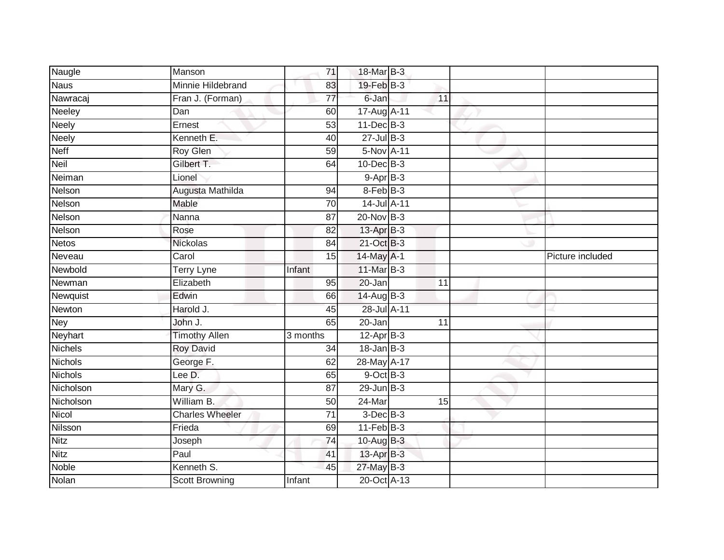| Naugle         | Manson                 | 71              | 18-Mar B-3      |    |                  |
|----------------|------------------------|-----------------|-----------------|----|------------------|
| <b>Naus</b>    | Minnie Hildebrand      | 83              | 19-Feb B-3      |    |                  |
| Nawracaj       | Fran J. (Forman)       | $\overline{77}$ | 6-Jan           | 11 |                  |
| Neeley         | Dan                    | 60              | 17-Aug A-11     |    |                  |
| <b>Neely</b>   | Ernest                 | $\overline{53}$ | $11$ -Dec $B-3$ |    |                  |
| <b>Neely</b>   | Kenneth E.             | 40              | $27 -$ Jul B-3  |    |                  |
| <b>Neff</b>    | <b>Roy Glen</b>        | 59              | 5-Nov A-11      |    |                  |
| <b>Neil</b>    | Gilbert T.             | 64              | $10$ -Dec $B-3$ |    |                  |
| Neiman         | Lionel                 |                 | $9-AprB-3$      |    |                  |
| Nelson         | Augusta Mathilda       | 94              | 8-Feb B-3       |    |                  |
| Nelson         | Mable                  | 70              | 14-Jul A-11     |    |                  |
| Nelson         | Nanna                  | 87              | $20$ -Nov $B-3$ |    |                  |
| Nelson         | Rose                   | 82              | 13-Apr B-3      |    |                  |
| <b>Netos</b>   | Nickolas               | 84              | 21-Oct B-3      |    |                  |
| Neveau         | Carol                  | $\overline{15}$ | 14-May A-1      |    | Picture included |
| Newbold        | Terry Lyne             | Infant          | $11$ -Mar $B-3$ |    |                  |
| Newman         | Elizabeth              | 95              | 20-Jan          | 11 |                  |
| Newquist       | Edwin                  | 66              | 14-Aug B-3      |    |                  |
| Newton         | Harold J.              | 45              | 28-Jul A-11     |    |                  |
| <b>Ney</b>     | John J.                | 65              | $20 - Jan$      | 11 |                  |
| Neyhart        | <b>Timothy Allen</b>   | 3 months        | $12-AprB-3$     |    |                  |
| <b>Nichels</b> | <b>Roy David</b>       | $\overline{34}$ | $18$ -Jan $B-3$ |    |                  |
| <b>Nichols</b> | George F.              | 62              | 28-May A-17     |    |                  |
| <b>Nichols</b> | Lee D.                 | 65              | $9$ -Oct $B$ -3 |    |                  |
| Nicholson      | Mary G.                | 87              | $29$ -Jun $B-3$ |    |                  |
| Nicholson      | William B.             | 50              | $24$ -Mar       | 15 |                  |
| Nicol          | <b>Charles Wheeler</b> | $\overline{71}$ | $3$ -Dec $B-3$  |    |                  |
| Nilsson        | Frieda                 | 69              | $11$ -Feb $B-3$ |    |                  |
| <b>Nitz</b>    | Joseph                 | 74              | 10-Aug $B-3$    |    |                  |
| <b>Nitz</b>    | Paul                   | 41              | 13-Apr B-3      |    |                  |
| <b>Noble</b>   | Kenneth S.             | 45              | 27-May B-3      |    |                  |
| Nolan          | <b>Scott Browning</b>  | Infant          | 20-Oct A-13     |    |                  |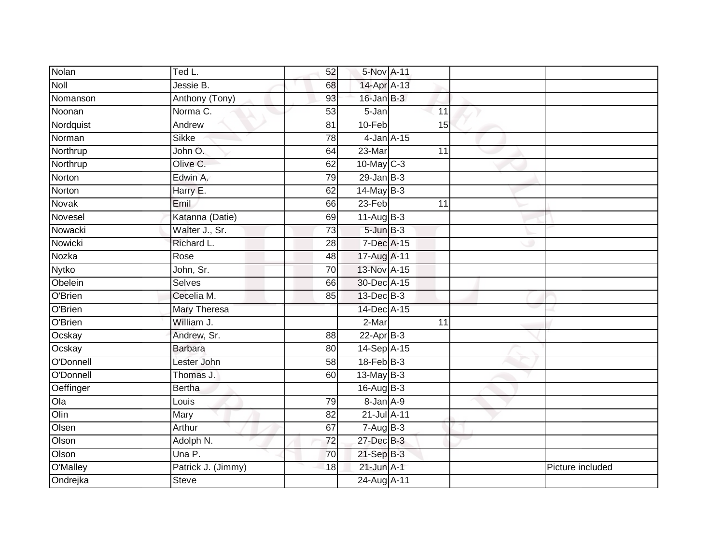| Nolan        | Ted L.             | 52              | 5-Nov A-11        |                 |                  |
|--------------|--------------------|-----------------|-------------------|-----------------|------------------|
| Noll         | Jessie B.          | 68              | 14-Apr A-13       |                 |                  |
| Nomanson     | Anthony (Tony)     | 93              | $16$ -Jan $B-3$   |                 |                  |
| Noonan       | Norma C.           | 53              | 5-Jan             | 11              |                  |
| Nordquist    | Andrew             | $\overline{81}$ | $10-Feb$          | 15              |                  |
| Norman       | <b>Sikke</b>       | 78              | $4$ -Jan $A-15$   |                 |                  |
| Northrup     | John O.            | 64              | 23-Mar            | 11              |                  |
| Northrup     | Olive C.           | 62              | 10-May C-3        |                 |                  |
| Norton       | Edwin A.           | 79              | $29$ -Jan $B-3$   |                 |                  |
| Norton       | Harry E.           | 62              | $14$ -May B-3     |                 |                  |
| Novak        | Emil               | 66              | $23-Feb$          | 11              |                  |
| Novesel      | Katanna (Datie)    | 69              | $11-AugB-3$       |                 |                  |
| Nowacki      | Walter J., Sr.     | 73              | $5 - Jun$ $B - 3$ |                 |                  |
| Nowicki      | Richard L.         | 28              | 7-Dec A-15        |                 |                  |
| Nozka        | Rose               | 48              | 17-Aug A-11       |                 |                  |
| <b>Nytko</b> | John, Sr.          | 70              | 13-Nov A-15       |                 |                  |
| Obelein      | <b>Selves</b>      | 66              | 30-Dec A-15       |                 |                  |
| O'Brien      | Cecelia M.         | 85              | 13-Dec B-3        |                 |                  |
| O'Brien      | Mary Theresa       |                 | 14-Dec A-15       |                 |                  |
| O'Brien      | William J.         |                 | $2-Mar$           | $\overline{11}$ |                  |
| Ocskay       | Andrew, Sr.        | 88              | $22-Apr$ B-3      |                 |                  |
| Ocskay       | <b>Barbara</b>     | 80              | 14-Sep A-15       |                 |                  |
| O'Donnell    | Lester John        | 58              | $18-FebB-3$       |                 |                  |
| O'Donnell    | Thomas J.          | 60              | 13-May B-3        |                 |                  |
| Oeffinger    | <b>Bertha</b>      |                 | $16$ -Aug $B$ -3  |                 |                  |
| Ola          | Louis              | 79              | 8-Jan A-9         |                 |                  |
| Olin         | Mary               | 82              | 21-Jul A-11       |                 |                  |
| Olsen        | Arthur             | 67              | $7 - Aug$ B-3     |                 |                  |
| Olson        | Adolph N.          | 72              | 27-Dec B-3        |                 |                  |
| Olson        | Una P.             | 70              | $21 - SepB-3$     |                 |                  |
| O'Malley     | Patrick J. (Jimmy) | 18              | $21$ -Jun $A-1$   |                 | Picture included |
| Ondrejka     | <b>Steve</b>       |                 | 24-Aug A-11       |                 |                  |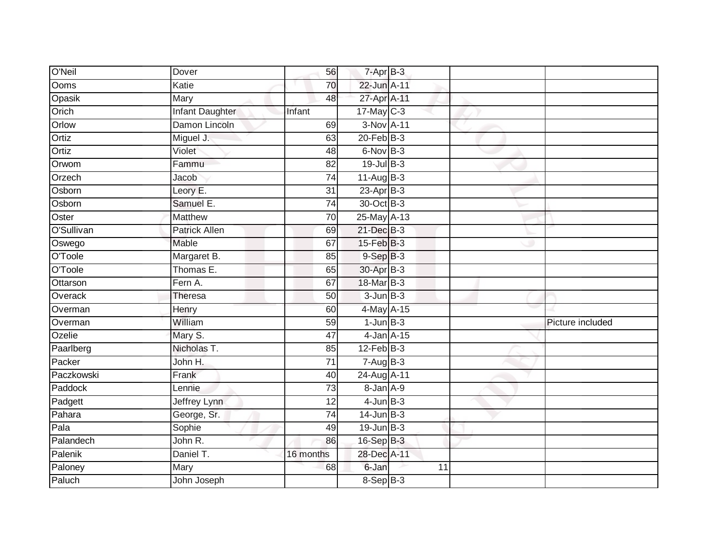| O'Neil     | Dover                  | 56              | $7 - Apr$ B-3   |                 |                  |
|------------|------------------------|-----------------|-----------------|-----------------|------------------|
| Ooms       | Katie                  | 70              | 22-Jun A-11     |                 |                  |
| Opasik     | Mary                   | 48              | 27-Apr A-11     |                 |                  |
| Orich      | <b>Infant Daughter</b> | Infant          | $17$ -May C-3   |                 |                  |
| Orlow      | Damon Lincoln          | 69              | 3-Nov A-11      |                 |                  |
| Ortiz      | Miguel J.              | 63              | $20$ -Feb $B-3$ |                 |                  |
| Ortiz      | Violet                 | 48              | $6$ -Nov $B-3$  |                 |                  |
| Orwom      | Fammu                  | 82              | $19$ -Jul $B-3$ |                 |                  |
| Orzech     | Jacob                  | $\overline{74}$ | $11-Aug$ B-3    |                 |                  |
| Osborn     | Leory E.               | $\overline{31}$ | $23-AprB-3$     |                 |                  |
| Osborn     | Samuel E.              | 74              | 30-Oct B-3      |                 |                  |
| Oster      | <b>Matthew</b>         | 70              | 25-May A-13     |                 |                  |
| O'Sullivan | <b>Patrick Allen</b>   | 69              | 21-Dec B-3      |                 |                  |
| Oswego     | Mable                  | 67              | 15-Feb B-3      |                 |                  |
| O'Toole    | Margaret B.            | 85              | $9-SepB-3$      |                 |                  |
| O'Toole    | Thomas E.              | 65              | 30-Apr B-3      |                 |                  |
| Ottarson   | Fern A.                | 67              | 18-Mar B-3      |                 |                  |
| Overack    | <b>Theresa</b>         | 50              | $3 - Jun$ $B-3$ |                 |                  |
| Overman    | Henry                  | 60              | 4-May A-15      |                 |                  |
| Overman    | William                | 59              | $1$ -Jun $B-3$  |                 | Picture included |
| Ozelie     | Mary S.                | 47              |                 | $4$ -Jan $A-15$ |                  |
| Paarlberg  | Nicholas T.            | 85              | $12$ -Feb $B-3$ |                 |                  |
| Packer     | John H.                | 71              | $7-AugB-3$      |                 |                  |
| Paczkowski | Frank                  | 40              | 24-Aug A-11     |                 |                  |
| Paddock    | Lennie                 | 73              | 8-Jan A-9       |                 |                  |
| Padgett    | Jeffrey Lynn           | 12              | $4$ -Jun $B-3$  |                 |                  |
| Pahara     | George, Sr.            | $\overline{74}$ | $14$ -Jun $B-3$ |                 |                  |
| Pala       | Sophie                 | 49              | $19$ -Jun $B-3$ |                 |                  |
| Palandech  | John R.                | 86              | 16-Sep B-3      |                 |                  |
| Palenik    | Daniel T.              | 16 months       | 28-Dec A-11     |                 |                  |
| Paloney    | Mary                   | 68              | 6-Jan           | 11              |                  |
| Paluch     | John Joseph            |                 | $8-Sep$ B-3     |                 |                  |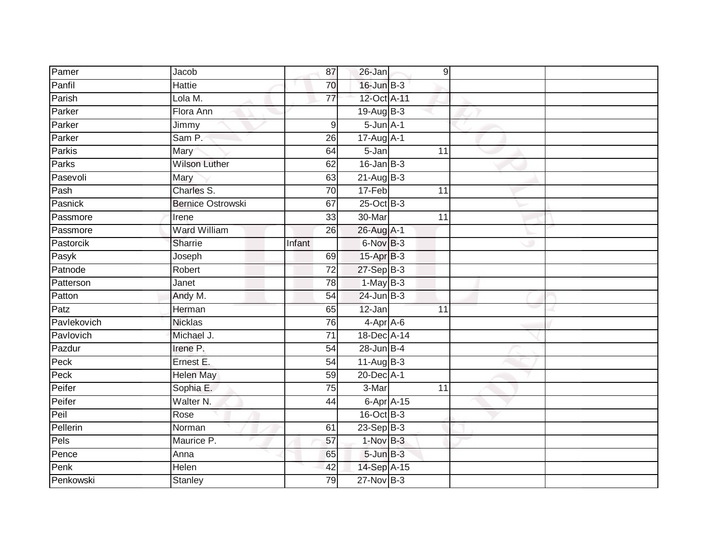| Pamer       | Jacob                    | 87               | 26-Jan             | 9               |  |
|-------------|--------------------------|------------------|--------------------|-----------------|--|
| Panfil      | Hattie                   | 70               | 16-Jun B-3         |                 |  |
| Parish      | Lola M.                  | 77               | 12-Oct A-11        |                 |  |
| Parker      | Flora Ann                |                  | $19-AugB-3$        |                 |  |
| Parker      | Jimmy                    | $\boldsymbol{9}$ | $5 - Jun A - 1$    |                 |  |
| Parker      | Sam P.                   | 26               | 17-Aug A-1         |                 |  |
| Parkis      | Mary                     | 64               | 5-Jan              | 11              |  |
| Parks       | <b>Wilson Luther</b>     | 62               | $16$ -Jan $B-3$    |                 |  |
| Pasevoli    | Mary                     | 63               | 21-Aug B-3         |                 |  |
| Pash        | Charles S.               | $\overline{70}$  | 17-Feb             | 11              |  |
| Pasnick     | <b>Bernice Ostrowski</b> | 67               | 25-Oct B-3         |                 |  |
| Passmore    | Irene                    | 33               | 30-Mar             | $\overline{11}$ |  |
| Passmore    | <b>Ward William</b>      | 26               | 26-Aug A-1         |                 |  |
| Pastorcik   | Sharrie                  | Infant           | 6-Nov B-3          |                 |  |
| Pasyk       | Joseph                   | 69               | 15-Apr B-3         |                 |  |
| Patnode     | Robert                   | $\overline{72}$  | 27-Sep B-3         |                 |  |
| Patterson   | Janet                    | 78               | $1-MayB-3$         |                 |  |
| Patton      | Andy M.                  | 54               | $24$ -Jun $B-3$    |                 |  |
| Patz        | Herman                   | 65               | 12-Jan             | 11              |  |
| Pavlekovich | <b>Nicklas</b>           | 76               | $4-Apr$ A-6        |                 |  |
| Pavlovich   | Michael J.               | 71               | 18-Dec A-14        |                 |  |
| Pazdur      | Irene P.                 | 54               | $28$ -Jun $B-4$    |                 |  |
| Peck        | Ernest E.                | 54               | $11-Aug$ B-3       |                 |  |
| Peck        | <b>Helen May</b>         | 59               | 20-Dec A-1         |                 |  |
| Peifer      | Sophia E.                | $\overline{75}$  | 3-Mar              | 11              |  |
| Peifer      | Walter N.                | 44               | $6 - Apr$ $A - 15$ |                 |  |
| Peil        | Rose                     |                  | 16-Oct B-3         |                 |  |
| Pellerin    | Norman                   | 61               | 23-Sep $ B-3 $     |                 |  |
| Pels        | Maurice P.               | 57               | 1-Nov B-3          |                 |  |
| Pence       | Anna                     | 65               | $5 - Jun$ $B-3$    |                 |  |
| Penk        | Helen                    | 42               | 14-Sep A-15        |                 |  |
| Penkowski   | <b>Stanley</b>           | 79               | $27$ -Nov $B-3$    |                 |  |
|             |                          |                  |                    |                 |  |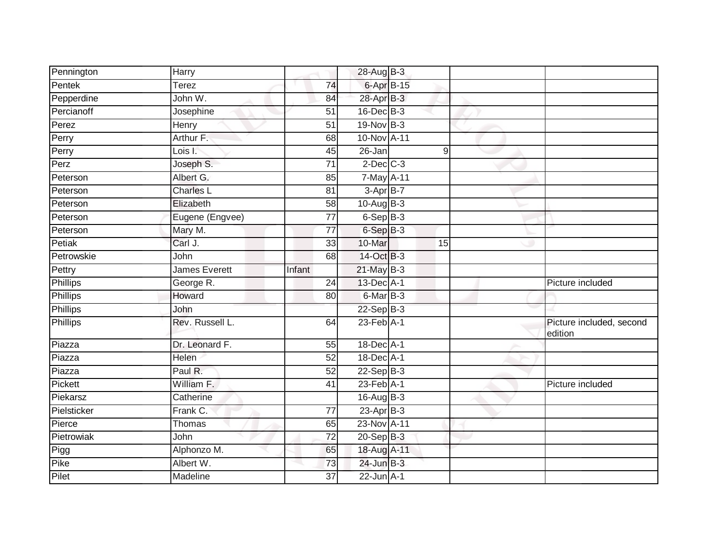| Pennington      | Harry           |                 | 28-Aug B-3                 |    |                                     |
|-----------------|-----------------|-----------------|----------------------------|----|-------------------------------------|
| Pentek          | Terez           | 74              | 6-Apr B-15                 |    |                                     |
| Pepperdine      | John W.         | 84              | 28-Apr B-3                 |    |                                     |
| Percianoff      | Josephine       | 51              | $16$ -Dec $B-3$            |    |                                     |
| Perez           | Henry           | $\overline{51}$ | 19-Nov B-3                 |    |                                     |
| Perry           | Arthur F.       | 68              | 10-Nov A-11                |    |                                     |
| Perry           | Lois I.         | 45              | 26-Jan                     | 9  |                                     |
| Perz            | Joseph S.       | 71              | $2$ -Dec $C-3$             |    |                                     |
| Peterson        | Albert G.       | 85              | 7-May A-11                 |    |                                     |
| Peterson        | Charles L       | 81              | 3-Apr B-7                  |    |                                     |
| Peterson        | Elizabeth       | 58              | $10$ -AugB-3               |    |                                     |
| Peterson        | Eugene (Engvee) | $\overline{77}$ | $6-Sep$ B-3                |    |                                     |
| Peterson        | Mary M.         | 77              | 6-Sep B-3                  |    |                                     |
| Petiak          | Carl J.         | 33              | 10-Mar                     | 15 |                                     |
| Petrowskie      | John            | 68              | 14-Oct B-3                 |    |                                     |
| Pettry          | James Everett   | Infant          | $21$ -May $B-3$            |    |                                     |
| <b>Phillips</b> | George R.       | $\overline{24}$ | 13-Dec A-1                 |    | Picture included                    |
| Phillips        | Howard          | 80              | $6$ -Mar $\overline{B}$ -3 |    |                                     |
| <b>Phillips</b> | John            |                 | $22-Sep$ B-3               |    |                                     |
| Phillips        | Rev. Russell L. | 64              | $23$ -Feb $A-1$            |    | Picture included, second<br>edition |
| Piazza          | Dr. Leonard F.  | 55              | 18-Dec A-1                 |    |                                     |
| Piazza          | Helen           | 52              | $18$ -Dec A-1              |    |                                     |
| Piazza          | Paul R.         | $\overline{52}$ | $22-Sep$ B-3               |    |                                     |
| Pickett         | William F.      | 41              | $23$ -Feb $A-1$            |    | Picture included                    |
| Piekarsz        | Catherine       |                 | $16$ -Aug $B-3$            |    |                                     |
| Pielsticker     | Frank C.        | 77              | $23$ -Apr $B-3$            |    |                                     |
| Pierce          | Thomas          | 65              | 23-Nov A-11                |    |                                     |
| Pietrowiak      | John            | $\overline{72}$ | 20-Sep B-3                 |    |                                     |
| Pigg            | Alphonzo M.     | 65              | 18-Aug A-11                |    |                                     |
| Pike            | Albert W.       | 73              | $24$ -Jun $B-3$            |    |                                     |
| Pilet           | Madeline        | 37              | $22$ -Jun $A-1$            |    |                                     |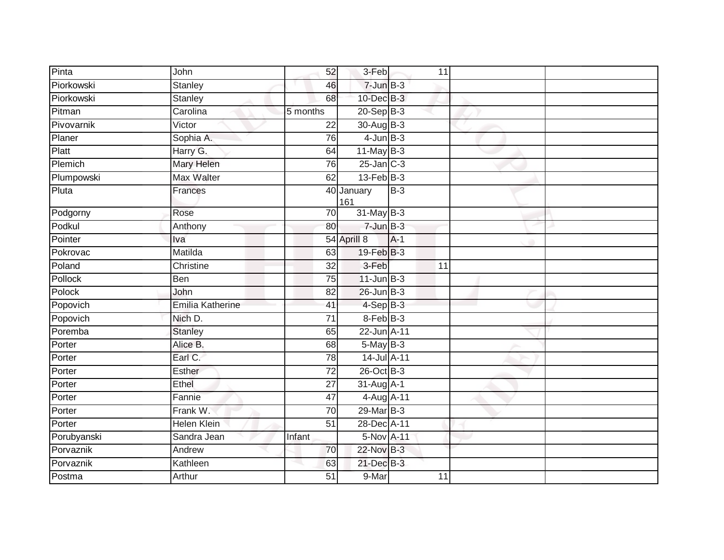| Pinta       | John               | 52              | 3-Feb             |       | 11              |  |
|-------------|--------------------|-----------------|-------------------|-------|-----------------|--|
| Piorkowski  | <b>Stanley</b>     | 46              | $7$ -Jun $B-3$    |       |                 |  |
| Piorkowski  | <b>Stanley</b>     | 68              | 10-Dec B-3        |       |                 |  |
| Pitman      | Carolina           | 5 months        | $20 - Sep$ B-3    |       |                 |  |
| Pivovarnik  | Victor             | $\overline{22}$ | 30-Aug B-3        |       |                 |  |
| Planer      | Sophia A.          | 76              | $4$ -Jun $B-3$    |       |                 |  |
| Platt       | Harry G.           | 64              | $11$ -May B-3     |       |                 |  |
| Plemich     | Mary Helen         | 76              | $25$ -Jan $C-3$   |       |                 |  |
| Plumpowski  | Max Walter         | 62              | $13$ -Feb $B-3$   |       |                 |  |
| Pluta       | Frances            |                 | 40 January<br>161 | $B-3$ |                 |  |
| Podgorny    | Rose               | $\overline{70}$ | 31-May B-3        |       |                 |  |
| Podkul      | Anthony            | 80              | $7 - Jun$ B-3     |       |                 |  |
| Pointer     | Iva                |                 | 54 Aprill 8       | $A-1$ |                 |  |
| Pokrovac    | Matilda            | 63              | 19-Feb B-3        |       |                 |  |
| Poland      | Christine          | $\overline{32}$ | 3-Feb             |       | $\overline{11}$ |  |
| Pollock     | Ben                | 75              | $11$ -Jun $B-3$   |       |                 |  |
| Polock      | John               | 82              | $26$ -Jun $B-3$   |       |                 |  |
| Popovich    | Emilia Katherine   | 41              | 4-Sep B-3         |       |                 |  |
| Popovich    | Nich D.            | $\overline{71}$ | 8-Feb B-3         |       |                 |  |
| Poremba     | <b>Stanley</b>     | 65              | 22-Jun A-11       |       |                 |  |
| Porter      | Alice B.           | 68              | 5-May B-3         |       |                 |  |
| Porter      | Earl C.            | 78              | 14-Jul A-11       |       |                 |  |
| Porter      | Esther             | $\overline{72}$ | 26-Oct B-3        |       |                 |  |
| Porter      | Ethel              | 27              | 31-Aug A-1        |       |                 |  |
| Porter      | Fannie             | 47              | 4-Aug A-11        |       |                 |  |
| Porter      | Frank W.           | 70              | 29-Mar B-3        |       |                 |  |
| Porter      | <b>Helen Klein</b> | $\overline{51}$ | 28-Dec A-11       |       |                 |  |
| Porubyanski | Sandra Jean        | Infant          | 5-Nov A-11        |       |                 |  |
| Porvaznik   | Andrew             | 70              | 22-Nov B-3        |       |                 |  |
| Porvaznik   | Kathleen           | 63              | 21-Dec B-3        |       |                 |  |
| Postma      | Arthur             | 51              | 9-Mar             |       | 11              |  |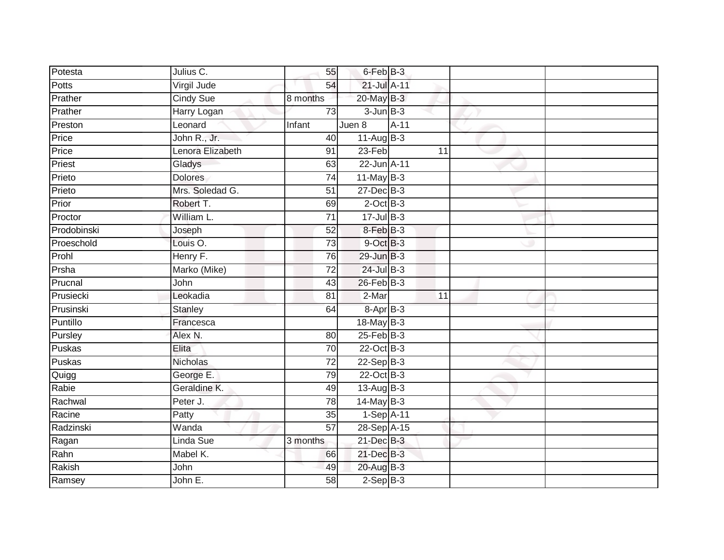| Potesta      | Julius C.        | 55              | 6-Feb B-3        |        |  |
|--------------|------------------|-----------------|------------------|--------|--|
| <b>Potts</b> | Virgil Jude      | 54              | 21-Jul A-11      |        |  |
| Prather      | <b>Cindy Sue</b> | 8 months        | $20$ -May $B-3$  |        |  |
| Prather      | Harry Logan      | 73              | $3$ -Jun $B-3$   |        |  |
| Preston      | Leonard          | Infant          | Juen 8           | $A-11$ |  |
| Price        | John R., Jr.     | 40              | $11-Aug$ B-3     |        |  |
| Price        | Lenora Elizabeth | 91              | 23-Feb           | 11     |  |
| Priest       | Gladys           | 63              | 22-Jun A-11      |        |  |
| Prieto       | <b>Dolores</b>   | 74              | $11$ -May B-3    |        |  |
| Prieto       | Mrs. Soledad G.  | 51              | $27 - Dec$ B-3   |        |  |
| Prior        | Robert T.        | 69              | $2$ -Oct $B-3$   |        |  |
| Proctor      | William L.       | 71              | $17 -$ Jul B-3   |        |  |
| Prodobinski  | Joseph           | 52              | 8-Feb B-3        |        |  |
| Proeschold   | Louis O.         | 73              | 9-Oct B-3        |        |  |
| Prohl        | Henry F.         | 76              | $29$ -Jun $B-3$  |        |  |
| Prsha        | Marko (Mike)     | $\overline{72}$ | 24-Jul B-3       |        |  |
| Prucnal      | John             | 43              | $26$ -Feb $B-3$  |        |  |
| Prusiecki    | Leokadia         | 81              | 2-Mar            | 11     |  |
| Prusinski    | Stanley          | 64              | $8 - Apr$ $B-3$  |        |  |
| Puntillo     | Francesca        |                 | 18-May B-3       |        |  |
| Pursley      | Alex N.          | 80              | $25$ -Feb $B$ -3 |        |  |
| Puskas       | Elita            | 70              | 22-Oct B-3       |        |  |
| Puskas       | Nicholas         | 72              | $22 - SepB-3$    |        |  |
| Quigg        | George E.        | 79              | 22-Oct B-3       |        |  |
| Rabie        | Geraldine K.     | 49              | $13-Aug$ B-3     |        |  |
| Rachwal      | Peter J.         | 78              | $14$ -May B-3    |        |  |
| Racine       | Patty            | 35              | 1-Sep A-11       |        |  |
| Radzinski    | Wanda            | $\overline{57}$ | 28-Sep A-15      |        |  |
| Ragan        | Linda Sue        | 3 months        | 21-Dec B-3       |        |  |
| Rahn         | Mabel K.         | 66              | 21-Dec B-3       |        |  |
| Rakish       | John             | 49              | $20$ -Aug $B-3$  |        |  |
| Ramsey       | John E.          | 58              | $2-Sep$ B-3      |        |  |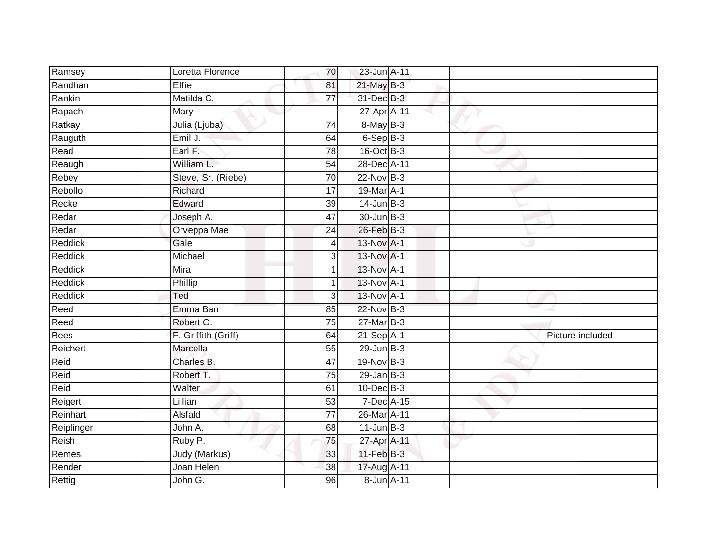| Ramsey     | Loretta Florence    | 70              | 23-Jun A-11      |  |                  |
|------------|---------------------|-----------------|------------------|--|------------------|
| Randhan    | Effie               | 81              | $21$ -May $B-3$  |  |                  |
| Rankin     | Matilda C.          | $\overline{77}$ | 31-Dec B-3       |  |                  |
| Rapach     | Mary                |                 | 27-Apr A-11      |  |                  |
| Ratkay     | Julia (Ljuba)       | $\overline{74}$ | 8-May B-3        |  |                  |
| Rauguth    | Emil J.             | 64              | $6-Sep$ B-3      |  |                  |
| Read       | Earl F.             | 78              | $16$ -Oct B-3    |  |                  |
| Reaugh     | William L.          | 54              | 28-Dec A-11      |  |                  |
| Rebey      | Steve, Sr. (Riebe)  | 70              | 22-Nov B-3       |  |                  |
| Rebollo    | Richard             | $\overline{17}$ | 19-Mar A-1       |  |                  |
| Recke      | Edward              | 39              | $14$ -Jun $B-3$  |  |                  |
| Redar      | Joseph A.           | 47              | 30-Jun B-3       |  |                  |
| Redar      | Orveppa Mae         | 24              | 26-Feb B-3       |  |                  |
| Reddick    | Gale                | 4               | 13-Nov A-1       |  |                  |
| Reddick    | Michael             | 3               | 13-Nov A-1       |  |                  |
| Reddick    | Mira                |                 | 13-Nov A-1       |  |                  |
| Reddick    | Phillip             |                 | 13-Nov A-1       |  |                  |
| Reddick    | Ted                 | 3               | 13-Nov A-1       |  |                  |
| Reed       | Emma Barr           | 85              | 22-Nov B-3       |  |                  |
| Reed       | Robert O.           | 75              | $27$ -Mar $B-3$  |  |                  |
| Rees       | F. Griffith (Griff) | 64              | $21-Sep$ A-1     |  | Picture included |
| Reichert   | Marcella            | $\overline{55}$ | $29$ -Jun $B-3$  |  |                  |
| Reid       | Charles B.          | 47              | 19-Nov B-3       |  |                  |
| Reid       | Robert T.           | $\overline{75}$ | $29$ -Jan B-3    |  |                  |
| Reid       | Walter              | 61              | $10$ -Dec $B-3$  |  |                  |
| Reigert    | Lillian             | 53              | 7-Dec A-15       |  |                  |
| Reinhart   | Alsfald             | $\overline{77}$ | 26-Mar A-11      |  |                  |
| Reiplinger | John A.             | 68              | $11$ -Jun $B-3$  |  |                  |
| Reish      | Ruby P.             | 75              | 27-Apr A-11      |  |                  |
| Remes      | Judy (Markus)       | 33              | $11$ -Feb $B$ -3 |  |                  |
| Render     | Joan Helen          | 38              | 17-Aug A-11      |  |                  |
| Rettig     | John G.             | 96              | 8-Jun A-11       |  |                  |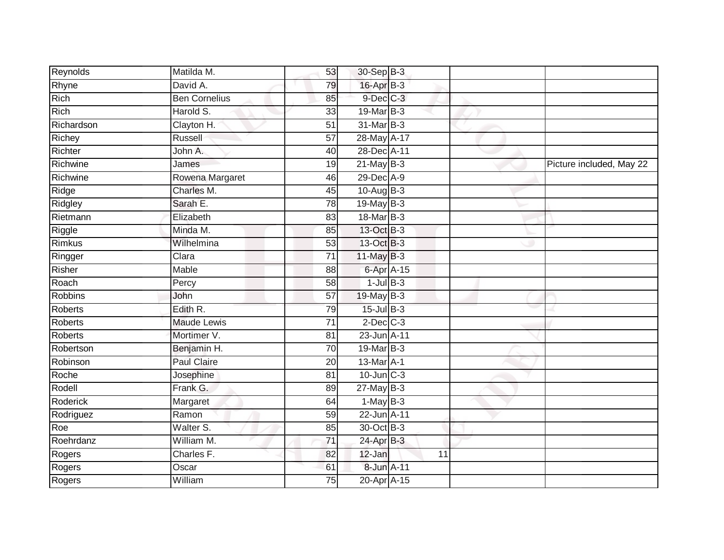| Reynolds   | Matilda M.           | 53              | 30-Sep B-3      |    |                          |
|------------|----------------------|-----------------|-----------------|----|--------------------------|
| Rhyne      | David A.             | 79              | 16-Apr B-3      |    |                          |
| Rich       | <b>Ben Cornelius</b> | 85              | $9$ -Dec $C$ -3 |    |                          |
| Rich       | Harold S.            | 33              | 19-Mar B-3      |    |                          |
| Richardson | Clayton H.           | $\overline{51}$ | 31-Mar B-3      |    |                          |
| Richey     | Russell              | 57              | 28-May A-17     |    |                          |
| Richter    | John A.              | 40              | 28-Dec A-11     |    |                          |
| Richwine   | James                | 19              | $21$ -May B-3   |    | Picture included, May 22 |
| Richwine   | Rowena Margaret      | 46              | 29-Dec A-9      |    |                          |
| Ridge      | Charles M.           | 45              | 10-Aug B-3      |    |                          |
| Ridgley    | Sarah E.             | 78              | $19$ -May B-3   |    |                          |
| Rietmann   | Elizabeth            | 83              | 18-Mar B-3      |    |                          |
| Riggle     | Minda M.             | 85              | 13-Oct B-3      |    |                          |
| Rimkus     | Wilhelmina           | 53              | 13-Oct B-3      |    |                          |
| Ringger    | Clara                | $\overline{71}$ | $11$ -May B-3   |    |                          |
| Risher     | Mable                | 88              | 6-Apr A-15      |    |                          |
| Roach      | Percy                | 58              | $1$ -Jul $B-3$  |    |                          |
| Robbins    | John                 | $\overline{57}$ | 19-May B-3      |    |                          |
| Roberts    | Edith R.             | 79              | $15$ -Jul B-3   |    |                          |
| Roberts    | <b>Maude Lewis</b>   | 71              | $2$ -Dec $C-3$  |    |                          |
| Roberts    | Mortimer V.          | 81              | 23-Jun A-11     |    |                          |
| Robertson  | Benjamin H.          | $\overline{70}$ | 19-Mar B-3      |    |                          |
| Robinson   | Paul Claire          | 20              | 13-Mar A-1      |    |                          |
| Roche      | Josephine            | 81              | $10$ -Jun $C-3$ |    |                          |
| Rodell     | Frank G.             | 89              | $27$ -May B-3   |    |                          |
| Roderick   | Margaret             | 64              | $1-MayB-3$      |    |                          |
| Rodriguez  | Ramon                | 59              | 22-Jun A-11     |    |                          |
| Roe        | Walter S.            | 85              | 30-Oct B-3      |    |                          |
| Roehrdanz  | William M.           | 71              | 24-Apr B-3      |    |                          |
| Rogers     | Charles F.           | 82              | 12-Jan          | 11 |                          |
| Rogers     | Oscar                | 61              | 8-Jun A-11      |    |                          |
| Rogers     | William              | $\overline{75}$ | 20-Apr A-15     |    |                          |
|            |                      |                 |                 |    |                          |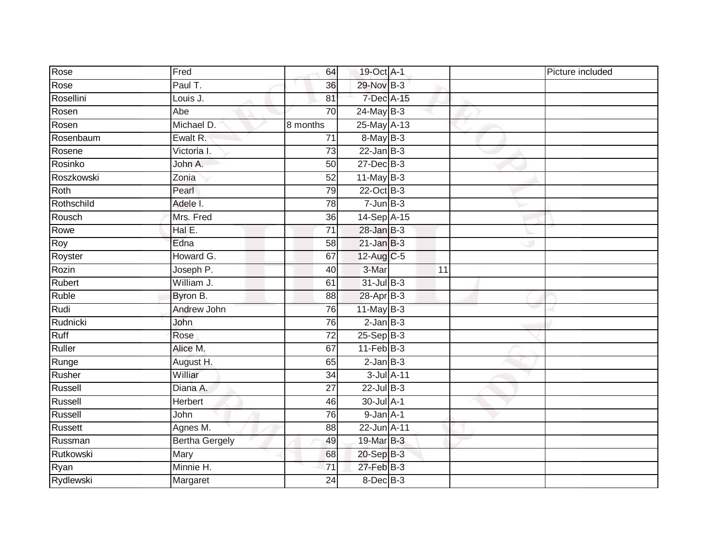| Rose       | Fred                  | 64              | 19-Oct A-1                 |    | Picture included |
|------------|-----------------------|-----------------|----------------------------|----|------------------|
| Rose       | Paul T.               | 36              | 29-Nov B-3                 |    |                  |
| Rosellini  | Louis J.              | 81              | 7-Dec A-15                 |    |                  |
| Rosen      | Abe                   | 70              | $24$ -May B-3              |    |                  |
| Rosen      | Michael D.            | 8 months        | 25-May A-13                |    |                  |
| Rosenbaum  | Ewalt R.              | 71              | 8-May B-3                  |    |                  |
| Rosene     | Victoria I.           | 73              | $22$ -Jan B-3              |    |                  |
| Rosinko    | John A.               | 50              | 27-Dec B-3                 |    |                  |
| Roszkowski | Zonia                 | 52              | $11$ -May B-3              |    |                  |
| Roth       | Pearl                 | 79              | $22$ -Oct $\overline{B-3}$ |    |                  |
| Rothschild | Adele I.              | 78              | $7 - Jun$ B-3              |    |                  |
| Rousch     | Mrs. Fred             | 36              | 14-Sep A-15                |    |                  |
| Rowe       | Hal E.                | $\overline{71}$ | $28$ -Jan B-3              |    |                  |
| Roy        | Edna                  | 58              | $21$ -Jan $B-3$            |    |                  |
| Royster    | Howard G.             | 67              | 12-Aug C-5                 |    |                  |
| Rozin      | Joseph P.             | 40              | 3-Mar                      | 11 |                  |
| Rubert     | William J.            | 61              | $31$ -Jul B-3              |    |                  |
| Ruble      | Byron B.              | 88              | 28-Apr B-3                 |    |                  |
| Rudi       | Andrew John           | 76              | 11-May $B-3$               |    |                  |
| Rudnicki   | John                  | 76              | $2$ -Jan $B-3$             |    |                  |
| Ruff       | Rose                  | 72              | $25-Sep$ B-3               |    |                  |
| Ruller     | Alice M.              | 67              | $11-Feb$ B-3               |    |                  |
| Runge      | August H.             | 65              | $2$ -Jan $B-3$             |    |                  |
| Rusher     | Williar               | 34              | $3$ -Jul $A$ -11           |    |                  |
| Russell    | Diana A.              | $\overline{27}$ | $22$ -Jul B-3              |    |                  |
| Russell    | Herbert               | 46              | 30-Jul A-1                 |    |                  |
| Russell    | John                  | 76              | $9$ -Jan $A-1$             |    |                  |
| Russett    | Agnes M.              | 88              | 22-Jun A-11                |    |                  |
| Russman    | <b>Bertha Gergely</b> | 49              | 19-Mar B-3                 |    |                  |
| Rutkowski  | Mary                  | 68              | 20-Sep B-3                 |    |                  |
| Ryan       | Minnie H.             | $\overline{71}$ | $27$ -Feb $B-3$            |    |                  |
| Rydlewski  | Margaret              | 24              | 8-Dec B-3                  |    |                  |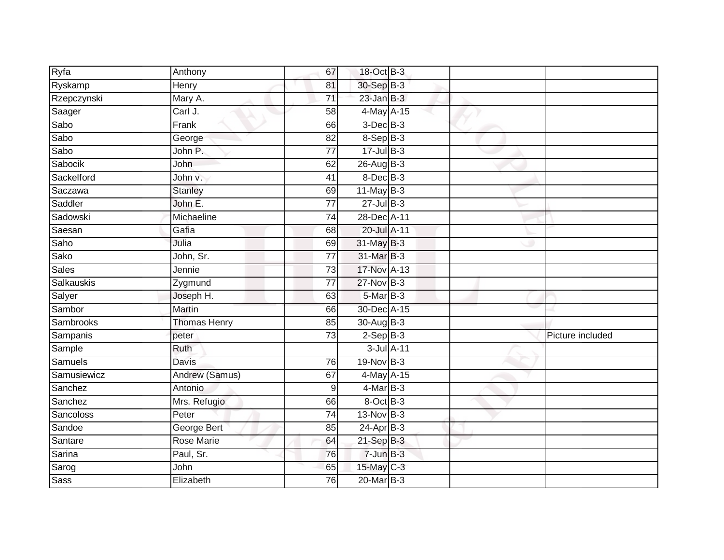| Ryfa         | Anthony             | 67              | 18-Oct B-3      |  |                  |
|--------------|---------------------|-----------------|-----------------|--|------------------|
| Ryskamp      | Henry               | 81              | 30-Sep B-3      |  |                  |
| Rzepczynski  | Mary A.             | 71              | $23$ -Jan $B-3$ |  |                  |
| Saager       | Carl J.             | 58              | 4-May A-15      |  |                  |
| Sabo         | Frank               | 66              | $3$ -Dec $B-3$  |  |                  |
| Sabo         | George              | 82              | $8-$ Sep $B-3$  |  |                  |
| Sabo         | John P.             | 77              | $17 -$ Jul B-3  |  |                  |
| Sabocik      | John                | 62              | $26$ -Aug $B-3$ |  |                  |
| Sackelford   | John v.             | 41              | 8-Dec B-3       |  |                  |
| Saczawa      | <b>Stanley</b>      | 69              | $11$ -May B-3   |  |                  |
| Saddler      | John E.             | 77              | $27 -$ Jul B-3  |  |                  |
| Sadowski     | Michaeline          | 74              | 28-Dec A-11     |  |                  |
| Saesan       | Gafia               | 68              | 20-Jul A-11     |  |                  |
| Saho         | Julia               | 69              | 31-May B-3      |  |                  |
| Sako         | John, Sr.           | $\overline{77}$ | 31-Mar B-3      |  |                  |
| <b>Sales</b> | Jennie              | 73              | 17-Nov A-13     |  |                  |
| Salkauskis   | Zygmund             | 77              | $27$ -Nov $B-3$ |  |                  |
| Salyer       | Joseph H.           | 63              | $5$ -Mar $B-3$  |  |                  |
| Sambor       | Martin              | 66              | 30-Dec A-15     |  |                  |
| Sambrooks    | <b>Thomas Henry</b> | 85              | $30-Aug$ B-3    |  |                  |
| Sampanis     | peter               | 73              | $2-Sep$ B-3     |  | Picture included |
| Sample       | Ruth                |                 | 3-Jul A-11      |  |                  |
| Samuels      | <b>Davis</b>        | $\overline{76}$ | 19-Nov B-3      |  |                  |
| Samusiewicz  | Andrew (Samus)      | 67              | 4-May A-15      |  |                  |
| Sanchez      | Antonio             | 9               | $4$ -Mar $B-3$  |  |                  |
| Sanchez      | Mrs. Refugio        | 66              | 8-Oct B-3       |  |                  |
| Sancoloss    | Peter               | 74              | $13-Nov$ B-3    |  |                  |
| Sandoe       | George Bert         | 85              | $24-Apr$ B-3    |  |                  |
| Santare      | <b>Rose Marie</b>   | 64              | 21-Sep B-3      |  |                  |
| Sarina       | Paul, Sr.           | 76              | $7$ -Jun $B-3$  |  |                  |
| Sarog        | John                | 65              | 15-May C-3      |  |                  |
| <b>Sass</b>  | Elizabeth           | 76              | 20-Mar B-3      |  |                  |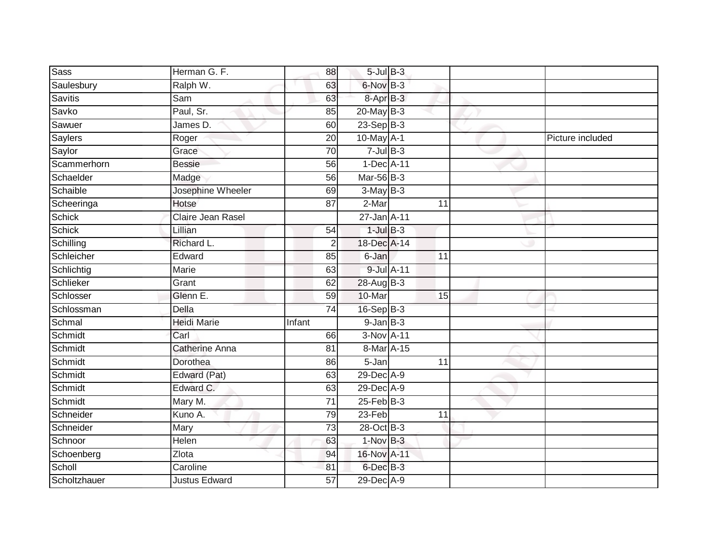| <b>Sass</b>    | Herman G. F.          | 88              | $5$ -Jul $B$ -3 |                 |                  |
|----------------|-----------------------|-----------------|-----------------|-----------------|------------------|
| Saulesbury     | Ralph W.              | 63              | 6-Nov B-3       |                 |                  |
| <b>Savitis</b> | Sam                   | 63              | 8-Apr B-3       |                 |                  |
| Savko          | Paul, Sr.             | 85              | $20$ -May B-3   |                 |                  |
| Sawuer         | James D.              | 60              | $23-Sep$ B-3    |                 |                  |
| Saylers        | Roger                 | 20              | $10$ -May $A-1$ |                 | Picture included |
| Saylor         | Grace                 | 70              | $7$ -Jul $B-3$  |                 |                  |
| Scammerhorn    | <b>Bessie</b>         | 56              | 1-Dec A-11      |                 |                  |
| Schaelder      | Madge                 | 56              | Mar-56 B-3      |                 |                  |
| Schaible       | Josephine Wheeler     | 69              | $3-May$ B-3     |                 |                  |
| Scheeringa     | Hotse                 | 87              | 2-Mar           | 11              |                  |
| Schick         | Claire Jean Rasel     |                 | 27-Jan A-11     |                 |                  |
| <b>Schick</b>  | Lillian               | 54              | $1$ -Jul $B-3$  |                 |                  |
| Schilling      | Richard L.            | $\overline{2}$  | 18-Dec A-14     |                 |                  |
| Schleicher     | Edward                | 85              | 6-Jan           | 11              |                  |
| Schlichtig     | Marie                 | 63              | 9-Jul A-11      |                 |                  |
| Schlieker      | Grant                 | 62              | 28-Aug B-3      |                 |                  |
| Schlosser      | Glenn E.              | 59              | 10-Mar          | $\overline{15}$ |                  |
| Schlossman     | <b>Della</b>          | $\overline{74}$ | 16-Sep B-3      |                 |                  |
| Schmal         | <b>Heidi Marie</b>    | Infant          | $9$ -Jan $B$ -3 |                 |                  |
| Schmidt        | Carl                  | 66              | 3-Nov A-11      |                 |                  |
| Schmidt        | <b>Catherine Anna</b> | 81              | 8-Mar A-15      |                 |                  |
| Schmidt        | Dorothea              | 86              | 5-Jan           | 11              |                  |
| Schmidt        | Edward (Pat)          | 63              | 29-Dec A-9      |                 |                  |
| Schmidt        | Edward C.             | 63              | 29-Dec A-9      |                 |                  |
| Schmidt        | Mary M.               | 71              | $25$ -Feb $B-3$ |                 |                  |
| Schneider      | Kuno A.               | 79              | $23-Feb$        | 11              |                  |
| Schneider      | Mary                  | 73              | 28-Oct B-3      |                 |                  |
| Schnoor        | Helen                 | 63              | $1-Nov$ B-3     |                 |                  |
| Schoenberg     | Zlota                 | 94              | 16-Nov A-11     |                 |                  |
| Scholl         | Caroline              | 81              | $6$ -Dec $B-3$  |                 |                  |
| Scholtzhauer   | <b>Justus Edward</b>  | $\overline{57}$ | 29-Dec A-9      |                 |                  |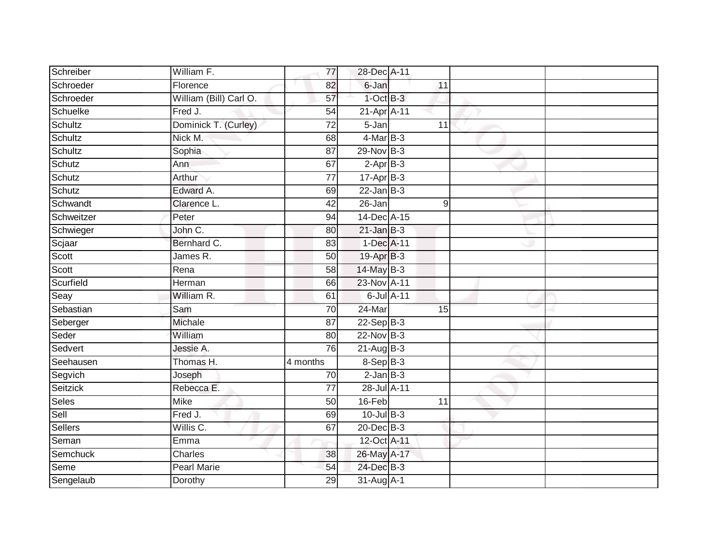| Schreiber  | William F.             | 77              | 28-Dec A-11     |                 |  |
|------------|------------------------|-----------------|-----------------|-----------------|--|
| Schroeder  | Florence               | 82              | 6-Jan           | 11              |  |
| Schroeder  | William (Bill) Carl O. | 57              | $1$ -Oct $B-3$  |                 |  |
| Schuelke   | Fred J.                | 54              | 21-Apr A-11     |                 |  |
| Schultz    | Dominick T. (Curley)   | $\overline{72}$ | $5 - Jan$       | $\overline{11}$ |  |
| Schultz    | Nick M.                | 68              | 4-Mar B-3       |                 |  |
| Schultz    | Sophia                 | 87              | 29-Nov B-3      |                 |  |
| Schutz     | Ann                    | 67              | $2-AprB-3$      |                 |  |
| Schutz     | Arthur                 | 77              | $17-Apr$ B-3    |                 |  |
| Schutz     | Edward A.              | 69              | $22$ -Jan B-3   |                 |  |
| Schwandt   | Clarence L.            | 42              | 26-Jan          | 9               |  |
| Schweitzer | Peter                  | 94              | 14-Dec A-15     |                 |  |
| Schwieger  | John C.                | 80              | $21$ -Jan B-3   |                 |  |
| Scjaar     | Bernhard C.            | 83              | 1-Dec A-11      |                 |  |
| Scott      | James R.               | 50              | 19-Apr B-3      |                 |  |
| Scott      | Rena                   | 58              | 14-May B-3      |                 |  |
| Scurfield  | Herman                 | 66              | 23-Nov A-11     |                 |  |
| Seay       | William R.             | 61              | 6-Jul A-11      |                 |  |
| Sebastian  | Sam                    | 70              | 24-Mar          | 15              |  |
| Seberger   | Michale                | 87              | $22-Sep$ B-3    |                 |  |
| Seder      | William                | 80              | 22-Nov B-3      |                 |  |
| Sedvert    | Jessie A.              | 76              | $21-Aug$ B-3    |                 |  |
| Seehausen  | Thomas H.              | 4 months        | 8-Sep B-3       |                 |  |
| Segvich    | Joseph                 | 70              | $2$ -Jan $B-3$  |                 |  |
| Seitzick   | Rebecca E.             | 77              | 28-Jul A-11     |                 |  |
| Seles      | Mike                   | 50              | 16-Feb          | 11              |  |
| Sell       | Fred J.                | 69              | $10$ -Jul $B-3$ |                 |  |
| Sellers    | Willis C.              | 67              | 20-Dec B-3      |                 |  |
| Seman      | Emma                   |                 | 12-Oct A-11     |                 |  |
| Semchuck   | Charles                | 38              | 26-May A-17     |                 |  |
| Seme       | Pearl Marie            | 54              | 24-Dec B-3      |                 |  |
| Sengelaub  | Dorothy                | 29              | 31-Aug A-1      |                 |  |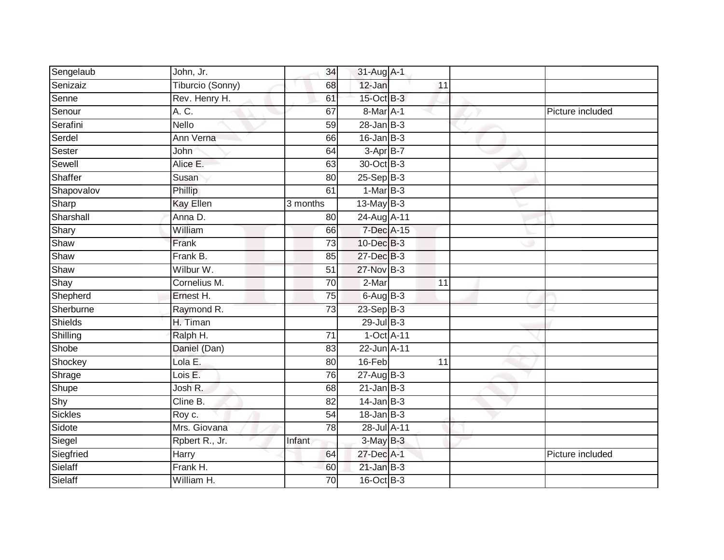| Sengelaub  | John, Jr.        | 34              | 31-Aug A-1       |                 |                  |
|------------|------------------|-----------------|------------------|-----------------|------------------|
| Senizaiz   | Tiburcio (Sonny) | 68              | 12-Jan           | 11              |                  |
| Senne      | Rev. Henry H.    | 61              | 15-Oct B-3       |                 |                  |
| Senour     | A. C.            | 67              | 8-Mar A-1        |                 | Picture included |
| Serafini   | <b>Nello</b>     | 59              | $28 - Jan$ $B-3$ |                 |                  |
| Serdel     | Ann Verna        | 66              | $16$ -Jan B-3    |                 |                  |
| Sester     | John             | 64              | $3-Apr$ B-7      |                 |                  |
| Sewell     | Alice E.         | 63              | 30-Oct B-3       |                 |                  |
| Shaffer    | Susan            | 80              | $25-Sep$ $B-3$   |                 |                  |
| Shapovalov | Phillip          | 61              | $1-MarB-3$       |                 |                  |
| Sharp      | <b>Kay Ellen</b> | 3 months        | $13$ -May B-3    |                 |                  |
| Sharshall  | Anna D.          | 80              | 24-Aug A-11      |                 |                  |
| Shary      | William          | 66              | 7-Dec A-15       |                 |                  |
| Shaw       | Frank            | 73              | 10-Dec B-3       |                 |                  |
| Shaw       | Frank B.         | 85              | 27-Dec B-3       |                 |                  |
| Shaw       | Wilbur W.        | 51              | 27-Nov B-3       |                 |                  |
| Shay       | Cornelius M.     | $\overline{70}$ | $2-Mar$          | $\overline{11}$ |                  |
| Shepherd   | Ernest H.        | 75              | $6$ -Aug $B$ -3  |                 |                  |
| Sherburne  | Raymond R.       | 73              | 23-Sep B-3       |                 |                  |
| Shields    | H. Timan         |                 | $29$ -Jul B-3    |                 |                  |
| Shilling   | Ralph H.         | $\overline{71}$ | 1-Oct A-11       |                 |                  |
| Shobe      | Daniel (Dan)     | 83              | 22-Jun A-11      |                 |                  |
| Shockey    | Lola E.          | 80              | 16-Feb           | 11              |                  |
| Shrage     | Lois E.          | 76              | $27 - Aug$ B-3   |                 |                  |
| Shupe      | Josh R.          | 68              | $21$ -Jan $B-3$  |                 |                  |
| Shy        | Cline B.         | 82              | $14$ -Jan B-3    |                 |                  |
| Sickles    | Roy c.           | 54              | $18 - Jan$ $B-3$ |                 |                  |
| Sidote     | Mrs. Giovana     | $\overline{78}$ | 28-Jul A-11      |                 |                  |
| Siegel     | Rpbert R., Jr.   | Infant          | $3-MayB-3$       |                 |                  |
| Siegfried  | Harry            | 64              | 27-Dec A-1       |                 | Picture included |
| Sielaff    | Frank H.         | 60              | $21$ -Jan B-3    |                 |                  |
| Sielaff    | William H.       | $\overline{70}$ | 16-Oct B-3       |                 |                  |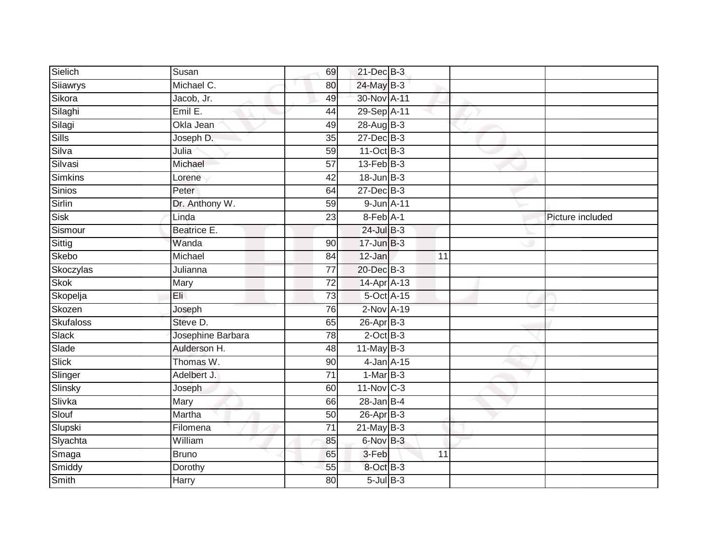| Sielich          | Susan             | 69              | 21-Dec B-3              |    |                  |
|------------------|-------------------|-----------------|-------------------------|----|------------------|
| Siiawrys         | Michael C.        | 80              | 24-May B-3              |    |                  |
| Sikora           | Jacob, Jr.        | 49              | 30-Nov A-11             |    |                  |
| Silaghi          | Emil E.           | 44              | 29-Sep A-11             |    |                  |
| Silagi           | Okla Jean         | 49              | 28-Aug B-3              |    |                  |
| Sills            | Joseph D.         | 35              | $27$ -Dec $B-3$         |    |                  |
| Silva            | Julia             | 59              | 11-Oct B-3              |    |                  |
| Silvasi          | Michael           | 57              | $13$ -Feb $B-3$         |    |                  |
| <b>Simkins</b>   | Lorene            | 42              | $18$ -Jun $B-3$         |    |                  |
| Sinios           | Peter             | 64              | $27 - Dec$ B-3          |    |                  |
| Sirlin           | Dr. Anthony W.    | 59              | 9-Jun A-11              |    |                  |
| Sisk             | Linda             | 23              | 8-Feb A-1               |    | Picture included |
| Sismour          | Beatrice E.       |                 | $24$ -Jul B-3           |    |                  |
| Sittig           | Wanda             | 90              | $17 - Jun$ $B-3$        |    |                  |
| Skebo            | Michael           | 84              | 12-Jan                  | 11 |                  |
| Skoczylas        | Julianna          | $\overline{77}$ | 20-Dec B-3              |    |                  |
| <b>Skok</b>      | Mary              | $\overline{72}$ | 14-Apr A-13             |    |                  |
| Skopelja         | Eli               | $\overline{73}$ | 5-Oct A-15              |    |                  |
| Skozen           | Joseph            | 76              | 2-Nov A-19              |    |                  |
| <b>Skufaloss</b> | Steve D.          | 65              | $26$ -Apr $B-3$         |    |                  |
| Slack            | Josephine Barbara | 78              | $2$ -Oct $B-3$          |    |                  |
| Slade            | Aulderson H.      | 48              | $11$ -May B-3           |    |                  |
| <b>Slick</b>     | Thomas W.         | 90              | 4-Jan A-15              |    |                  |
| Slinger          | Adelbert J.       | $\overline{71}$ | $1-MarB-3$              |    |                  |
| Slinsky          | Joseph            | 60              | $11-Nov$ <sub>C-3</sub> |    |                  |
| Slivka           | Mary              | 66              | $28 - Jan$ $B-4$        |    |                  |
| Slouf            | Martha            | 50              | $26$ -Apr $B-3$         |    |                  |
| Slupski          | Filomena          | 71              | $21$ -May B-3           |    |                  |
| Slyachta         | William           | 85              | 6-Nov B-3               |    |                  |
| Smaga            | <b>Bruno</b>      | 65              | 3-Feb                   | 11 |                  |
| Smiddy           | Dorothy           | 55              | 8-Oct B-3               |    |                  |
| <b>Smith</b>     | Harry             | $\overline{80}$ | $5$ -Jul $B-3$          |    |                  |
|                  |                   |                 |                         |    |                  |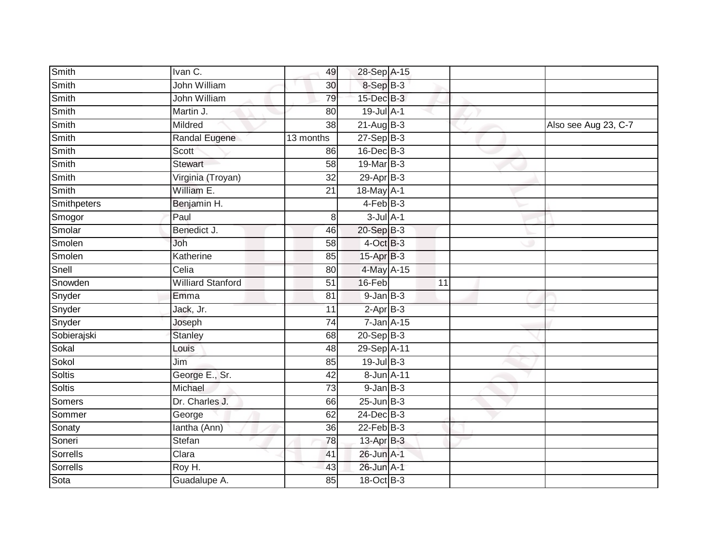| Smith         | Ivan C.                  | 49              | 28-Sep A-15      |                 |                      |
|---------------|--------------------------|-----------------|------------------|-----------------|----------------------|
| Smith         | John William             | 30              | 8-Sep B-3        |                 |                      |
| Smith         | <b>John William</b>      | 79              | $15$ -Dec $B-3$  |                 |                      |
| Smith         | Martin J.                | 80              | $19$ -Jul $A-1$  |                 |                      |
| Smith         | Mildred                  | 38              | $21-AugB-3$      |                 | Also see Aug 23, C-7 |
| Smith         | Randal Eugene            | 13 months       | $27-Sep$ B-3     |                 |                      |
| Smith         | Scott                    | 86              | 16-Dec B-3       |                 |                      |
| Smith         | <b>Stewart</b>           | 58              | 19-Mar B-3       |                 |                      |
| Smith         | Virginia (Troyan)        | $\overline{32}$ | 29-Apr B-3       |                 |                      |
| Smith         | William E.               | $\overline{21}$ | 18-May A-1       |                 |                      |
| Smithpeters   | Benjamin H.              |                 | $4-FebB-3$       |                 |                      |
| Smogor        | Paul                     | 8 <sup>1</sup>  | $3$ -Jul $A-1$   |                 |                      |
| Smolar        | Benedict J.              | 46              | 20-Sep B-3       |                 |                      |
| Smolen        | Joh                      | 58              | $4$ -Oct B-3     |                 |                      |
| Smolen        | Katherine                | 85              | 15-Apr B-3       |                 |                      |
| Snell         | Celia                    | 80              | 4-May A-15       |                 |                      |
| Snowden       | <b>Williard Stanford</b> | $\overline{51}$ | 16-Feb           | $\overline{11}$ |                      |
| Snyder        | Emma                     | 81              | $9$ -Jan $B$ -3  |                 |                      |
| Snyder        | Jack, Jr.                | 11              | $2-AprB-3$       |                 |                      |
| Snyder        | Joseph                   | $\overline{74}$ | $7 - Jan A - 15$ |                 |                      |
| Sobierajski   | Stanley                  | 68              | $20-Sep$ B-3     |                 |                      |
| Sokal         | Louis                    | 48              | 29-Sep A-11      |                 |                      |
| Sokol         | Jim                      | 85              | $19$ -Jul $B-3$  |                 |                      |
| <b>Soltis</b> | George E., Sr.           | 42              | 8-Jun A-11       |                 |                      |
| Soltis        | Michael                  | 73              | $9$ -Jan $B$ -3  |                 |                      |
| <b>Somers</b> | Dr. Charles J.           | 66              | $25$ -Jun $B-3$  |                 |                      |
| Sommer        | George                   | 62              | $24$ -Dec $B-3$  |                 |                      |
| Sonaty        | lantha (Ann)             | 36              | $22$ -Feb $B-3$  |                 |                      |
| Soneri        | Stefan                   | 78              | 13-Apr B-3       |                 |                      |
| Sorrells      | Clara                    | 41              | 26-Jun A-1       |                 |                      |
| Sorrells      | Roy H.                   | 43              | 26-Jun A-1       |                 |                      |
| Sota          | Guadalupe A.             | 85              | 18-Oct B-3       |                 |                      |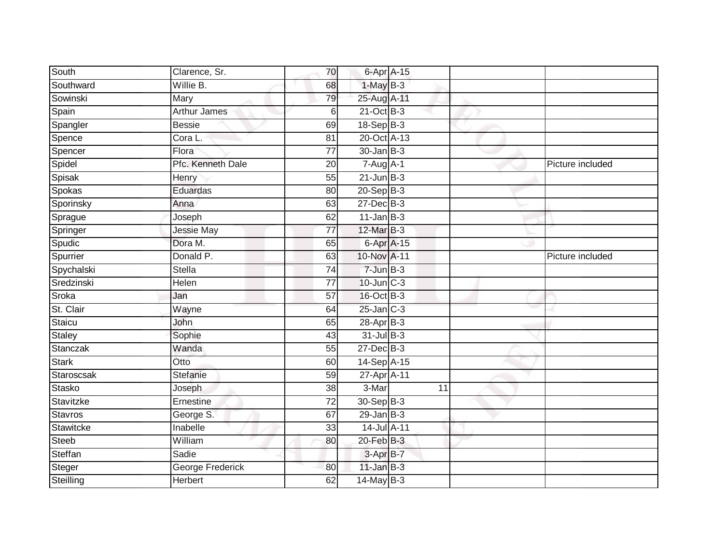| South         | Clarence, Sr.     | 70              | 6-Apr A-15       |    |                  |
|---------------|-------------------|-----------------|------------------|----|------------------|
| Southward     | Willie B.         | 68              | $1-MayB-3$       |    |                  |
| Sowinski      | Mary              | 79              | 25-Aug A-11      |    |                  |
| Spain         | Arthur James      | 6               | $21$ -Oct B-3    |    |                  |
| Spangler      | <b>Bessie</b>     | 69              | $18-Sep$ B-3     |    |                  |
| Spence        | Cora L.           | 81              | 20-Oct A-13      |    |                  |
| Spencer       | Flora             | $\overline{77}$ | $30 - Jan$ $B-3$ |    |                  |
| Spidel        | Pfc. Kenneth Dale | 20              | $7 - Aug$ A-1    |    | Picture included |
| Spisak        | Henry             | 55              | $21$ -Jun $B-3$  |    |                  |
| Spokas        | Eduardas          | 80              | 20-Sep B-3       |    |                  |
| Sporinsky     | Anna              | 63              | 27-Dec B-3       |    |                  |
| Sprague       | Joseph            | 62              | $11$ -Jan B-3    |    |                  |
| Springer      | Jessie May        | 77              | $12$ -Mar $B-3$  |    |                  |
| Spudic        | Dora M.           | 65              | 6-Apr A-15       |    |                  |
| Spurrier      | Donald P.         | 63              | 10-Nov A-11      |    | Picture included |
| Spychalski    | <b>Stella</b>     | 74              | 7-Jun B-3        |    |                  |
| Sredzinski    | <b>Helen</b>      | $\overline{77}$ | 10-Jun C-3       |    |                  |
| Sroka         | Jan               | 57              | 16-Oct B-3       |    |                  |
| St. Clair     | Wayne             | 64              | $25$ -Jan $C-3$  |    |                  |
| Staicu        | John              | 65              | $28-Apr$ B-3     |    |                  |
| <b>Staley</b> | Sophie            | 43              | 31-Jul B-3       |    |                  |
| Stanczak      | Wanda             | 55              | 27-Dec B-3       |    |                  |
| Stark         | Otto              | 60              | 14-Sep A-15      |    |                  |
| Staroscsak    | Stefanie          | 59              | 27-Apr A-11      |    |                  |
| Stasko        | Joseph            | 38              | 3-Mar            | 11 |                  |
| Stavitzke     | Ernestine         | 72              | 30-Sep B-3       |    |                  |
| Stavros       | George S.         | 67              | $29$ -Jan $B-3$  |    |                  |
| Stawitcke     | Inabelle          | 33              | 14-Jul A-11      |    |                  |
| <b>Steeb</b>  | William           | 80              | $20$ -Feb $B-3$  |    |                  |
| Steffan       | Sadie             |                 | $3-AprB-7$       |    |                  |
| Steger        | George Frederick  | 80              | $11$ -Jan B-3    |    |                  |
| Steilling     | <b>Herbert</b>    | 62              | 14-May B-3       |    |                  |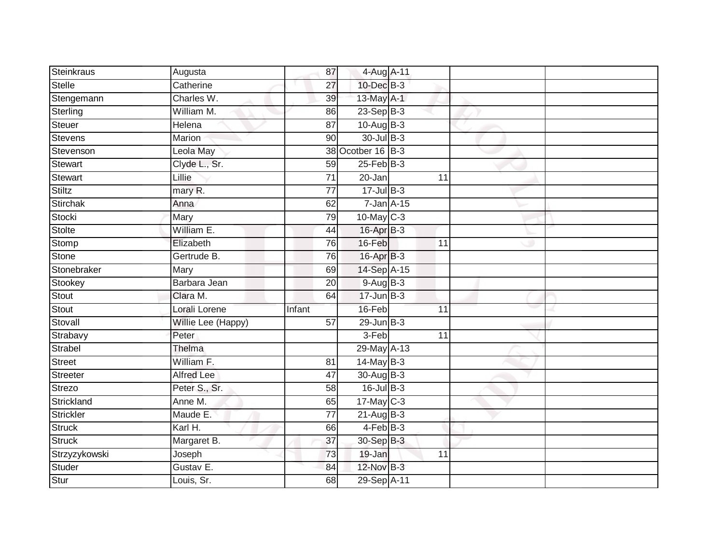| Steinkraus    | Augusta            | 87              | 4-Aug A-11        |    |  |
|---------------|--------------------|-----------------|-------------------|----|--|
| Stelle        | Catherine          | 27              | 10-Dec B-3        |    |  |
| Stengemann    | Charles W.         | 39              | 13-May A-1        |    |  |
| Sterling      | William M.         | 86              | $23-Sep$ B-3      |    |  |
| Steuer        | Helena             | 87              | $10-Aug$ B-3      |    |  |
| Stevens       | Marion             | 90              | $30 -$ Jul B-3    |    |  |
| Stevenson     | Leola May          |                 | 38 Ocotber 16 B-3 |    |  |
| Stewart       | Clyde L., Sr.      | 59              | $25$ -Feb $B$ -3  |    |  |
| Stewart       | Lillie             | 71              | 20-Jan            | 11 |  |
| Stiltz        | mary R.            | $\overline{77}$ | $17 -$ Jul B-3    |    |  |
| Stirchak      | Anna               | 62              | $7$ -Jan $A-15$   |    |  |
| Stocki        | Mary               | 79              | $10$ -May $C-3$   |    |  |
| <b>Stolte</b> | William E.         | 44              | $16$ -Apr $B-3$   |    |  |
| Stomp         | Elizabeth          | 76              | 16-Feb            | 11 |  |
| Stone         | Gertrude B.        | 76              | 16-Apr B-3        |    |  |
| Stonebraker   | Mary               | 69              | 14-Sep A-15       |    |  |
| Stookey       | Barbara Jean       | $\overline{20}$ | $9-AugB-3$        |    |  |
| Stout         | Clara M.           | 64              | $17 - Jun$ $B-3$  |    |  |
| Stout         | Lorali Lorene      | Infant          | 16-Feb            | 11 |  |
| Stovall       | Willie Lee (Happy) | 57              | $29$ -Jun $B-3$   |    |  |
| Strabavy      | Peter              |                 | 3-Feb             | 11 |  |
| Strabel       | Thelma             |                 | 29-May A-13       |    |  |
| <b>Street</b> | William F.         | 81              | 14-May B-3        |    |  |
| Streeter      | <b>Alfred Lee</b>  | 47              | 30-Aug B-3        |    |  |
| Strezo        | Peter S., Sr.      | 58              | $16$ -Jul $B-3$   |    |  |
| Strickland    | Anne M.            | 65              | $17$ -May C-3     |    |  |
| Strickler     | Maude E.           | $\overline{77}$ | $21-Aug$ B-3      |    |  |
| Struck        | Karl H.            | 66              | 4-Feb B-3         |    |  |
| <b>Struck</b> | Margaret B.        | 37              | 30-Sep B-3        |    |  |
| Strzyzykowski | Joseph             | 73              | 19-Jan            | 11 |  |
| Studer        | Gustav E.          | 84              | 12-Nov B-3        |    |  |
| Stur          | Louis, Sr.         | 68              | 29-Sep A-11       |    |  |
|               |                    |                 |                   |    |  |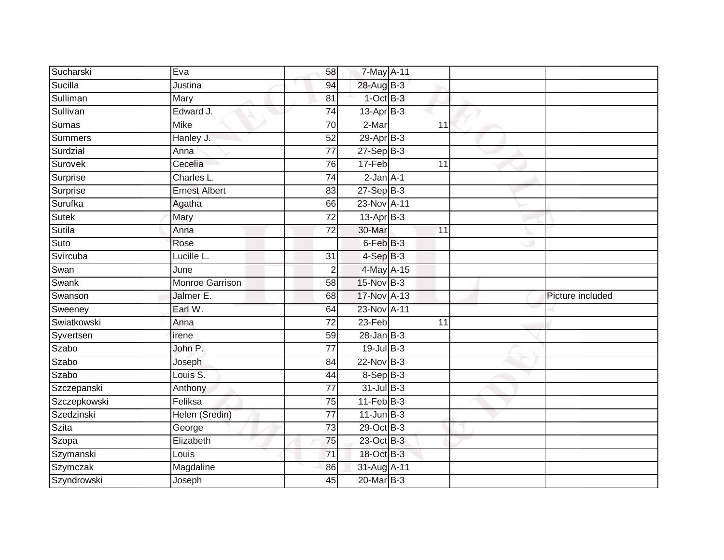| Sucharski    | Eva                    | 58              | 7-May A-11           |                 |                  |
|--------------|------------------------|-----------------|----------------------|-----------------|------------------|
| Sucilla      | Justina                | 94              | 28-Aug B-3           |                 |                  |
| Sulliman     | Mary                   | 81              | $1-OctB-3$           |                 |                  |
| Sullivan     | Edward J.              | 74              | $13$ -Apr $B-3$      |                 |                  |
| <b>Sumas</b> | <b>Mike</b>            | $\overline{70}$ | $2-Mar$              | $\overline{11}$ |                  |
| Summers      | Hanley J.              | 52              | $29-Apr$ B-3         |                 |                  |
| Surdzial     | Anna                   | $\overline{77}$ | $27-$ Sep $B-3$      |                 |                  |
| Surovek      | Cecelia                | 76              | 17-Feb               | 11              |                  |
| Surprise     | Charles L.             | 74              | $2-Jan A-1$          |                 |                  |
| Surprise     | <b>Ernest Albert</b>   | 83              | $27-Sep$ $B-3$       |                 |                  |
| Surufka      | Agatha                 | 66              | 23-Nov A-11          |                 |                  |
| Sutek        | Mary                   | 72              | 13-Apr B-3           |                 |                  |
| Sutila       | Anna                   | $\overline{72}$ | 30-Mar               | 11              |                  |
| Suto         | Rose                   |                 | 6-Feb <sup>B-3</sup> |                 |                  |
| Svircuba     | Lucille L.             | $\overline{31}$ | $4-SepB-3$           |                 |                  |
| Swan         | June                   | 2               | 4-May A-15           |                 |                  |
| Swank        | <b>Monroe Garrison</b> | 58              | $15$ -Nov $B-3$      |                 |                  |
| Swanson      | Jalmer E.              | 68              | 17-Nov A-13          |                 | Picture included |
| Sweeney      | Earl W.                | 64              | 23-Nov A-11          |                 |                  |
| Swiatkowski  | Anna                   | 72              | $23-Feb$             | 11              |                  |
| Syvertsen    | irene                  | 59              | $28 - Jan$ $B-3$     |                 |                  |
| Szabo        | John P.                | $\overline{77}$ | $19$ -Jul $B-3$      |                 |                  |
| Szabo        | Joseph                 | 84              | 22-Nov B-3           |                 |                  |
| Szabo        | Louis S.               | 44              | 8-Sep B-3            |                 |                  |
| Szczepanski  | Anthony                | 77              | $31$ -Jul B-3        |                 |                  |
| Szczepkowski | Feliksa                | 75              | $11$ -Feb $B-3$      |                 |                  |
| Szedzinski   | Helen (Sredin)         | $\overline{77}$ | $11$ -Jun $B-3$      |                 |                  |
| <b>Szita</b> | George                 | 73              | 29-Oct B-3           |                 |                  |
| Szopa        | Elizabeth              | 75              | 23-Oct B-3           |                 |                  |
| Szymanski    | Louis                  | $\overline{71}$ | 18-Oct B-3           |                 |                  |
| Szymczak     | Magdaline              | 86              | 31-Aug A-11          |                 |                  |
| Szyndrowski  | Joseph                 | 45              | 20-Mar B-3           |                 |                  |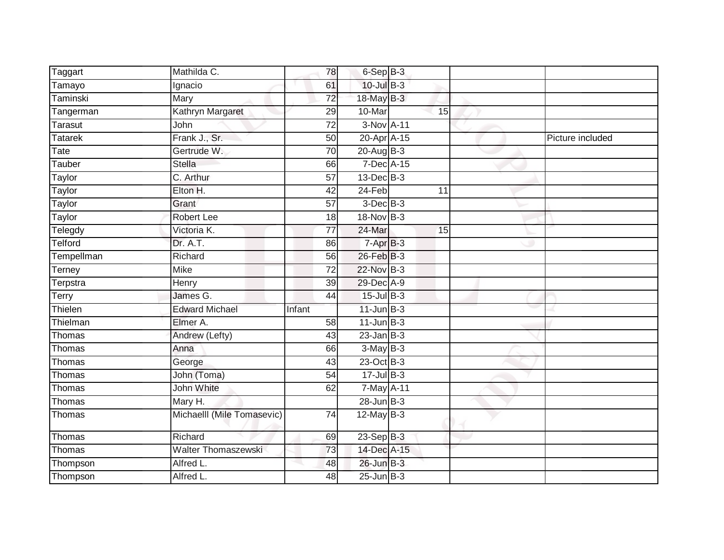| Taggart         | Mathilda C.                |        | 78              | 6-Sep B-3       |    |  |                  |
|-----------------|----------------------------|--------|-----------------|-----------------|----|--|------------------|
| Tamayo          | Ignacio                    |        | 61              | 10-Jul B-3      |    |  |                  |
| <b>Taminski</b> | <b>Mary</b>                |        | $\overline{72}$ | 18-May B-3      |    |  |                  |
| Tangerman       | Kathryn Margaret           |        | 29              | 10-Mar          | 15 |  |                  |
| <b>Tarasut</b>  | John                       |        | $\overline{72}$ | 3-Nov A-11      |    |  |                  |
| <b>Tatarek</b>  | Frank J., Sr.              |        | 50              | 20-Apr A-15     |    |  | Picture included |
| Tate            | Gertrude W.                |        | 70              | $20$ -Aug B-3   |    |  |                  |
| Tauber          | <b>Stella</b>              |        | 66              | 7-Dec A-15      |    |  |                  |
| Taylor          | C. Arthur                  |        | 57              | $13$ -Dec $B-3$ |    |  |                  |
| Taylor          | Elton H.                   |        | 42              | $24-Feb$        | 11 |  |                  |
| Taylor          | Grant                      |        | 57              | $3$ -Dec $B-3$  |    |  |                  |
| Taylor          | Robert Lee                 |        | 18              | 18-Nov B-3      |    |  |                  |
| Telegdy         | Victoria K.                |        | 77              | $24$ -Mar       | 15 |  |                  |
| Telford         | Dr. A.T.                   |        | 86              | $7-AprB-3$      |    |  |                  |
| Tempellman      | Richard                    |        | 56              | 26-Feb B-3      |    |  |                  |
| Terney          | <b>Mike</b>                |        | 72              | 22-Nov B-3      |    |  |                  |
| Terpstra        | Henry                      |        | $\overline{39}$ | 29-Dec A-9      |    |  |                  |
| Terry           | James G.                   |        | 44              | $15$ -Jul B-3   |    |  |                  |
| Thielen         | <b>Edward Michael</b>      | Infant |                 | $11$ -Jun $B-3$ |    |  |                  |
| Thielman        | Elmer A.                   |        | 58              | $11$ -Jun $B-3$ |    |  |                  |
| Thomas          | Andrew (Lefty)             |        | 43              | $23$ -Jan B-3   |    |  |                  |
| Thomas          | Anna                       |        | 66              | $3-MayB-3$      |    |  |                  |
| Thomas          | George                     |        | 43              | 23-Oct B-3      |    |  |                  |
| Thomas          | John (Toma)                |        | 54              | $17 -$ Jul B-3  |    |  |                  |
| Thomas          | John White                 |        | 62              | 7-May A-11      |    |  |                  |
| Thomas          | Mary H.                    |        |                 | $28$ -Jun $B-3$ |    |  |                  |
| Thomas          | Michaelll (Mile Tomasevic) |        | 74              | 12-May B-3      |    |  |                  |
| Thomas          | Richard                    |        | 69              | $23-Sep$ B-3    |    |  |                  |
| Thomas          | <b>Walter Thomaszewski</b> |        | 73              | 14-Dec A-15     |    |  |                  |
| Thompson        | Alfred L.                  |        | 48              | $26$ -Jun $B-3$ |    |  |                  |
| Thompson        | Alfred L.                  |        | 48              | $25$ -Jun $B-3$ |    |  |                  |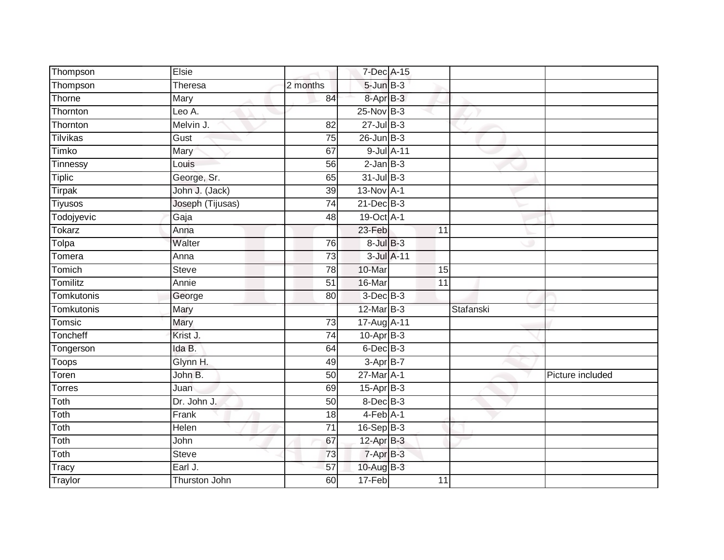| Thompson       | Elsie                |                 | 7-Dec A-15        |                 |           |                  |
|----------------|----------------------|-----------------|-------------------|-----------------|-----------|------------------|
| Thompson       | Theresa              | 2 months        | $5 - Jun$ $B - 3$ |                 |           |                  |
| Thorne         | Mary                 | 84              | 8-Apr B-3         |                 |           |                  |
| Thornton       | Leo A.               |                 | 25-Nov B-3        |                 |           |                  |
| Thornton       | Melvin J.            | $\overline{82}$ | $27 -$ Jul B-3    |                 |           |                  |
| Tilvikas       | Gust                 | $\overline{75}$ | $26$ -Jun $B-3$   |                 |           |                  |
| Timko          | Mary                 | 67              | 9-Jul A-11        |                 |           |                  |
| Tinnessy       | Louis                | 56              | $2$ -Jan $B-3$    |                 |           |                  |
| <b>Tiplic</b>  | George, Sr.          | 65              | $31$ -Jul B-3     |                 |           |                  |
| Tirpak         | John J. (Jack)       | $\overline{39}$ | 13-Nov A-1        |                 |           |                  |
| <b>Tiyusos</b> | Joseph (Tijusas)     | 74              | 21-Dec B-3        |                 |           |                  |
| Todojyevic     | Gaja                 | 48              | 19-Oct A-1        |                 |           |                  |
| Tokarz         | Anna                 |                 | 23-Feb            | 11              |           |                  |
| Tolpa          | Walter               | $\overline{76}$ | $8$ -Jul $B$ -3   |                 |           |                  |
| Tomera         | Anna                 | $\overline{73}$ | 3-Jul A-11        |                 |           |                  |
| Tomich         | <b>Steve</b>         | 78              | 10-Mar            | 15              |           |                  |
| Tomilitz       | Annie                | 51              | 16-Mar            | $\overline{11}$ |           |                  |
| Tomkutonis     | George               | 80              | $3$ -Dec $B-3$    |                 |           |                  |
| Tomkutonis     | Mary                 |                 | 12-Mar B-3        |                 | Stafanski |                  |
| Tomsic         | Mary                 | $\overline{73}$ | 17-Aug A-11       |                 |           |                  |
| Toncheff       | Krist J.             | 74              | $10-Apr$ B-3      |                 |           |                  |
| Tongerson      | Ida B.               | 64              | $6$ -Dec $B$ -3   |                 |           |                  |
| Toops          | Glynn H.             | 49              | $3-AprB-7$        |                 |           |                  |
| Toren          | John B.              | 50              | 27-Mar A-1        |                 |           | Picture included |
| <b>Torres</b>  | Juan                 | 69              | $15$ -Apr $B$ -3  |                 |           |                  |
| Toth           | Dr. John J.          | 50              | 8-Dec B-3         |                 |           |                  |
| Toth           | Frank                | 18              | $4-Feb$ A-1       |                 |           |                  |
| Toth           | Helen                | $\overline{71}$ | $16-Sep B-3$      |                 |           |                  |
| Toth           | John                 | 67              | $12-Apr$ B-3      |                 |           |                  |
| Toth           | Steve                | 73              | $7 - Apr$ $B-3$   |                 |           |                  |
| Tracy          | Earl J.              | 57              | 10-Aug B-3        |                 |           |                  |
| Traylor        | <b>Thurston John</b> | 60              | $17-Feb$          | 11              |           |                  |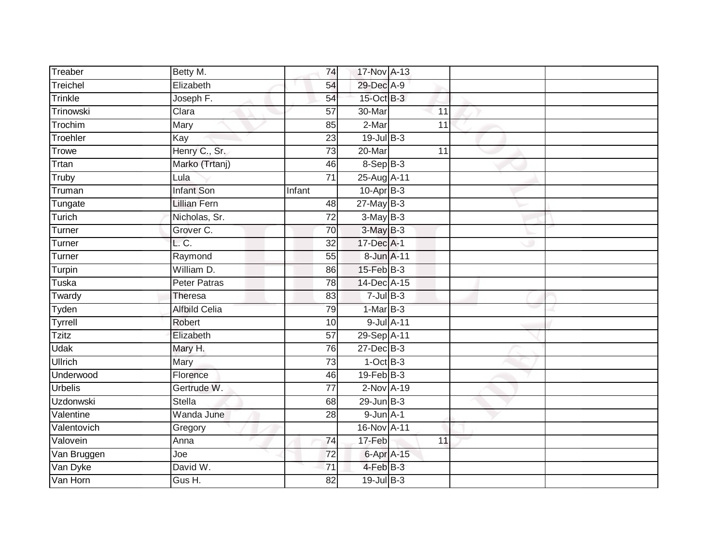| Treaber          | Betty M.             | 74              | 17-Nov A-13            |                 |  |
|------------------|----------------------|-----------------|------------------------|-----------------|--|
| Treichel         | Elizabeth            | 54              | 29-Dec A-9             |                 |  |
| Trinkle          | Joseph F.            | 54              | 15-Oct B-3             |                 |  |
| Trinowski        | Clara                | 57              | $30 - \text{Mar}$      | 11              |  |
| Trochim          | Mary                 | 85              | $2-Mar$                | $\overline{11}$ |  |
| Troehler         | Kay                  | 23              | $19$ -Jul B-3          |                 |  |
| <b>Trowe</b>     | Henry C., Sr.        | 73              | 20-Mar                 | 11              |  |
| Trtan            | Marko (Trtanj)       | 46              | $8-SepB-3$             |                 |  |
| Truby            | Lula                 | 71              | 25-Aug A-11            |                 |  |
| Truman           | <b>Infant Son</b>    | Infant          | $10-Apr\overline{B-3}$ |                 |  |
| Tungate          | <b>Lillian Fern</b>  | 48              | $27$ -May B-3          |                 |  |
| Turich           | Nicholas, Sr.        | $\overline{72}$ | $3-MayB-3$             |                 |  |
| Turner           | Grover C.            | 70              | $3-May$ $B-3$          |                 |  |
| Turner           | L.C.                 | 32              | 17-Dec A-1             |                 |  |
| Turner           | Raymond              | 55              | 8-Jun A-11             |                 |  |
| Turpin           | William D.           | 86              | $15$ -Feb $B$ -3       |                 |  |
| Tuska            | <b>Peter Patras</b>  | $\overline{78}$ | 14-Dec A-15            |                 |  |
| Twardy           | <b>Theresa</b>       | 83              | $7 -$ Jul $B - 3$      |                 |  |
| Tyden            | <b>Alfbild Celia</b> | 79              | $1-MarB-3$             |                 |  |
| Tyrrell          | Robert               | 10              | 9-Jul A-11             |                 |  |
| <b>Tzitz</b>     | Elizabeth            | 57              | 29-Sep A-11            |                 |  |
| <b>Udak</b>      | Mary H.              | 76              | 27-Dec B-3             |                 |  |
| Ullrich          | Mary                 | 73              | $1-OctB-3$             |                 |  |
| Underwood        | Florence             | 46              | $19$ -Feb $B-3$        |                 |  |
| <b>Urbelis</b>   | Gertrude W.          | $\overline{77}$ | $2-Nov$ A-19           |                 |  |
| <b>Uzdonwski</b> | <b>Stella</b>        | 68              | $29$ -Jun $B-3$        |                 |  |
| Valentine        | Wanda June           | 28              | $9$ -Jun $A-1$         |                 |  |
| Valentovich      | Gregory              |                 | 16-Nov A-11            |                 |  |
| Valovein         | Anna                 | 74              | $17-Feb$               | 11              |  |
| Van Bruggen      | Joe                  | 72              | 6-Apr A-15             |                 |  |
| Van Dyke         | David W.             | 71              | 4-Feb B-3              |                 |  |
| Van Horn         | Gus H.               | $\overline{82}$ | $19$ -Jul $B-3$        |                 |  |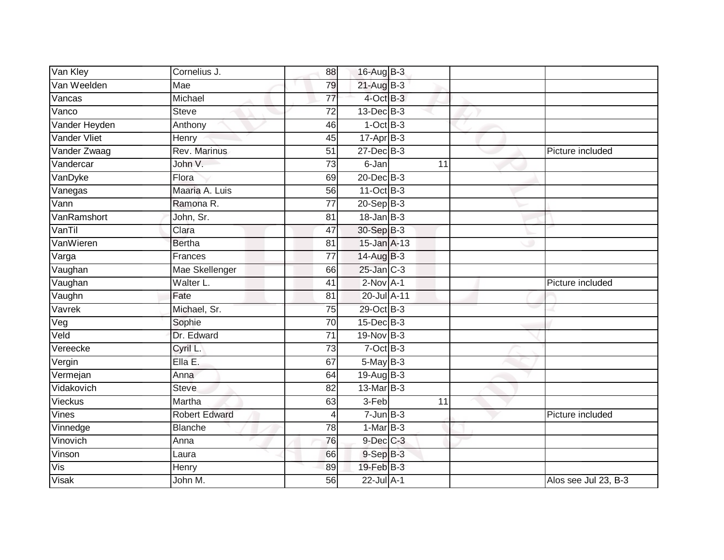| Van Kley      | Cornelius J.         | 88              | 16-Aug B-3        |    |                      |
|---------------|----------------------|-----------------|-------------------|----|----------------------|
| Van Weelden   | Mae                  | 79              | 21-Aug B-3        |    |                      |
| Vancas        | Michael              | 77              | 4-Oct B-3         |    |                      |
| Vanco         | <b>Steve</b>         | $\overline{72}$ | 13-Dec B-3        |    |                      |
| Vander Heyden | Anthony              | 46              | $1-OctB-3$        |    |                      |
| Vander Vliet  | Henry                | 45              | $17 - Apr$ B-3    |    |                      |
| Vander Zwaag  | Rev. Marinus         | 51              | 27-Dec B-3        |    | Picture included     |
| Vandercar     | John V.              | 73              | 6-Jan             | 11 |                      |
| VanDyke       | Flora                | 69              | $20$ -Dec $B-3$   |    |                      |
| Vanegas       | Maaria A. Luis       | 56              | 11-Oct B-3        |    |                      |
| Vann          | Ramona R.            | 77              | $20 - Sep$ B-3    |    |                      |
| VanRamshort   | John, Sr.            | 81              | $18 - Jan$ $B-3$  |    |                      |
| VanTil        | Clara                | 47              | 30-Sep B-3        |    |                      |
| VanWieren     | <b>Bertha</b>        | 81              | 15-Jan A-13       |    |                      |
| Varga         | Frances              | $\overline{77}$ | 14-Aug B-3        |    |                      |
| Vaughan       | Mae Skellenger       | 66              | 25-Jan C-3        |    |                      |
| Vaughan       | Walter L.            | $\overline{41}$ | $2-NovA-1$        |    | Picture included     |
| Vaughn        | Fate                 | 81              | 20-Jul A-11       |    |                      |
| Vavrek        | Michael, Sr.         | 75              | 29-Oct B-3        |    |                      |
| Veg           | Sophie               | $\overline{70}$ | 15-Dec B-3        |    |                      |
| Veld          | Dr. Edward           | 71              | 19-Nov B-3        |    |                      |
| Vereecke      | Cyril L.             | $\overline{73}$ | $7-Oct$ B-3       |    |                      |
| Vergin        | Ella E.              | 67              | $5$ -May $B-3$    |    |                      |
| Vermejan      | Anna                 | 64              | 19-Aug B-3        |    |                      |
| Vidakovich    | <b>Steve</b>         | 82              | $13$ -Mar $ B-3 $ |    |                      |
| Vieckus       | Martha               | 63              | 3-Feb             | 11 |                      |
| Vines         | <b>Robert Edward</b> | 4               | $7 - Jun$ B-3     |    | Picture included     |
| Vinnedge      | <b>Blanche</b>       | 78              | $1-Mar$ B-3       |    |                      |
| Vinovich      | Anna                 | 76              | 9-Dec C-3         |    |                      |
| Vinson        | Laura                | 66              | $9-Sep$ $B-3$     |    |                      |
| Vis           | Henry                | 89              | $19$ -Feb $B - 3$ |    |                      |
| <b>Visak</b>  | John M.              | 56              | $22$ -Jul $A-1$   |    | Alos see Jul 23, B-3 |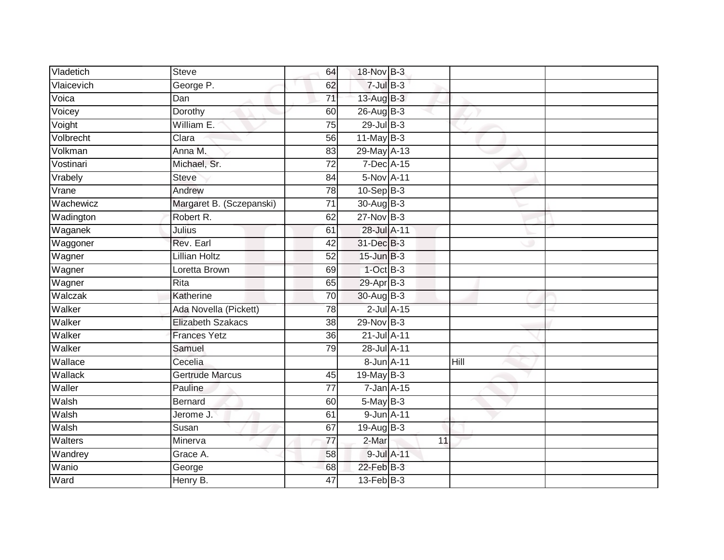| Vladetich  | <b>Steve</b>             | 64              | 18-Nov B-3            |                 |      |  |
|------------|--------------------------|-----------------|-----------------------|-----------------|------|--|
| Vlaicevich | George P.                | 62              | $7$ -Jul $B-3$        |                 |      |  |
| Voica      | Dan                      | $\overline{71}$ | $13$ -Aug B-3         |                 |      |  |
| Voicey     | Dorothy                  | 60              | 26-Aug B-3            |                 |      |  |
| Voight     | William E.               | 75              | 29-Jul B-3            |                 |      |  |
| Volbrecht  | Clara                    | 56              | $11$ -May B-3         |                 |      |  |
| Volkman    | Anna M.                  | 83              | 29-May A-13           |                 |      |  |
| Vostinari  | Michael, Sr.             | 72              | 7-Dec A-15            |                 |      |  |
| Vrabely    | <b>Steve</b>             | 84              | 5-Nov A-11            |                 |      |  |
| Vrane      | Andrew                   | 78              | $10-SepB-3$           |                 |      |  |
| Wachewicz  | Margaret B. (Sczepanski) | $\overline{71}$ | 30-Aug B-3            |                 |      |  |
| Wadington  | Robert R.                | 62              | 27-Nov B-3            |                 |      |  |
| Waganek    | Julius                   | 61              | 28-Jul A-11           |                 |      |  |
| Waggoner   | Rev. Earl                | 42              | 31-Dec B-3            |                 |      |  |
| Wagner     | <b>Lillian Holtz</b>     | $\overline{52}$ | $15$ -Jun $B-3$       |                 |      |  |
| Wagner     | Loretta Brown            | 69              | $1$ -Oct $B-3$        |                 |      |  |
| Wagner     | Rita                     | 65              | 29-Apr <sub>B-3</sub> |                 |      |  |
| Walczak    | Katherine                | 70              | 30-Aug B-3            |                 |      |  |
| Walker     | Ada Novella (Pickett)    | 78              |                       | $2$ -Jul $A-15$ |      |  |
| Walker     | <b>Elizabeth Szakacs</b> | 38              | 29-Nov B-3            |                 |      |  |
| Walker     | <b>Frances Yetz</b>      | 36              | 21-Jul A-11           |                 |      |  |
| Walker     | Samuel                   | 79              | 28-Jul A-11           |                 |      |  |
| Wallace    | Cecelia                  |                 | 8-Jun A-11            |                 | Hill |  |
| Wallack    | <b>Gertrude Marcus</b>   | 45              | $19$ -May B-3         |                 |      |  |
| Waller     | Pauline                  | 77              | $7$ -Jan $A$ -15      |                 |      |  |
| Walsh      | Bernard                  | 60              | $5$ -May $B-3$        |                 |      |  |
| Walsh      | Jerome J.                | 61              | 9-Jun A-11            |                 |      |  |
| Walsh      | Susan                    | 67              | $19-Aug$ B-3          |                 |      |  |
| Walters    | Minerva                  | $\overline{77}$ | 2-Mar                 | 11              |      |  |
| Wandrey    | Grace A.                 | 58              | 9-Jul A-11            |                 |      |  |
| Wanio      | George                   | 68              | $22$ -Feb $B-3$       |                 |      |  |
| Ward       | Henry B.                 | 47              | $13$ -Feb $ B-3 $     |                 |      |  |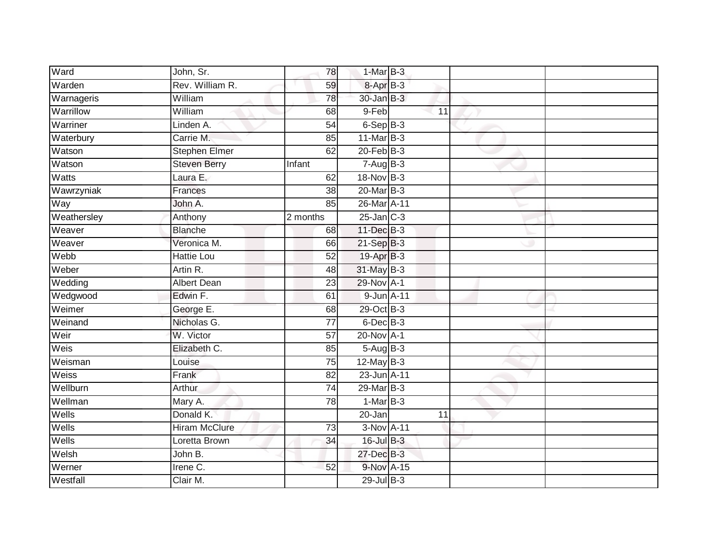| Ward        | John, Sr.            | 78              | $1-MarB-3$      |    |  |
|-------------|----------------------|-----------------|-----------------|----|--|
| Warden      | Rev. William R.      | 59              | 8-Apr B-3       |    |  |
| Warnageris  | William              | 78              | 30-Jan B-3      |    |  |
| Warrillow   | William              | 68              | 9-Feb           | 11 |  |
| Warriner    | Linden A.            | $\overline{54}$ | $6-SepB-3$      |    |  |
| Waterbury   | Carrie M.            | 85              | $11$ -Mar $B-3$ |    |  |
| Watson      | <b>Stephen Elmer</b> | 62              | $20$ -Feb $B-3$ |    |  |
| Watson      | <b>Steven Berry</b>  | Infant          | $7-AugB-3$      |    |  |
| Watts       | Laura E.             | 62              | 18-Nov B-3      |    |  |
| Wawrzyniak  | Frances              | $\overline{38}$ | $20$ -Mar $B-3$ |    |  |
| Way         | John A.              | 85              | 26-Mar A-11     |    |  |
| Weathersley | Anthony              | 2 months        | $25$ -Jan $C-3$ |    |  |
| Weaver      | <b>Blanche</b>       | 68              | 11-Dec B-3      |    |  |
| Weaver      | Veronica M.          | 66              | 21-Sep B-3      |    |  |
| Webb        | <b>Hattie Lou</b>    | $\overline{52}$ | 19-Apr B-3      |    |  |
| Weber       | Artin R.             | 48              | 31-May B-3      |    |  |
| Wedding     | <b>Albert Dean</b>   | 23              | 29-Nov A-1      |    |  |
| Wedgwood    | Edwin F.             | 61              | 9-Jun A-11      |    |  |
| Weimer      | George E.            | 68              | 29-Oct B-3      |    |  |
| Weinand     | Nicholas G.          | 77              | 6-Dec B-3       |    |  |
| Weir        | W. Victor            | 57              | 20-Nov A-1      |    |  |
| Weis        | Elizabeth C.         | 85              | $5-AugB-3$      |    |  |
| Weisman     | Louise               | $\overline{75}$ | $12$ -May B-3   |    |  |
| Weiss       | Frank                | 82              | 23-Jun A-11     |    |  |
| Wellburn    | Arthur               | 74              | $29$ -Mar $B-3$ |    |  |
| Wellman     | Mary A.              | 78              | $1-MarB-3$      |    |  |
| Wells       | Donald K.            |                 | $20 - Jan$      | 11 |  |
| Wells       | <b>Hiram McClure</b> | 73              | 3-Nov A-11      |    |  |
| Wells       | Loretta Brown        | 34              | 16-Jul B-3      |    |  |
| Welsh       | John B.              |                 | 27-Dec B-3      |    |  |
| Werner      | Irene C.             | 52              | 9-Nov A-15      |    |  |
| Westfall    | Clair M.             |                 | 29-Jul B-3      |    |  |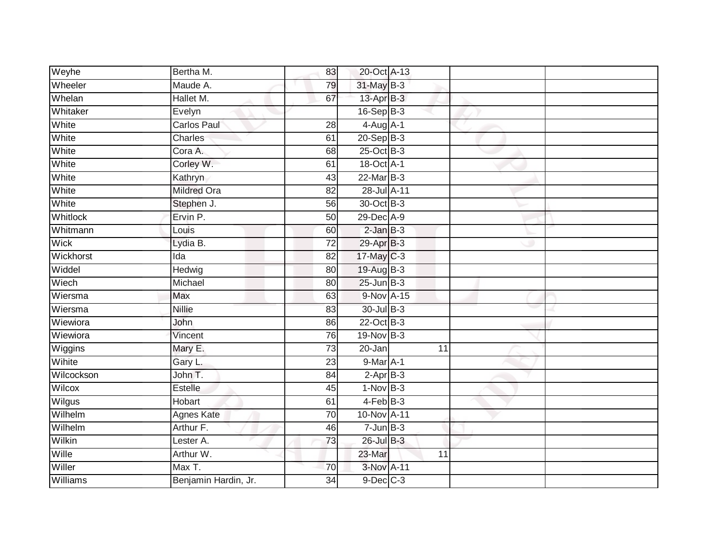| Weyhe       | Bertha M.            | 83              | 20-Oct A-13     |                 |  |
|-------------|----------------------|-----------------|-----------------|-----------------|--|
| Wheeler     | Maude A.             | 79              | 31-May B-3      |                 |  |
| Whelan      | Hallet M.            | 67              | 13-Apr B-3      |                 |  |
| Whitaker    | Evelyn               |                 | 16-Sep B-3      |                 |  |
| White       | <b>Carlos Paul</b>   | 28              | $4-Aug$ A-1     |                 |  |
| White       | Charles              | 61              | $20 - Sep$ B-3  |                 |  |
| White       | Cora A.              | 68              | 25-Oct B-3      |                 |  |
| White       | Corley W.            | 61              | 18-Oct A-1      |                 |  |
| White       | Kathryn              | 43              | $22$ -Mar $B-3$ |                 |  |
| White       | <b>Mildred Ora</b>   | $\overline{82}$ | 28-Jul A-11     |                 |  |
| White       | Stephen J.           | $\overline{56}$ | 30-Oct B-3      |                 |  |
| Whitlock    | Ervin P.             | 50              | 29-Dec A-9      |                 |  |
| Whitmann    | Louis                | 60              | $2$ -Jan $B-3$  |                 |  |
| <b>Wick</b> | Lydia B.             | 72              | 29-Apr B-3      |                 |  |
| Wickhorst   | Ida                  | $\overline{82}$ | 17-May C-3      |                 |  |
| Widdel      | Hedwig               | 80              | 19-Aug B-3      |                 |  |
| Wiech       | Michael              | 80              | $25$ -Jun $B-3$ |                 |  |
| Wiersma     | Max                  | 63              | 9-Nov A-15      |                 |  |
| Wiersma     | <b>Nillie</b>        | 83              | 30-Jul B-3      |                 |  |
| Wiewiora    | <b>John</b>          | 86              | 22-Oct B-3      |                 |  |
| Wiewiora    | Vincent              | 76              | $19-Nov$ B-3    |                 |  |
| Wiggins     | Mary E.              | 73              | $20 - Jan$      | $\overline{11}$ |  |
| Wihite      | Gary L.              | 23              | 9-Mar A-1       |                 |  |
| Wilcockson  | John T.              | 84              | $2-AprB-3$      |                 |  |
| Wilcox      | Estelle              | 45              | $1-Nov$ B-3     |                 |  |
| Wilgus      | <b>Hobart</b>        | 61              | $4-FebB-3$      |                 |  |
| Wilhelm     | <b>Agnes Kate</b>    | 70              | 10-Nov A-11     |                 |  |
| Wilhelm     | Arthur F.            | 46              | $7 - Jun$ B-3   |                 |  |
| Wilkin      | Lester A.            | 73              | 26-Jul B-3      |                 |  |
| Wille       | Arthur W.            |                 | 23-Mar          | 11              |  |
| Willer      | Max T.               | 70              | 3-Nov A-11      |                 |  |
| Williams    | Benjamin Hardin, Jr. | 34              | $9$ -Dec $C-3$  |                 |  |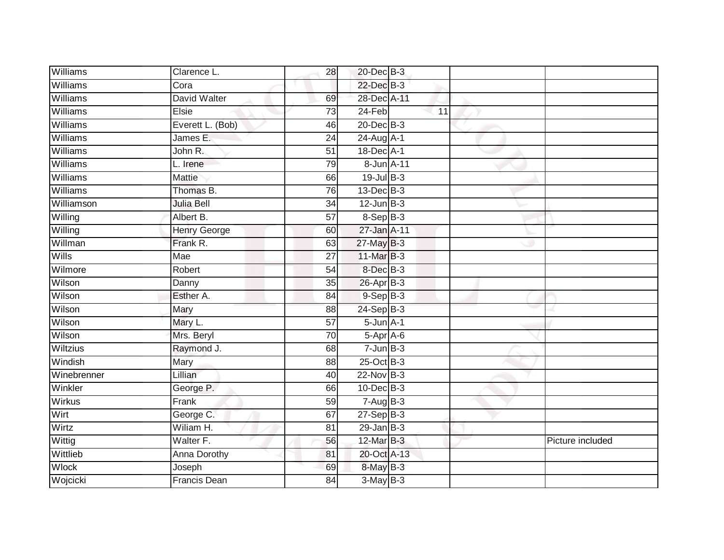| Williams     | Clarence L.         | 28              | 20-Dec B-3      |    |                  |
|--------------|---------------------|-----------------|-----------------|----|------------------|
| Williams     | Cora                |                 | 22-Dec B-3      |    |                  |
| Williams     | David Walter        | 69              | 28-Dec A-11     |    |                  |
| Williams     | Elsie               | 73              | 24-Feb          | 11 |                  |
| Williams     | Everett L. (Bob)    | 46              | 20-Dec B-3      |    |                  |
| Williams     | James E.            | 24              | 24-Aug A-1      |    |                  |
| Williams     | John R.             | 51              | 18-Dec A-1      |    |                  |
| Williams     | L. Irene            | 79              | 8-Jun A-11      |    |                  |
| Williams     | <b>Mattie</b>       | 66              | $19$ -Jul $B-3$ |    |                  |
| Williams     | Thomas B.           | 76              | $13$ -Dec $B-3$ |    |                  |
| Williamson   | <b>Julia Bell</b>   | 34              | $12$ -Jun $B-3$ |    |                  |
| Willing      | Albert B.           | 57              | 8-Sep B-3       |    |                  |
| Willing      | Henry George        | 60              | 27-Jan A-11     |    |                  |
| Willman      | Frank R.            | 63              | 27-May B-3      |    |                  |
| Wills        | Mae                 | $\overline{27}$ | 11-Mar B-3      |    |                  |
| Wilmore      | Robert              | 54              | 8-Dec B-3       |    |                  |
| Wilson       | Danny               | $\overline{35}$ | $26$ -Apr $B-3$ |    |                  |
| Wilson       | Esther A.           | 84              | $9-Sep$ B-3     |    |                  |
| Wilson       | Mary                | 88              | 24-Sep B-3      |    |                  |
| Wilson       | Mary L.             | $\overline{57}$ | $5 - Jun A - 1$ |    |                  |
| Wilson       | Mrs. Beryl          | 70              | $5-Apr$ A-6     |    |                  |
| Wiltzius     | Raymond J.          | 68              | $7 - Jun$ B-3   |    |                  |
| Windish      | Mary                | 88              | 25-Oct B-3      |    |                  |
| Winebrenner  | Lillian             | 40              | 22-Nov B-3      |    |                  |
| Winkler      | George P.           | 66              | 10-Dec B-3      |    |                  |
| Wirkus       | Frank               | 59              | $7 - Aug$ B-3   |    |                  |
| Wirt         | George C.           | 67              | $27-Sep$ B-3    |    |                  |
| Wirtz        | Wiliam H.           | 81              | $29$ -Jan B-3   |    |                  |
| Wittig       | Walter F.           | 56              | 12-Mar B-3      |    | Picture included |
| Wittlieb     | <b>Anna Dorothy</b> | 81              | 20-Oct A-13     |    |                  |
| <b>Wlock</b> | Joseph              | 69              | 8-May B-3       |    |                  |
| Wojcicki     | <b>Francis Dean</b> | $\overline{84}$ | $3-May$ B-3     |    |                  |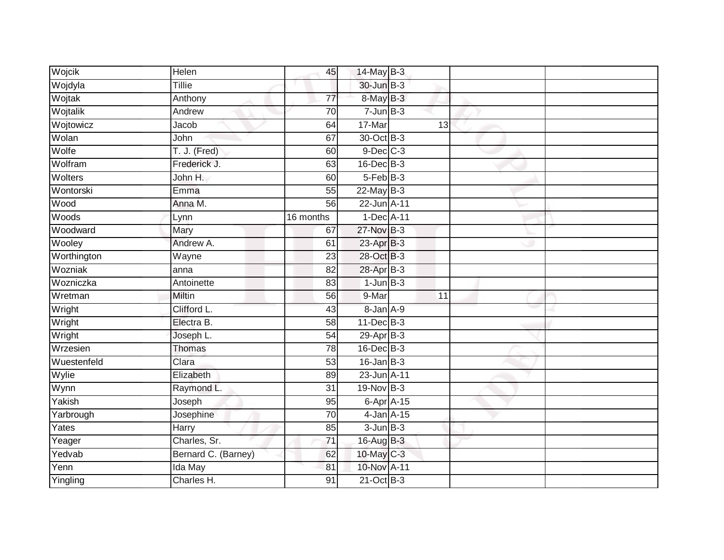| Wojcik      | Helen               | 45              | 14-May B-3         |    |  |
|-------------|---------------------|-----------------|--------------------|----|--|
| Wojdyla     | Tillie              |                 | 30-Jun B-3         |    |  |
| Wojtak      | Anthony             | $\overline{77}$ | 8-May B-3          |    |  |
| Wojtalik    | Andrew              | 70              | $7 - Jun$ B-3      |    |  |
| Wojtowicz   | Jacob               | 64              | 17-Mar             | 13 |  |
| Wolan       | John                | 67              | 30-Oct B-3         |    |  |
| Wolfe       | T. J. (Fred)        | 60              | $9$ -Dec $C$ -3    |    |  |
| Wolfram     | Frederick J.        | 63              | $16$ -Dec $B-3$    |    |  |
| Wolters     | John H.             | 60              | 5-Feb B-3          |    |  |
| Wontorski   | Emma                | $\overline{55}$ | $22$ -May B-3      |    |  |
| Wood        | Anna M.             | 56              | 22-Jun A-11        |    |  |
| Woods       | Lynn                | 16 months       | 1-Dec A-11         |    |  |
| Woodward    | Mary                | 67              | 27-Nov B-3         |    |  |
| Wooley      | Andrew A.           | 61              | 23-Apr B-3         |    |  |
| Worthington | Wayne               | $\overline{23}$ | 28-Oct B-3         |    |  |
| Wozniak     | anna                | 82              | 28-Apr B-3         |    |  |
| Wozniczka   | Antoinette          | 83              | $1$ -Jun $B-3$     |    |  |
| Wretman     | Miltin              | 56              | 9-Mar              | 11 |  |
| Wright      | Clifford L.         | 43              | 8-Jan A-9          |    |  |
| Wright      | Electra B.          | 58              | $11$ -Dec $B-3$    |    |  |
| Wright      | Joseph L            | 54              | 29-Apr B-3         |    |  |
| Wrzesien    | <b>Thomas</b>       | $\overline{78}$ | $16$ -Dec $B-3$    |    |  |
| Wuestenfeld | Clara               | $\overline{53}$ | $16$ -Jan B-3      |    |  |
| Wylie       | Elizabeth           | 89              | 23-Jun A-11        |    |  |
| Wynn        | Raymond L.          | 31              | 19-Nov B-3         |    |  |
| Yakish      | Joseph              | 95              | $6 - Apr$ $A - 15$ |    |  |
| Yarbrough   | Josephine           | 70              | $4$ -Jan $A-15$    |    |  |
| Yates       | Harry               | 85              | $3$ -Jun $B-3$     |    |  |
| Yeager      | Charles, Sr.        | 71              | 16-Aug B-3         |    |  |
| Yedvab      | Bernard C. (Barney) | 62              | 10-May C-3         |    |  |
| Yenn        | Ida May             | 81              | 10-Nov A-11        |    |  |
| Yingling    | Charles H.          | $\overline{91}$ | $21$ -Oct B-3      |    |  |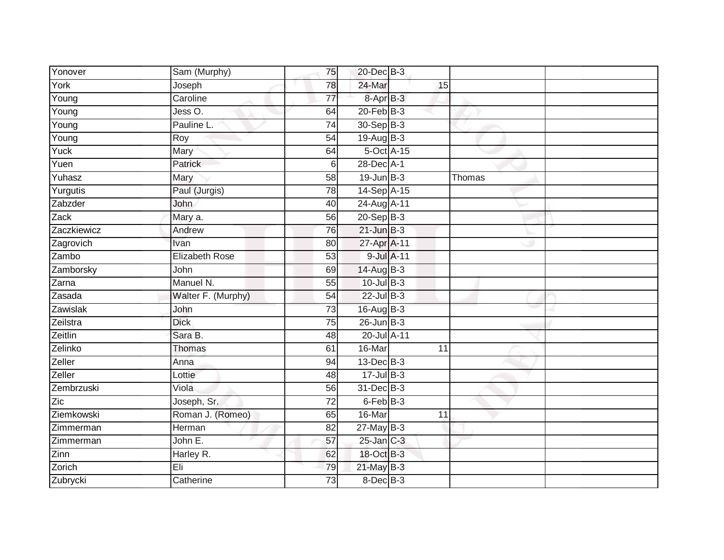| Yonover     | Sam (Murphy)          | 75              | 20-Dec B-3                |        |
|-------------|-----------------------|-----------------|---------------------------|--------|
| York        | Joseph                | 78              | 24-Mar<br>15              |        |
| Young       | Caroline              | $\overline{77}$ | 8-Apr B-3                 |        |
| Young       | Jess O.               | 64              | $20$ -Feb $B-3$           |        |
| Young       | Pauline L.            | $\overline{74}$ | 30-Sep B-3                |        |
| Young       | $\overline{R}$ oy     | 54              | 19-Aug B-3                |        |
| Yuck        | Mary                  | 64              | 5-Oct A-15                |        |
| Yuen        | Patrick               | $6\phantom{1}6$ | 28-Dec A-1                |        |
| Yuhasz      | Mary                  | 58              | $19$ -Jun $B-3$           | Thomas |
| Yurgutis    | Paul (Jurgis)         | $\overline{78}$ | 14-Sep A-15               |        |
| Zabzder     | John                  | 40              | 24-Aug A-11               |        |
| Zack        | Mary a.               | $\overline{56}$ | $20-Sep$ B-3              |        |
| Zaczkiewicz | Andrew                | 76              | $21$ -Jun $B-3$           |        |
| Zagrovich   | Ivan                  | 80              | 27-Apr A-11               |        |
| Zambo       | <b>Elizabeth Rose</b> | 53              | 9-Jul A-11                |        |
| Zamborsky   | John                  | 69              | 14-Aug B-3                |        |
| Zarna       | Manuel N.             | $\overline{55}$ | $10$ -Jul $B-3$           |        |
| Zasada      | Walter F. (Murphy)    | 54              | $22$ -Jul $B-3$           |        |
| Zawislak    | John                  | 73              | 16-Aug B-3                |        |
| Zeilstra    | <b>Dick</b>           | $\overline{75}$ | $26$ -Jun $B-3$           |        |
| Zeitlin     | Sara B.               | 48              | 20-Jul A-11               |        |
| Zelinko     | <b>Thomas</b>         | 61              | 16-Mar<br>$\overline{11}$ |        |
| Zeller      | Anna                  | 94              | 13-Dec B-3                |        |
| Zeller      | Lottie                | 48              | $17 -$ Jul B-3            |        |
| Zembrzuski  | Viola                 | 56              | $31$ -Dec $B-3$           |        |
| Zic         | Joseph, Sr.           | 72              | 6-Feb B-3                 |        |
| Ziemkowski  | Roman J. (Romeo)      | 65              | 16-Mar<br>11              |        |
| Zimmerman   | Herman                | 82              | $27$ -May B-3             |        |
| Zimmerman   | John E.               | 57              | $25$ -Jan C-3             |        |
| Zinn        | Harley R.             | 62              | 18-Oct B-3                |        |
| Zorich      | Eli                   | 79              | 21-May B-3                |        |
| Zubrycki    | Catherine             | $\overline{73}$ | 8-Dec B-3                 |        |